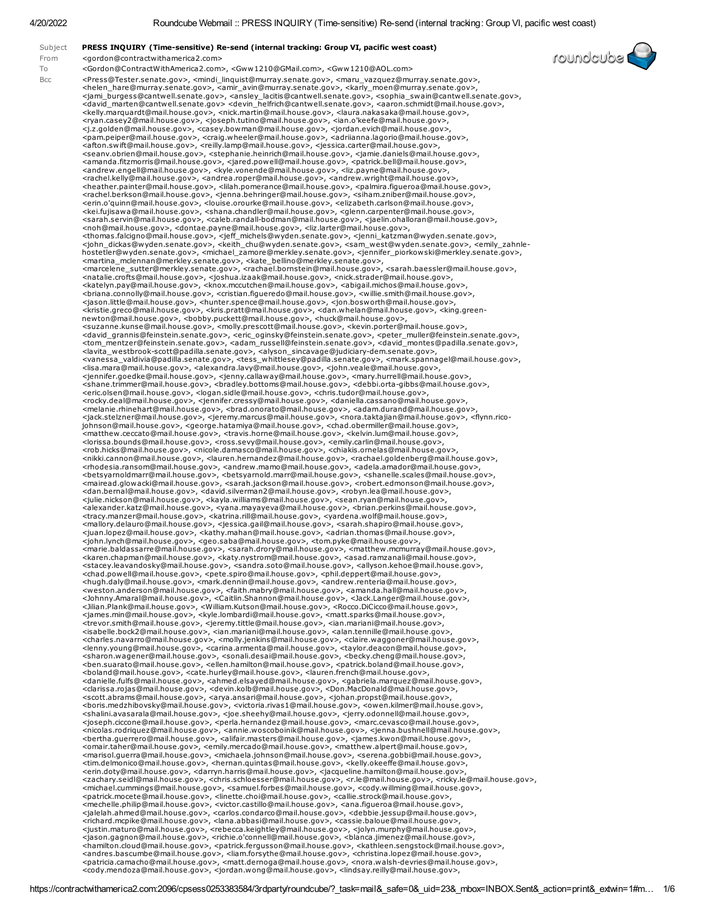| <gordon@contractwithamerica2.com>, <gww1210@gmail.com>, <gww1210@aol.com><br/><press@tester.senate.gov>, <mindi_linquist@murray.senate.gov>, <maru_vazquez@murray.senate.gov>,<br/>,<helen_hare@murray.senate.gov>, <amir_avin@murray.senate.gov>, <karly_moen@murray.senate.gov><br/><jami_burgess@cantwell.senate.gov>, <ansley_lacitis@cantwell.senate.gov>, <sophia_swain@cantwell.senate.gov>,<br/><david_marten@cantwell.senate.gov> <devin_helfrich@cantwell.senate.gov>, <aaron.schmidt@mail.house.gov>,<br/><kelly.marquardt@mail.house.gov>, <nick.martin@mail.house.gov>, <laura.nakasaka@mail.house.gov>,<br/><ryan.casey2@mail.house.gov>, <joseph.tutino@mail.house.gov>, <ian.o'keefe@mail.house.gov>,<br/>.siz.golden@mail.house.gov&gt;, <casey.bowman@mail.house.gov>, <jordan.evich@mail.house.gov>,<br/><pam.peiper@mail.house.gov>, <craig.wheeler@mail.house.gov>, <adriianna.lagorio@mail.house.gov>,<br/><afton.swift@mail.house.gov>, <reilly.lamp@mail.house.gov>, <jessica.carter@mail.house.gov>,<br/>.<seanv.obrien@mail.house.gov>, <stephanie.heinrich@mail.house.gov>, <jamie.daniels@mail.house.gov><br/><amanda.fitzmorris@mail.house.gov>, <jared.powell@mail.house.gov>, <patrick.bell@mail.house.gov>,<br/><andrew.engell@mail.house.gov>, <kyle.vonende@mail.house.gov>, <liz.payne@mail.house.gov>,<br/><rachel.kelly@mail.house.gov>, <andrea.roper@mail.house.gov>, <andrew.wright@mail.house.gov>,<br/>,<heather.painter@mail.house.gov>, <lilah.pomerance@mail.house.gov>, <palmira.figueroa@mail.house.gov><br/><rachel.berkson@mail.house.gov>, <jenna.behringer@mail.house.gov>, <siham.zniber@mail.house.gov>,<br/><erin.o'quinn@mail.house.gov>, <louise.orourke@mail.house.gov>, <elizabeth.carlson@mail.house.gov>,<br/><kei.fujisawa@mail.house.gov>, <shana.chandler@mail.house.gov>, <glenn.carpenter@mail.house.gov>,<br/><sarah.servin@mail.house.gov>, <caleb.randall-bodman@mail.house.gov>, <jaelin.ohalloran@mail.house.gov>,<br/><noh@mail.house.gov>, <dontae.payne@mail.house.gov>, <liz.larter@mail.house.gov>,<br/>.<thomas.falcigno@mail.house.gov>, <jeff_michels@wyden.senate.gov>, <jenni_katzman@wyden.senate.gov><br/><john_dickas@wyden.senate.gov>, <keith_chu@wyden.senate.gov>, <sam_west@wyden.senate.gov>, <emily_zahnle-<br>hostetler@wyden.senate.gov&gt;, <michael_zamore@merkley.senate.gov>, <jennifer_piorkowski@merkley.senate.gov>,<br/><martina_mclennan@merkley.senate.gov>, <kate_bellino@merkley.senate.gov>,<br/><marcelene_sutter@merkley.senate.gov>, <rachael.bornstein@mail.house.gov>, <sarah.baessler@mail.house.gov>,<br/><natalie.crofts@mail.house.gov>, <joshua.izaak@mail.house.gov>, <nick.strader@mail.house.gov>,<br/><katelyn.pay@mail.house.gov>, <knox.mccutchen@mail.house.gov>, <abigail.michos@mail.house.gov>,<br/>.<briana.connolly@mail.house.gov>, <cristian.figueredo@mail.house.gov>, <willie.smith@mail.house.gov><br/><jason.little@mail.house.gov>, <hunter.spence@mail.house.gov>, <jon.bosworth@mail.house.gov>,<br/>-kristie.greco@mail.house.gov&gt;, <kris.pratt@mail.house.gov>, <dan.whelan@mail.house.gov>, <king.green<br>newton@mail.house.gov&gt;, <bobby.puckett@mail.house.gov>, <huck@mail.house.gov>,<br/><suzanne.kunse@mail.house.gov>, <molly.prescott@mail.house.gov>, <kevin.porter@mail.house.gov>,<br/><david_grannis@feinstein.senate.gov>, <eric_oginsky@feinstein.senate.gov>, <peter_muller@feinstein.senate.gov>,<br/><tom_mentzer@feinstein.senate.gov>, <adam_russell@feinstein.senate.gov>, <david_montes@padilla.senate.gov>,<br/><lavita westbrook-scott@padilla.senate.gov="">, <alyson sincavage@judiciary-dem.senate.gov="">,<br/><vanessa_valdivia@padilla.senate.gov>, <tess_whittlesey@padilla.senate.gov>, <mark.spannagel@mail.house.gov>,<br/>.sa.mara@mail.house.gov&gt;, <alexandra.lavy@mail.house.gov>, <john.veale@mail.house.gov>,<br/>/<jennifer.goedke@mail.house.gov>, <jenny.callaway@mail.house.gov>, <mary.hurrell@mail.house.gov><br/><shane.trimmer@mail.house.gov>, <bradley.bottoms@mail.house.gov>, <debbi.orta-gibbs@mail.house.gov>,<br/><eric.olsen@mail.house.gov>, <logan.sidle@mail.house.gov>, <chris.tudor@mail.house.gov>,<br/>.cocky.deal@mail.house.gov&gt;, <jennifer.cressy@mail.house.gov>, <daniella.cassano@mail.house.gov>, &lt;<br/><melanie.rhinehart@mail.house.gov>, <brad.onorato@mail.house.gov>, <adam.durand@mail.house.gov>,<br/><jack.stelzner@mail.house.gov>, <jeremy.marcus@mail.house.gov>, <nora.taktajian@mail.house.gov>, <flynn.rico-<br>johnson@mail.house.gov&gt;, <george.hatamiya@mail.house.gov>, <chad.obermiller@mail.house.gov>,<br/><matthew.ceccato@mail.house.gov>, <travis.horne@mail.house.gov>, <kelvin.lum@mail.house.gov>,<br/>.<lorissa.bounds@mail.house.gov>, <ross.sevy@mail.house.gov>, <emily.carlin@mail.house.gov><br/>.<rob.hicks@mail.house.gov>, <nicole.damasco@mail.house.gov>, <chiakis.ornelas@mail.house.gov><br/><nikki.cannon@mail.house.gov>, <lauren.hernandez@mail.house.gov>, <rachael.goldenberg@mail.house.gov>,<br/>.<rhodesia.ransom@mail.house.gov>, <andrew.mamo@mail.house.gov>, <adela.amador@mail.house.gov>,<br/>,<betsyarnoldmarr@mail.house.gov>, <betsyarnold.marr@mail.house.gov>, <shanelle.scales@mail.house.gov><br/><mairead.glowacki@mail.house.gov>, <sarah.jackson@mail.house.gov>, <robert.edmonson@mail.house.gov>,<br/><dan.bernal@mail.house.gov>, <david.silverman2@mail.house.gov>, <robyn.lea@mail.house.gov>,<br/>/sulie.nickson@mail.house.gov&gt;, <kayla.williams@mail.house.gov>, <sean.ryan@mail.house.gov>,<br/>,<alexander.katz@mail.house.gov>, <yana.mayayeva@mail.house.gov>, <brian.perkins@mail.house.gov><br/><tracy.manzer@mail.house.gov>, <katrina.rill@mail.house.gov>, <yardena.wolf@mail.house.gov>,<br/><mallory.delauro@mail.house.gov>, <jessica.gail@mail.house.gov>, <sarah.shapiro@mail.house.gov>,<br/><iuan.lopez@mail.house.gov>, <kathy.mahan@mail.house.gov>, <adrian.thomas@mail.house.gov>,<br/><john.lynch@mail.house.gov>, <geo.saba@mail.house.gov>, <tom.pyke@mail.house.gov>,<br/><marie.baldassarre@mail.house.gov>, <sarah.drory@mail.house.gov>, <matthew.mcmurray@mail.house.gov>,<br/>,<karen.chapman@mail.house.gov>, <katy.nystrom@mail.house.gov>, <asad.ramzanali@mail.house.gov><br/><stacey.leavandosky@mail.house.gov>, <sandra.soto@mail.house.gov>, <allyson.kehoe@mail.house.gov>,<br/><chad.powell@mail.house.gov>, <pete.spiro@mail.house.gov>, <phil.deppert@mail.house.gov>,<br/><hugh.daly@mail.house.gov>, <mark.dennin@mail.house.gov>, <andrew.renteria@mail.house.gov>,<br/><weston.anderson@mail.house.gov>, <faith.mabry@mail.house.gov>, <amanda.hall@mail.house.gov>,<br/><johnny.amaral@mail.house.gov>, <caitlin.shannon@mail.house.gov>, <jack.langer@mail.house.gov>,<br/><jilian.plank@mail.house.gov>, <william.kutson@mail.house.gov>, <rocco.dicicco@mail.house.gov>,<br/><james.min@mail.house.gov>, <kyle.lombardi@mail.house.gov>, <matt.sparks@mail.house.gov>,<br/><trevor.smith@mail.house.gov>, <jeremy.tittle@mail.house.gov>, <ian.mariani@mail.house.gov>,<br/><isabelle.bock2@mail.house.qov>, <ian.mariani@mail.house.qov>, <alan.tennille@mail.house.qov>,<br/><charles.navarro@mail.house.gov>, <molly.jenkins@mail.house.gov>, <claire.waggoner@mail.house.gov>,<br/><lenny.young@mail.house.gov>, <carina.armenta@mail.house.gov>, <taylor.deacon@mail.house.gov>,<br/><sharon.wagener@mail.house.gov>, <sonali.desai@mail.house.gov>, <becky.cheng@mail.house.gov>,<br/><ben.suarato@mail.house.gov>, <ellen.hamilton@mail.house.gov>, <patrick.boland@mail.house.gov>,<br/><boland@mail.house.gov>, <cate.hurley@mail.house.gov>, <lauren.french@mail.house.gov>,<br/><danielle.fulfs@mail.house.gov>, <ahmed.elsayed@mail.house.gov>, <gabriela.marquez@mail.house.gov>,<br/><clarissa.rojas@mail.house.gov>, <devin.kolb@mail.house.gov>, <don.macdonald@mail.house.gov>,<br/><scott.abrams@mail.house.gov>, <arya.ansari@mail.house.gov>, <johan.propst@mail.house.gov>,<br/><boris.medzhibovsky@mail.house.gov>, <victoria.rivas1@mail.house.gov>, <owen.kilmer@mail.house.gov>,<br/><shalini.avasarala@mail.house.gov>, <joe.sheehy@mail.house.gov>, <jerry.odonnell@mail.house.gov>,<br/>/<joseph.ciccone@mail.house.gov>, <perla.hernandez@mail.house.gov>, <marc.cevasco@mail.house.gov><br/><nicolas.rodriquez@mail.house.gov>, <annie.woscoboinik@mail.house.gov>, <jenna.bushnell@mail.house.gov>,<br/><bertha.querrero@mail.house.gov>, <alifair.masters@mail.house.gov>, <james.kwon@mail.house.gov>,<br/><omair.taher@mail.house.gov>, <emily.mercado@mail.house.gov>, <matthew.alpert@mail.house.gov>,<br/><marisol.guerra@mail.house.gov>, <michaela.johnson@mail.house.gov>, <serena.gobbi@mail.house.gov>,<br/>.<tim.delmonico@mail.house.gov>, <hernan.quintas@mail.house.gov>, <kelly.okeeffe@mail.house.gov>,<br/><erin.doty@mail.house.gov>, <darryn.harris@mail.house.gov>, <jacqueline.hamilton@mail.house.gov>,<br/><zachary.seidl@mail.house.gov>, <chris.schloesser@mail.house.gov>, <r.le@mail.house.gov>, <ricky.le@mail.house.gov>,<br/><michael.cummings@mail.house.gov>, <samuel.forbes@mail.house.gov>, <cody.willming@mail.house.gov>,<br/><patrick.mocete@mail.house.gov>, <linette.choi@mail.house.gov>, <callie.strock@mail.house.gov>,<br/><mechelle.philip@mail.house.gov>, <victor.castillo@mail.house.gov>, <ana.figueroa@mail.house.gov>,<br/><idlelah.ahmed@mail.house.gov>, <carlos.condarco@mail.house.gov>, <debbie.jessup@mail.house.gov>,<br/><richard.mcpike@mail.house.gov>, <lana.abbasi@mail.house.gov>, <cassie.baloue@mail.house.gov>,<br/><justin.maturo@mail.house.gov>, <rebecca.keightley@mail.house.gov>, <jolyn.murphy@mail.house.gov>,<br/><iason.gagnon@mail.house.gov>, <richie.o'connell@mail.house.gov>, <blanca.jimenez@mail.house.gov>,<br/><hamilton.cloud@mail.house.gov>, <patrick.fergusson@mail.house.gov>, <kathleen.sengstock@mail.house.gov>,<br/><andres.bascumbe@mail.house.gov>, <liam.forsythe@mail.house.gov>, <christina.lopez@mail.house.gov>,</christina.lopez@mail.house.gov></liam.forsythe@mail.house.gov></andres.bascumbe@mail.house.gov></kathleen.sengstock@mail.house.gov></patrick.fergusson@mail.house.gov></hamilton.cloud@mail.house.gov></blanca.jimenez@mail.house.gov></richie.o'connell@mail.house.gov></iason.gagnon@mail.house.gov></jolyn.murphy@mail.house.gov></rebecca.keightley@mail.house.gov></justin.maturo@mail.house.gov></cassie.baloue@mail.house.gov></lana.abbasi@mail.house.gov></richard.mcpike@mail.house.gov></debbie.jessup@mail.house.gov></carlos.condarco@mail.house.gov></idlelah.ahmed@mail.house.gov></ana.figueroa@mail.house.gov></victor.castillo@mail.house.gov></mechelle.philip@mail.house.gov></callie.strock@mail.house.gov></linette.choi@mail.house.gov></patrick.mocete@mail.house.gov></cody.willming@mail.house.gov></samuel.forbes@mail.house.gov></michael.cummings@mail.house.gov></ricky.le@mail.house.gov></r.le@mail.house.gov></chris.schloesser@mail.house.gov></zachary.seidl@mail.house.gov></jacqueline.hamilton@mail.house.gov></darryn.harris@mail.house.gov></erin.doty@mail.house.gov></kelly.okeeffe@mail.house.gov></hernan.quintas@mail.house.gov></tim.delmonico@mail.house.gov></serena.gobbi@mail.house.gov></michaela.johnson@mail.house.gov></marisol.guerra@mail.house.gov></matthew.alpert@mail.house.gov></emily.mercado@mail.house.gov></omair.taher@mail.house.gov></james.kwon@mail.house.gov></alifair.masters@mail.house.gov></bertha.querrero@mail.house.gov></jenna.bushnell@mail.house.gov></annie.woscoboinik@mail.house.gov></nicolas.rodriquez@mail.house.gov></marc.cevasco@mail.house.gov></perla.hernandez@mail.house.gov></joseph.ciccone@mail.house.gov></jerry.odonnell@mail.house.gov></joe.sheehy@mail.house.gov></shalini.avasarala@mail.house.gov></owen.kilmer@mail.house.gov></victoria.rivas1@mail.house.gov></boris.medzhibovsky@mail.house.gov></johan.propst@mail.house.gov></arya.ansari@mail.house.gov></scott.abrams@mail.house.gov></don.macdonald@mail.house.gov></devin.kolb@mail.house.gov></clarissa.rojas@mail.house.gov></gabriela.marquez@mail.house.gov></ahmed.elsayed@mail.house.gov></danielle.fulfs@mail.house.gov></lauren.french@mail.house.gov></cate.hurley@mail.house.gov></boland@mail.house.gov></patrick.boland@mail.house.gov></ellen.hamilton@mail.house.gov></ben.suarato@mail.house.gov></becky.cheng@mail.house.gov></sonali.desai@mail.house.gov></sharon.wagener@mail.house.gov></taylor.deacon@mail.house.gov></carina.armenta@mail.house.gov></lenny.young@mail.house.gov></claire.waggoner@mail.house.gov></molly.jenkins@mail.house.gov></charles.navarro@mail.house.gov></alan.tennille@mail.house.qov></ian.mariani@mail.house.qov></isabelle.bock2@mail.house.qov></ian.mariani@mail.house.gov></jeremy.tittle@mail.house.gov></trevor.smith@mail.house.gov></matt.sparks@mail.house.gov></kyle.lombardi@mail.house.gov></james.min@mail.house.gov></rocco.dicicco@mail.house.gov></william.kutson@mail.house.gov></jilian.plank@mail.house.gov></jack.langer@mail.house.gov></caitlin.shannon@mail.house.gov></johnny.amaral@mail.house.gov></amanda.hall@mail.house.gov></faith.mabry@mail.house.gov></weston.anderson@mail.house.gov></andrew.renteria@mail.house.gov></mark.dennin@mail.house.gov></hugh.daly@mail.house.gov></phil.deppert@mail.house.gov></pete.spiro@mail.house.gov></chad.powell@mail.house.gov></allyson.kehoe@mail.house.gov></sandra.soto@mail.house.gov></stacey.leavandosky@mail.house.gov></asad.ramzanali@mail.house.gov></katy.nystrom@mail.house.gov></karen.chapman@mail.house.gov></matthew.mcmurray@mail.house.gov></sarah.drory@mail.house.gov></marie.baldassarre@mail.house.gov></tom.pyke@mail.house.gov></geo.saba@mail.house.gov></john.lynch@mail.house.gov></adrian.thomas@mail.house.gov></kathy.mahan@mail.house.gov></iuan.lopez@mail.house.gov></sarah.shapiro@mail.house.gov></jessica.gail@mail.house.gov></mallory.delauro@mail.house.gov></yardena.wolf@mail.house.gov></katrina.rill@mail.house.gov></tracy.manzer@mail.house.gov></brian.perkins@mail.house.gov></yana.mayayeva@mail.house.gov></alexander.katz@mail.house.gov></sean.ryan@mail.house.gov></kayla.williams@mail.house.gov></robyn.lea@mail.house.gov></david.silverman2@mail.house.gov></dan.bernal@mail.house.gov></robert.edmonson@mail.house.gov></sarah.jackson@mail.house.gov></mairead.glowacki@mail.house.gov></shanelle.scales@mail.house.gov></betsyarnold.marr@mail.house.gov></betsyarnoldmarr@mail.house.gov></adela.amador@mail.house.gov></andrew.mamo@mail.house.gov></rhodesia.ransom@mail.house.gov></rachael.goldenberg@mail.house.gov></lauren.hernandez@mail.house.gov></nikki.cannon@mail.house.gov></chiakis.ornelas@mail.house.gov></nicole.damasco@mail.house.gov></rob.hicks@mail.house.gov></emily.carlin@mail.house.gov></ross.sevy@mail.house.gov></lorissa.bounds@mail.house.gov></kelvin.lum@mail.house.gov></travis.horne@mail.house.gov></matthew.ceccato@mail.house.gov></chad.obermiller@mail.house.gov></george.hatamiya@mail.house.gov></flynn.rico-<br></nora.taktajian@mail.house.gov></jeremy.marcus@mail.house.gov></jack.stelzner@mail.house.gov></adam.durand@mail.house.gov></brad.onorato@mail.house.gov></melanie.rhinehart@mail.house.gov></daniella.cassano@mail.house.gov></jennifer.cressy@mail.house.gov></chris.tudor@mail.house.gov></logan.sidle@mail.house.gov></eric.olsen@mail.house.gov></debbi.orta-gibbs@mail.house.gov></bradley.bottoms@mail.house.gov></shane.trimmer@mail.house.gov></mary.hurrell@mail.house.gov></jenny.callaway@mail.house.gov></jennifer.goedke@mail.house.gov></john.veale@mail.house.gov></alexandra.lavy@mail.house.gov></mark.spannagel@mail.house.gov></tess_whittlesey@padilla.senate.gov></vanessa_valdivia@padilla.senate.gov></alyson></lavita></david_montes@padilla.senate.gov></adam_russell@feinstein.senate.gov></tom_mentzer@feinstein.senate.gov></peter_muller@feinstein.senate.gov></eric_oginsky@feinstein.senate.gov></david_grannis@feinstein.senate.gov></kevin.porter@mail.house.gov></molly.prescott@mail.house.gov></suzanne.kunse@mail.house.gov></huck@mail.house.gov></bobby.puckett@mail.house.gov></king.green<br></dan.whelan@mail.house.gov></kris.pratt@mail.house.gov></jon.bosworth@mail.house.gov></hunter.spence@mail.house.gov></jason.little@mail.house.gov></willie.smith@mail.house.gov></cristian.figueredo@mail.house.gov></briana.connolly@mail.house.gov></abigail.michos@mail.house.gov></knox.mccutchen@mail.house.gov></katelyn.pay@mail.house.gov></nick.strader@mail.house.gov></joshua.izaak@mail.house.gov></natalie.crofts@mail.house.gov></sarah.baessler@mail.house.gov></rachael.bornstein@mail.house.gov></marcelene_sutter@merkley.senate.gov></kate_bellino@merkley.senate.gov></martina_mclennan@merkley.senate.gov></jennifer_piorkowski@merkley.senate.gov></michael_zamore@merkley.senate.gov></emily_zahnle-<br></sam_west@wyden.senate.gov></keith_chu@wyden.senate.gov></john_dickas@wyden.senate.gov></jenni_katzman@wyden.senate.gov></jeff_michels@wyden.senate.gov></thomas.falcigno@mail.house.gov></liz.larter@mail.house.gov></dontae.payne@mail.house.gov></noh@mail.house.gov></jaelin.ohalloran@mail.house.gov></caleb.randall-bodman@mail.house.gov></sarah.servin@mail.house.gov></glenn.carpenter@mail.house.gov></shana.chandler@mail.house.gov></kei.fujisawa@mail.house.gov></elizabeth.carlson@mail.house.gov></louise.orourke@mail.house.gov></erin.o'quinn@mail.house.gov></siham.zniber@mail.house.gov></jenna.behringer@mail.house.gov></rachel.berkson@mail.house.gov></palmira.figueroa@mail.house.gov></lilah.pomerance@mail.house.gov></heather.painter@mail.house.gov></andrew.wright@mail.house.gov></andrea.roper@mail.house.gov></rachel.kelly@mail.house.gov></liz.payne@mail.house.gov></kyle.vonende@mail.house.gov></andrew.engell@mail.house.gov></patrick.bell@mail.house.gov></jared.powell@mail.house.gov></amanda.fitzmorris@mail.house.gov></jamie.daniels@mail.house.gov></stephanie.heinrich@mail.house.gov></seanv.obrien@mail.house.gov></jessica.carter@mail.house.gov></reilly.lamp@mail.house.gov></afton.swift@mail.house.gov></adriianna.lagorio@mail.house.gov></craig.wheeler@mail.house.gov></pam.peiper@mail.house.gov></jordan.evich@mail.house.gov></casey.bowman@mail.house.gov></ian.o'keefe@mail.house.gov></joseph.tutino@mail.house.gov></ryan.casey2@mail.house.gov></laura.nakasaka@mail.house.gov></nick.martin@mail.house.gov></kelly.marquardt@mail.house.gov></aaron.schmidt@mail.house.gov></devin_helfrich@cantwell.senate.gov></david_marten@cantwell.senate.gov></sophia_swain@cantwell.senate.gov></ansley_lacitis@cantwell.senate.gov></jami_burgess@cantwell.senate.gov></karly_moen@murray.senate.gov></amir_avin@murray.senate.gov></helen_hare@murray.senate.gov></maru_vazquez@murray.senate.gov></mindi_linquist@murray.senate.gov></press@tester.senate.gov></gww1210@aol.com></gww1210@gmail.com></gordon@contractwithamerica2.com> | PRESS INQUIRY (Time-sensitive) Re-send (internal tracking: Group VI, pacific west coast)<br><gordon@contractwithamerica2.com></gordon@contractwithamerica2.com>                                            | <b>Lonungenps</b> |
|----------------------------------------------------------------------------------------------------------------------------------------------------------------------------------------------------------------------------------------------------------------------------------------------------------------------------------------------------------------------------------------------------------------------------------------------------------------------------------------------------------------------------------------------------------------------------------------------------------------------------------------------------------------------------------------------------------------------------------------------------------------------------------------------------------------------------------------------------------------------------------------------------------------------------------------------------------------------------------------------------------------------------------------------------------------------------------------------------------------------------------------------------------------------------------------------------------------------------------------------------------------------------------------------------------------------------------------------------------------------------------------------------------------------------------------------------------------------------------------------------------------------------------------------------------------------------------------------------------------------------------------------------------------------------------------------------------------------------------------------------------------------------------------------------------------------------------------------------------------------------------------------------------------------------------------------------------------------------------------------------------------------------------------------------------------------------------------------------------------------------------------------------------------------------------------------------------------------------------------------------------------------------------------------------------------------------------------------------------------------------------------------------------------------------------------------------------------------------------------------------------------------------------------------------------------------------------------------------------------------------------------------------------------------------------------------------------------------------------------------------------------------------------------------------------------------------------------------------------------------------------------------------------------------------------------------------------------------------------------------------------------------------------------------------------------------------------------------------------------------------------------------------------------------------------------------------------------------------------------------------------------------------------------------------------------------------------------------------------------------------------------------------------------------------------------------------------------------------------------------------------------------------------------------------------------------------------------------------------------------------------------------------------------------------------------------------------------------------------------------------------------------------------------------------------------------------------------------------------------------------------------------------------------------------------------------------------------------------------------------------------------------------------------------------------------------------------------------------------------------------------------------------------------------------------------------------------------------------------------------------------------------------------------------------------------------------------------------------------------------------------------------------------------------------------------------------------------------------------------------------------------------------------------------------------------------------------------------------------------------------------------------------------------------------------------------------------------------------------------------------------------------------------------------------------------------------------------------------------------------------------------------------------------------------------------------------------------------------------------------------------------------------------------------------------------------------------------------------------------------------------------------------------------------------------------------------------------------------------------------------------------------------------------------------------------------------------------------------------------------------------------------------------------------------------------------------------------------------------------------------------------------------------------------------------------------------------------------------------------------------------------------------------------------------------------------------------------------------------------------------------------------------------------------------------------------------------------------------------------------------------------------------------------------------------------------------------------------------------------------------------------------------------------------------------------------------------------------------------------------------------------------------------------------------------------------------------------------------------------------------------------------------------------------------------------------------------------------------------------------------------------------------------------------------------------------------------------------------------------------------------------------------------------------------------------------------------------------------------------------------------------------------------------------------------------------------------------------------------------------------------------------------------------------------------------------------------------------------------------------------------------------------------------------------------------------------------------------------------------------------------------------------------------------------------------------------------------------------------------------------------------------------------------------------------------------------------------------------------------------------------------------------------------------------------------------------------------------------------------------------------------------------------------------------------------------------------------------------------------------------------------------------------------------------------------------------------------------------------------------------------------------------------------------------------------------------------------------------------------------------------------------------------------------------------------------------------------------------------------------------------------------------------------------------------------------------------------------------------------------------------------------------------------------------------------------------------------------------------------------------------------------------------------------------------------------------------------------------------------------------------------------------------------------------------------------------------------------------------------------------------------------------------------------------------------------------------------------------------------------------------------------------------------------------------------------------------------------------------------------------------------------------------------------------------------------------------------------------------------------------------------------------------------------------------------------------------------------------------------------------------------------------------------------------------------------------------------------------------------------------------------------------------------------------------------------------------------------------------------------------------------------------------------------------------------------------------------------------------------------------------------------------------------------------------------------------------------------------------------------------------------------------------------------------------------------------------------------------------------------------------------------------------------------------------------------------------------------------------------------------------------------------------------------------------------------------------------------------------------------------------------------------------------------------------------------------------------------------------------------------------------------------------------------------------------------------------------------------------------------------------------------------------------------------------------------------------------------------------------------------------------------------------------------------------------------------------------------------------------------------------------------------------------------------------------------------------------------------------------------------------------------------------------------------------------------------------------------------------------------------------------------------------------------------------------------------------------------------------------------------------------------------------------------------------------------------------------------------------------------------------------------------------------------------------------------------------------------------------------------------------------------------------------------------------------------------------------------------------------------------------------------------------------------------------------------------------------------------------------------------------------------------------------------------------------------------------------------------------------------------------------------------------------------------------------------------------------------------------------------------------------------------------------------------------------------------------------------------------------------------------------------------------------------------------------------------------------------------------------------------------------------------------------------------------------------------------------------------------------------------------------------------------------------------------------------------------------------------------------------------------------------------------------------------------------------------------------------------------------------------------------------------------------------------------------------------------------------------------------------------------------------------------------------------------------------------------------------------------------------------------------------------------------------------------------------------------------------------------------------------------------------------------------------------------------------------------------------------------------------------------------------------------------------------------------------------------------------------------------------------------------------------------------------------------------------------------------------------------------------------------------------------------------------------------------------------------------------------------------------------------------------------------------------------------------------------------------------------------------------------------------------------------------------------------------------------------------------------------------------------------------------------------------------------------------------------------------------------------------------------------------------------------------------------------------------------------------------------------------------------------------------------------------------------------------------------------------------------------------------------------------------------------------------------------------------------------------------------------------------------------------------------------------------------------------------------------------------------------------------------------------------------------------------------------------------------------------------------------------------------------------------------------------------------------------------------------------------------------------------------------------------------------------------------------------------------------------------------------------------------------------------------------------------------------------------------------------------------------------------------------------------------------------------------------------------------------------------------------------------------------------------------------------------------------------------------------------------------------------------------------------------------------------------------------------------------------------------------------------------------------------------------------------------------------------------------------------------------------------------------------------------------------------------------------------------------------------------------------------------------------------------------------------------------------------------------------------------------------------------------------------------------------------------------------------------------------------------------------------------------------------------------------------------------------------------------------------------------------------------------------------------------------------------------------------------------------------------------------------------------------------------------------------------------------------------------------------------------------------------------------------------------------------------------------------------------------------------------------------------------------------------------------------------------------------------------------------------------------------------------------------------------------------------------------------------------------------------------------------------------------------------------------------------------------------------------------------------------------------------------------------------------------------------------------------------------------------------------------------------------------------------------------------------------------------------------------------------------------------------------------------------------------------------------------------------------------------------------------------------------------------------------------------------------------------------------------------------------------------------------------------------------------------------------------------------------------------------------------------------------------------------------------------------------------------------------------------------------------------------------------------------------------------------------------------------------------------------------------------------------------------------------------------------------------------------------------------------------------------------------------------------------------------------------------------------------------------------------------------------------------------------------------------------------------------------------------------------------------------------------------------------------------------------------------------------------------------------------------------------------------------------------------------------------------------------------------------------------------------------------------------------------------------------------------------------------------------------------------------------------------------------------------------------------------------------------------------------------------------------------------------------------------------------------------------------------------------------------------------------------------------------------------------------------------------------------------------------------------------------------------------------------------------------------------------------------------------------------------------------------------------------------------------------------------------------------------------------------------------------------------------------------------------------------------------------------------------------------------------------------------------------------------------------------------------------------------------------------------------------------------------------------------------------------------------------------------------------------------------------------------------------------------------------------------------------------------------------------------------------------------------------------------------------------------------------------------------------------------------------------------------------------------------------------------------------------------------------------------------------------------------------------------------------------------------------------------------------------------------------------------------------------------------------------------------------------------------------|------------------------------------------------------------------------------------------------------------------------------------------------------------------------------------------------------------|-------------------|
|                                                                                                                                                                                                                                                                                                                                                                                                                                                                                                                                                                                                                                                                                                                                                                                                                                                                                                                                                                                                                                                                                                                                                                                                                                                                                                                                                                                                                                                                                                                                                                                                                                                                                                                                                                                                                                                                                                                                                                                                                                                                                                                                                                                                                                                                                                                                                                                                                                                                                                                                                                                                                                                                                                                                                                                                                                                                                                                                                                                                                                                                                                                                                                                                                                                                                                                                                                                                                                                                                                                                                                                                                                                                                                                                                                                                                                                                                                                                                                                                                                                                                                                                                                                                                                                                                                                                                                                                                                                                                                                                                                                                                                                                                                                                                                                                                                                                                                                                                                                                                                                                                                                                                                                                                                                                                                                                                                                                                                                                                                                                                                                                                                                                                                                                                                                                                                                                                                                                                                                                                                                                                                                                                                                                                                                                                                                                                                                                                                                                                                                                                                                                                                                                                                                                                                                                                                                                                                                                                                                                                                                                                                                                                                                                                                                                                                                                                                                                                                                                                                                                                                                                                                                                                                                                                                                                                                                                                                                                                                                                                                                                                                                                                                                                                                                                                                                                                                                                                                                                                                                                                                                                                                                                                                                                                                                                                                                                                                                                                                                                                                                                                                                                                                                                                                                                                                                                                                                                                                                                                                                                                                                                                                                                                                                                                                                                                                                                                                                                                                                                                                                                                                                                                                                                                                                                                                                                                                                                                                                                                                                                                                                                                                                                                                                                                                                                                                                                                                                                                                                                                                                                                                                                                                                                                                                                                                                                                                                                                                                                                                                                                                                                                                                                                                                                                                                                                                                                                                                                                                                                                                                                                                                                                                                                                                                                                                                                                                                                                                                                                                                                                                                                                                                                                                                                                                                                                                                                                                                                                                                                                                                                                                                                                                                                                                                                                                                                                                                                                                                                                                                                                                                                                                                                                                                                                                                                                                                                                                                                                                                                                                                                                                                                                                                                                                                                                                                                                                                                                                                                                                                                                                                                                                                                                                                                                                                                                                                                                                                                                                                                                                                                                                                                                                                                                                                                                                                                                                                                                                                                                                                                                                                                                                                                                                                                                                                                                                                                                                                                                                                                                                                                                                                                                                                                                                                                                                                                                                                                                                                                                                                                                                                                                                                                                                                                                                                                                                                                                                                                                                                                                                                                                                                                                                                                                                                                                                                                                                                                                                                                                                                                                                                                                                                                                                                                                                                                                                                                                                                                                                                                                                                                                                                                                                                                                                                                                                                                                                                                                                                                                                                                                                                                                                                                                                                                                                                                                                                                                                                                                                                                                                                                                                                                                                                                                      |                                                                                                                                                                                                            |                   |
|                                                                                                                                                                                                                                                                                                                                                                                                                                                                                                                                                                                                                                                                                                                                                                                                                                                                                                                                                                                                                                                                                                                                                                                                                                                                                                                                                                                                                                                                                                                                                                                                                                                                                                                                                                                                                                                                                                                                                                                                                                                                                                                                                                                                                                                                                                                                                                                                                                                                                                                                                                                                                                                                                                                                                                                                                                                                                                                                                                                                                                                                                                                                                                                                                                                                                                                                                                                                                                                                                                                                                                                                                                                                                                                                                                                                                                                                                                                                                                                                                                                                                                                                                                                                                                                                                                                                                                                                                                                                                                                                                                                                                                                                                                                                                                                                                                                                                                                                                                                                                                                                                                                                                                                                                                                                                                                                                                                                                                                                                                                                                                                                                                                                                                                                                                                                                                                                                                                                                                                                                                                                                                                                                                                                                                                                                                                                                                                                                                                                                                                                                                                                                                                                                                                                                                                                                                                                                                                                                                                                                                                                                                                                                                                                                                                                                                                                                                                                                                                                                                                                                                                                                                                                                                                                                                                                                                                                                                                                                                                                                                                                                                                                                                                                                                                                                                                                                                                                                                                                                                                                                                                                                                                                                                                                                                                                                                                                                                                                                                                                                                                                                                                                                                                                                                                                                                                                                                                                                                                                                                                                                                                                                                                                                                                                                                                                                                                                                                                                                                                                                                                                                                                                                                                                                                                                                                                                                                                                                                                                                                                                                                                                                                                                                                                                                                                                                                                                                                                                                                                                                                                                                                                                                                                                                                                                                                                                                                                                                                                                                                                                                                                                                                                                                                                                                                                                                                                                                                                                                                                                                                                                                                                                                                                                                                                                                                                                                                                                                                                                                                                                                                                                                                                                                                                                                                                                                                                                                                                                                                                                                                                                                                                                                                                                                                                                                                                                                                                                                                                                                                                                                                                                                                                                                                                                                                                                                                                                                                                                                                                                                                                                                                                                                                                                                                                                                                                                                                                                                                                                                                                                                                                                                                                                                                                                                                                                                                                                                                                                                                                                                                                                                                                                                                                                                                                                                                                                                                                                                                                                                                                                                                                                                                                                                                                                                                                                                                                                                                                                                                                                                                                                                                                                                                                                                                                                                                                                                                                                                                                                                                                                                                                                                                                                                                                                                                                                                                                                                                                                                                                                                                                                                                                                                                                                                                                                                                                                                                                                                                                                                                                                                                                                                                                                                                                                                                                                                                                                                                                                                                                                                                                                                                                                                                                                                                                                                                                                                                                                                                                                                                                                                                                                                                                                                                                                                                                                                                                                                                                                                                                                                                                                                                                                                                                                                      |                                                                                                                                                                                                            |                   |
|                                                                                                                                                                                                                                                                                                                                                                                                                                                                                                                                                                                                                                                                                                                                                                                                                                                                                                                                                                                                                                                                                                                                                                                                                                                                                                                                                                                                                                                                                                                                                                                                                                                                                                                                                                                                                                                                                                                                                                                                                                                                                                                                                                                                                                                                                                                                                                                                                                                                                                                                                                                                                                                                                                                                                                                                                                                                                                                                                                                                                                                                                                                                                                                                                                                                                                                                                                                                                                                                                                                                                                                                                                                                                                                                                                                                                                                                                                                                                                                                                                                                                                                                                                                                                                                                                                                                                                                                                                                                                                                                                                                                                                                                                                                                                                                                                                                                                                                                                                                                                                                                                                                                                                                                                                                                                                                                                                                                                                                                                                                                                                                                                                                                                                                                                                                                                                                                                                                                                                                                                                                                                                                                                                                                                                                                                                                                                                                                                                                                                                                                                                                                                                                                                                                                                                                                                                                                                                                                                                                                                                                                                                                                                                                                                                                                                                                                                                                                                                                                                                                                                                                                                                                                                                                                                                                                                                                                                                                                                                                                                                                                                                                                                                                                                                                                                                                                                                                                                                                                                                                                                                                                                                                                                                                                                                                                                                                                                                                                                                                                                                                                                                                                                                                                                                                                                                                                                                                                                                                                                                                                                                                                                                                                                                                                                                                                                                                                                                                                                                                                                                                                                                                                                                                                                                                                                                                                                                                                                                                                                                                                                                                                                                                                                                                                                                                                                                                                                                                                                                                                                                                                                                                                                                                                                                                                                                                                                                                                                                                                                                                                                                                                                                                                                                                                                                                                                                                                                                                                                                                                                                                                                                                                                                                                                                                                                                                                                                                                                                                                                                                                                                                                                                                                                                                                                                                                                                                                                                                                                                                                                                                                                                                                                                                                                                                                                                                                                                                                                                                                                                                                                                                                                                                                                                                                                                                                                                                                                                                                                                                                                                                                                                                                                                                                                                                                                                                                                                                                                                                                                                                                                                                                                                                                                                                                                                                                                                                                                                                                                                                                                                                                                                                                                                                                                                                                                                                                                                                                                                                                                                                                                                                                                                                                                                                                                                                                                                                                                                                                                                                                                                                                                                                                                                                                                                                                                                                                                                                                                                                                                                                                                                                                                                                                                                                                                                                                                                                                                                                                                                                                                                                                                                                                                                                                                                                                                                                                                                                                                                                                                                                                                                                                                                                                                                                                                                                                                                                                                                                                                                                                                                                                                                                                                                                                                                                                                                                                                                                                                                                                                                                                                                                                                                                                                                                                                                                                                                                                                                                                                                                                                                                                                                                                                                                                                      |                                                                                                                                                                                                            |                   |
|                                                                                                                                                                                                                                                                                                                                                                                                                                                                                                                                                                                                                                                                                                                                                                                                                                                                                                                                                                                                                                                                                                                                                                                                                                                                                                                                                                                                                                                                                                                                                                                                                                                                                                                                                                                                                                                                                                                                                                                                                                                                                                                                                                                                                                                                                                                                                                                                                                                                                                                                                                                                                                                                                                                                                                                                                                                                                                                                                                                                                                                                                                                                                                                                                                                                                                                                                                                                                                                                                                                                                                                                                                                                                                                                                                                                                                                                                                                                                                                                                                                                                                                                                                                                                                                                                                                                                                                                                                                                                                                                                                                                                                                                                                                                                                                                                                                                                                                                                                                                                                                                                                                                                                                                                                                                                                                                                                                                                                                                                                                                                                                                                                                                                                                                                                                                                                                                                                                                                                                                                                                                                                                                                                                                                                                                                                                                                                                                                                                                                                                                                                                                                                                                                                                                                                                                                                                                                                                                                                                                                                                                                                                                                                                                                                                                                                                                                                                                                                                                                                                                                                                                                                                                                                                                                                                                                                                                                                                                                                                                                                                                                                                                                                                                                                                                                                                                                                                                                                                                                                                                                                                                                                                                                                                                                                                                                                                                                                                                                                                                                                                                                                                                                                                                                                                                                                                                                                                                                                                                                                                                                                                                                                                                                                                                                                                                                                                                                                                                                                                                                                                                                                                                                                                                                                                                                                                                                                                                                                                                                                                                                                                                                                                                                                                                                                                                                                                                                                                                                                                                                                                                                                                                                                                                                                                                                                                                                                                                                                                                                                                                                                                                                                                                                                                                                                                                                                                                                                                                                                                                                                                                                                                                                                                                                                                                                                                                                                                                                                                                                                                                                                                                                                                                                                                                                                                                                                                                                                                                                                                                                                                                                                                                                                                                                                                                                                                                                                                                                                                                                                                                                                                                                                                                                                                                                                                                                                                                                                                                                                                                                                                                                                                                                                                                                                                                                                                                                                                                                                                                                                                                                                                                                                                                                                                                                                                                                                                                                                                                                                                                                                                                                                                                                                                                                                                                                                                                                                                                                                                                                                                                                                                                                                                                                                                                                                                                                                                                                                                                                                                                                                                                                                                                                                                                                                                                                                                                                                                                                                                                                                                                                                                                                                                                                                                                                                                                                                                                                                                                                                                                                                                                                                                                                                                                                                                                                                                                                                                                                                                                                                                                                                                                                                                                                                                                                                                                                                                                                                                                                                                                                                                                                                                                                                                                                                                                                                                                                                                                                                                                                                                                                                                                                                                                                                                                                                                                                                                                                                                                                                                                                                                                                                                                                                                                                      |                                                                                                                                                                                                            |                   |
|                                                                                                                                                                                                                                                                                                                                                                                                                                                                                                                                                                                                                                                                                                                                                                                                                                                                                                                                                                                                                                                                                                                                                                                                                                                                                                                                                                                                                                                                                                                                                                                                                                                                                                                                                                                                                                                                                                                                                                                                                                                                                                                                                                                                                                                                                                                                                                                                                                                                                                                                                                                                                                                                                                                                                                                                                                                                                                                                                                                                                                                                                                                                                                                                                                                                                                                                                                                                                                                                                                                                                                                                                                                                                                                                                                                                                                                                                                                                                                                                                                                                                                                                                                                                                                                                                                                                                                                                                                                                                                                                                                                                                                                                                                                                                                                                                                                                                                                                                                                                                                                                                                                                                                                                                                                                                                                                                                                                                                                                                                                                                                                                                                                                                                                                                                                                                                                                                                                                                                                                                                                                                                                                                                                                                                                                                                                                                                                                                                                                                                                                                                                                                                                                                                                                                                                                                                                                                                                                                                                                                                                                                                                                                                                                                                                                                                                                                                                                                                                                                                                                                                                                                                                                                                                                                                                                                                                                                                                                                                                                                                                                                                                                                                                                                                                                                                                                                                                                                                                                                                                                                                                                                                                                                                                                                                                                                                                                                                                                                                                                                                                                                                                                                                                                                                                                                                                                                                                                                                                                                                                                                                                                                                                                                                                                                                                                                                                                                                                                                                                                                                                                                                                                                                                                                                                                                                                                                                                                                                                                                                                                                                                                                                                                                                                                                                                                                                                                                                                                                                                                                                                                                                                                                                                                                                                                                                                                                                                                                                                                                                                                                                                                                                                                                                                                                                                                                                                                                                                                                                                                                                                                                                                                                                                                                                                                                                                                                                                                                                                                                                                                                                                                                                                                                                                                                                                                                                                                                                                                                                                                                                                                                                                                                                                                                                                                                                                                                                                                                                                                                                                                                                                                                                                                                                                                                                                                                                                                                                                                                                                                                                                                                                                                                                                                                                                                                                                                                                                                                                                                                                                                                                                                                                                                                                                                                                                                                                                                                                                                                                                                                                                                                                                                                                                                                                                                                                                                                                                                                                                                                                                                                                                                                                                                                                                                                                                                                                                                                                                                                                                                                                                                                                                                                                                                                                                                                                                                                                                                                                                                                                                                                                                                                                                                                                                                                                                                                                                                                                                                                                                                                                                                                                                                                                                                                                                                                                                                                                                                                                                                                                                                                                                                                                                                                                                                                                                                                                                                                                                                                                                                                                                                                                                                                                                                                                                                                                                                                                                                                                                                                                                                                                                                                                                                                                                                                                                                                                                                                                                                                                                                                                                                                                                                                                                                                      |                                                                                                                                                                                                            |                   |
|                                                                                                                                                                                                                                                                                                                                                                                                                                                                                                                                                                                                                                                                                                                                                                                                                                                                                                                                                                                                                                                                                                                                                                                                                                                                                                                                                                                                                                                                                                                                                                                                                                                                                                                                                                                                                                                                                                                                                                                                                                                                                                                                                                                                                                                                                                                                                                                                                                                                                                                                                                                                                                                                                                                                                                                                                                                                                                                                                                                                                                                                                                                                                                                                                                                                                                                                                                                                                                                                                                                                                                                                                                                                                                                                                                                                                                                                                                                                                                                                                                                                                                                                                                                                                                                                                                                                                                                                                                                                                                                                                                                                                                                                                                                                                                                                                                                                                                                                                                                                                                                                                                                                                                                                                                                                                                                                                                                                                                                                                                                                                                                                                                                                                                                                                                                                                                                                                                                                                                                                                                                                                                                                                                                                                                                                                                                                                                                                                                                                                                                                                                                                                                                                                                                                                                                                                                                                                                                                                                                                                                                                                                                                                                                                                                                                                                                                                                                                                                                                                                                                                                                                                                                                                                                                                                                                                                                                                                                                                                                                                                                                                                                                                                                                                                                                                                                                                                                                                                                                                                                                                                                                                                                                                                                                                                                                                                                                                                                                                                                                                                                                                                                                                                                                                                                                                                                                                                                                                                                                                                                                                                                                                                                                                                                                                                                                                                                                                                                                                                                                                                                                                                                                                                                                                                                                                                                                                                                                                                                                                                                                                                                                                                                                                                                                                                                                                                                                                                                                                                                                                                                                                                                                                                                                                                                                                                                                                                                                                                                                                                                                                                                                                                                                                                                                                                                                                                                                                                                                                                                                                                                                                                                                                                                                                                                                                                                                                                                                                                                                                                                                                                                                                                                                                                                                                                                                                                                                                                                                                                                                                                                                                                                                                                                                                                                                                                                                                                                                                                                                                                                                                                                                                                                                                                                                                                                                                                                                                                                                                                                                                                                                                                                                                                                                                                                                                                                                                                                                                                                                                                                                                                                                                                                                                                                                                                                                                                                                                                                                                                                                                                                                                                                                                                                                                                                                                                                                                                                                                                                                                                                                                                                                                                                                                                                                                                                                                                                                                                                                                                                                                                                                                                                                                                                                                                                                                                                                                                                                                                                                                                                                                                                                                                                                                                                                                                                                                                                                                                                                                                                                                                                                                                                                                                                                                                                                                                                                                                                                                                                                                                                                                                                                                                                                                                                                                                                                                                                                                                                                                                                                                                                                                                                                                                                                                                                                                                                                                                                                                                                                                                                                                                                                                                                                                                                                                                                                                                                                                                                                                                                                                                                                                                                                                                                                                      |                                                                                                                                                                                                            |                   |
|                                                                                                                                                                                                                                                                                                                                                                                                                                                                                                                                                                                                                                                                                                                                                                                                                                                                                                                                                                                                                                                                                                                                                                                                                                                                                                                                                                                                                                                                                                                                                                                                                                                                                                                                                                                                                                                                                                                                                                                                                                                                                                                                                                                                                                                                                                                                                                                                                                                                                                                                                                                                                                                                                                                                                                                                                                                                                                                                                                                                                                                                                                                                                                                                                                                                                                                                                                                                                                                                                                                                                                                                                                                                                                                                                                                                                                                                                                                                                                                                                                                                                                                                                                                                                                                                                                                                                                                                                                                                                                                                                                                                                                                                                                                                                                                                                                                                                                                                                                                                                                                                                                                                                                                                                                                                                                                                                                                                                                                                                                                                                                                                                                                                                                                                                                                                                                                                                                                                                                                                                                                                                                                                                                                                                                                                                                                                                                                                                                                                                                                                                                                                                                                                                                                                                                                                                                                                                                                                                                                                                                                                                                                                                                                                                                                                                                                                                                                                                                                                                                                                                                                                                                                                                                                                                                                                                                                                                                                                                                                                                                                                                                                                                                                                                                                                                                                                                                                                                                                                                                                                                                                                                                                                                                                                                                                                                                                                                                                                                                                                                                                                                                                                                                                                                                                                                                                                                                                                                                                                                                                                                                                                                                                                                                                                                                                                                                                                                                                                                                                                                                                                                                                                                                                                                                                                                                                                                                                                                                                                                                                                                                                                                                                                                                                                                                                                                                                                                                                                                                                                                                                                                                                                                                                                                                                                                                                                                                                                                                                                                                                                                                                                                                                                                                                                                                                                                                                                                                                                                                                                                                                                                                                                                                                                                                                                                                                                                                                                                                                                                                                                                                                                                                                                                                                                                                                                                                                                                                                                                                                                                                                                                                                                                                                                                                                                                                                                                                                                                                                                                                                                                                                                                                                                                                                                                                                                                                                                                                                                                                                                                                                                                                                                                                                                                                                                                                                                                                                                                                                                                                                                                                                                                                                                                                                                                                                                                                                                                                                                                                                                                                                                                                                                                                                                                                                                                                                                                                                                                                                                                                                                                                                                                                                                                                                                                                                                                                                                                                                                                                                                                                                                                                                                                                                                                                                                                                                                                                                                                                                                                                                                                                                                                                                                                                                                                                                                                                                                                                                                                                                                                                                                                                                                                                                                                                                                                                                                                                                                                                                                                                                                                                                                                                                                                                                                                                                                                                                                                                                                                                                                                                                                                                                                                                                                                                                                                                                                                                                                                                                                                                                                                                                                                                                                                                                                                                                                                                                                                                                                                                                                                                                                                                                                                                                                                      |                                                                                                                                                                                                            |                   |
|                                                                                                                                                                                                                                                                                                                                                                                                                                                                                                                                                                                                                                                                                                                                                                                                                                                                                                                                                                                                                                                                                                                                                                                                                                                                                                                                                                                                                                                                                                                                                                                                                                                                                                                                                                                                                                                                                                                                                                                                                                                                                                                                                                                                                                                                                                                                                                                                                                                                                                                                                                                                                                                                                                                                                                                                                                                                                                                                                                                                                                                                                                                                                                                                                                                                                                                                                                                                                                                                                                                                                                                                                                                                                                                                                                                                                                                                                                                                                                                                                                                                                                                                                                                                                                                                                                                                                                                                                                                                                                                                                                                                                                                                                                                                                                                                                                                                                                                                                                                                                                                                                                                                                                                                                                                                                                                                                                                                                                                                                                                                                                                                                                                                                                                                                                                                                                                                                                                                                                                                                                                                                                                                                                                                                                                                                                                                                                                                                                                                                                                                                                                                                                                                                                                                                                                                                                                                                                                                                                                                                                                                                                                                                                                                                                                                                                                                                                                                                                                                                                                                                                                                                                                                                                                                                                                                                                                                                                                                                                                                                                                                                                                                                                                                                                                                                                                                                                                                                                                                                                                                                                                                                                                                                                                                                                                                                                                                                                                                                                                                                                                                                                                                                                                                                                                                                                                                                                                                                                                                                                                                                                                                                                                                                                                                                                                                                                                                                                                                                                                                                                                                                                                                                                                                                                                                                                                                                                                                                                                                                                                                                                                                                                                                                                                                                                                                                                                                                                                                                                                                                                                                                                                                                                                                                                                                                                                                                                                                                                                                                                                                                                                                                                                                                                                                                                                                                                                                                                                                                                                                                                                                                                                                                                                                                                                                                                                                                                                                                                                                                                                                                                                                                                                                                                                                                                                                                                                                                                                                                                                                                                                                                                                                                                                                                                                                                                                                                                                                                                                                                                                                                                                                                                                                                                                                                                                                                                                                                                                                                                                                                                                                                                                                                                                                                                                                                                                                                                                                                                                                                                                                                                                                                                                                                                                                                                                                                                                                                                                                                                                                                                                                                                                                                                                                                                                                                                                                                                                                                                                                                                                                                                                                                                                                                                                                                                                                                                                                                                                                                                                                                                                                                                                                                                                                                                                                                                                                                                                                                                                                                                                                                                                                                                                                                                                                                                                                                                                                                                                                                                                                                                                                                                                                                                                                                                                                                                                                                                                                                                                                                                                                                                                                                                                                                                                                                                                                                                                                                                                                                                                                                                                                                                                                                                                                                                                                                                                                                                                                                                                                                                                                                                                                                                                                                                                                                                                                                                                                                                                                                                                                                                                                                                                                                                                                                      |                                                                                                                                                                                                            |                   |
|                                                                                                                                                                                                                                                                                                                                                                                                                                                                                                                                                                                                                                                                                                                                                                                                                                                                                                                                                                                                                                                                                                                                                                                                                                                                                                                                                                                                                                                                                                                                                                                                                                                                                                                                                                                                                                                                                                                                                                                                                                                                                                                                                                                                                                                                                                                                                                                                                                                                                                                                                                                                                                                                                                                                                                                                                                                                                                                                                                                                                                                                                                                                                                                                                                                                                                                                                                                                                                                                                                                                                                                                                                                                                                                                                                                                                                                                                                                                                                                                                                                                                                                                                                                                                                                                                                                                                                                                                                                                                                                                                                                                                                                                                                                                                                                                                                                                                                                                                                                                                                                                                                                                                                                                                                                                                                                                                                                                                                                                                                                                                                                                                                                                                                                                                                                                                                                                                                                                                                                                                                                                                                                                                                                                                                                                                                                                                                                                                                                                                                                                                                                                                                                                                                                                                                                                                                                                                                                                                                                                                                                                                                                                                                                                                                                                                                                                                                                                                                                                                                                                                                                                                                                                                                                                                                                                                                                                                                                                                                                                                                                                                                                                                                                                                                                                                                                                                                                                                                                                                                                                                                                                                                                                                                                                                                                                                                                                                                                                                                                                                                                                                                                                                                                                                                                                                                                                                                                                                                                                                                                                                                                                                                                                                                                                                                                                                                                                                                                                                                                                                                                                                                                                                                                                                                                                                                                                                                                                                                                                                                                                                                                                                                                                                                                                                                                                                                                                                                                                                                                                                                                                                                                                                                                                                                                                                                                                                                                                                                                                                                                                                                                                                                                                                                                                                                                                                                                                                                                                                                                                                                                                                                                                                                                                                                                                                                                                                                                                                                                                                                                                                                                                                                                                                                                                                                                                                                                                                                                                                                                                                                                                                                                                                                                                                                                                                                                                                                                                                                                                                                                                                                                                                                                                                                                                                                                                                                                                                                                                                                                                                                                                                                                                                                                                                                                                                                                                                                                                                                                                                                                                                                                                                                                                                                                                                                                                                                                                                                                                                                                                                                                                                                                                                                                                                                                                                                                                                                                                                                                                                                                                                                                                                                                                                                                                                                                                                                                                                                                                                                                                                                                                                                                                                                                                                                                                                                                                                                                                                                                                                                                                                                                                                                                                                                                                                                                                                                                                                                                                                                                                                                                                                                                                                                                                                                                                                                                                                                                                                                                                                                                                                                                                                                                                                                                                                                                                                                                                                                                                                                                                                                                                                                                                                                                                                                                                                                                                                                                                                                                                                                                                                                                                                                                                                                                                                                                                                                                                                                                                                                                                                                                                                                                                                                                                                      |                                                                                                                                                                                                            |                   |
|                                                                                                                                                                                                                                                                                                                                                                                                                                                                                                                                                                                                                                                                                                                                                                                                                                                                                                                                                                                                                                                                                                                                                                                                                                                                                                                                                                                                                                                                                                                                                                                                                                                                                                                                                                                                                                                                                                                                                                                                                                                                                                                                                                                                                                                                                                                                                                                                                                                                                                                                                                                                                                                                                                                                                                                                                                                                                                                                                                                                                                                                                                                                                                                                                                                                                                                                                                                                                                                                                                                                                                                                                                                                                                                                                                                                                                                                                                                                                                                                                                                                                                                                                                                                                                                                                                                                                                                                                                                                                                                                                                                                                                                                                                                                                                                                                                                                                                                                                                                                                                                                                                                                                                                                                                                                                                                                                                                                                                                                                                                                                                                                                                                                                                                                                                                                                                                                                                                                                                                                                                                                                                                                                                                                                                                                                                                                                                                                                                                                                                                                                                                                                                                                                                                                                                                                                                                                                                                                                                                                                                                                                                                                                                                                                                                                                                                                                                                                                                                                                                                                                                                                                                                                                                                                                                                                                                                                                                                                                                                                                                                                                                                                                                                                                                                                                                                                                                                                                                                                                                                                                                                                                                                                                                                                                                                                                                                                                                                                                                                                                                                                                                                                                                                                                                                                                                                                                                                                                                                                                                                                                                                                                                                                                                                                                                                                                                                                                                                                                                                                                                                                                                                                                                                                                                                                                                                                                                                                                                                                                                                                                                                                                                                                                                                                                                                                                                                                                                                                                                                                                                                                                                                                                                                                                                                                                                                                                                                                                                                                                                                                                                                                                                                                                                                                                                                                                                                                                                                                                                                                                                                                                                                                                                                                                                                                                                                                                                                                                                                                                                                                                                                                                                                                                                                                                                                                                                                                                                                                                                                                                                                                                                                                                                                                                                                                                                                                                                                                                                                                                                                                                                                                                                                                                                                                                                                                                                                                                                                                                                                                                                                                                                                                                                                                                                                                                                                                                                                                                                                                                                                                                                                                                                                                                                                                                                                                                                                                                                                                                                                                                                                                                                                                                                                                                                                                                                                                                                                                                                                                                                                                                                                                                                                                                                                                                                                                                                                                                                                                                                                                                                                                                                                                                                                                                                                                                                                                                                                                                                                                                                                                                                                                                                                                                                                                                                                                                                                                                                                                                                                                                                                                                                                                                                                                                                                                                                                                                                                                                                                                                                                                                                                                                                                                                                                                                                                                                                                                                                                                                                                                                                                                                                                                                                                                                                                                                                                                                                                                                                                                                                                                                                                                                                                                                                                                                                                                                                                                                                                                                                                                                                                                                                                                                                                                                      |                                                                                                                                                                                                            |                   |
|                                                                                                                                                                                                                                                                                                                                                                                                                                                                                                                                                                                                                                                                                                                                                                                                                                                                                                                                                                                                                                                                                                                                                                                                                                                                                                                                                                                                                                                                                                                                                                                                                                                                                                                                                                                                                                                                                                                                                                                                                                                                                                                                                                                                                                                                                                                                                                                                                                                                                                                                                                                                                                                                                                                                                                                                                                                                                                                                                                                                                                                                                                                                                                                                                                                                                                                                                                                                                                                                                                                                                                                                                                                                                                                                                                                                                                                                                                                                                                                                                                                                                                                                                                                                                                                                                                                                                                                                                                                                                                                                                                                                                                                                                                                                                                                                                                                                                                                                                                                                                                                                                                                                                                                                                                                                                                                                                                                                                                                                                                                                                                                                                                                                                                                                                                                                                                                                                                                                                                                                                                                                                                                                                                                                                                                                                                                                                                                                                                                                                                                                                                                                                                                                                                                                                                                                                                                                                                                                                                                                                                                                                                                                                                                                                                                                                                                                                                                                                                                                                                                                                                                                                                                                                                                                                                                                                                                                                                                                                                                                                                                                                                                                                                                                                                                                                                                                                                                                                                                                                                                                                                                                                                                                                                                                                                                                                                                                                                                                                                                                                                                                                                                                                                                                                                                                                                                                                                                                                                                                                                                                                                                                                                                                                                                                                                                                                                                                                                                                                                                                                                                                                                                                                                                                                                                                                                                                                                                                                                                                                                                                                                                                                                                                                                                                                                                                                                                                                                                                                                                                                                                                                                                                                                                                                                                                                                                                                                                                                                                                                                                                                                                                                                                                                                                                                                                                                                                                                                                                                                                                                                                                                                                                                                                                                                                                                                                                                                                                                                                                                                                                                                                                                                                                                                                                                                                                                                                                                                                                                                                                                                                                                                                                                                                                                                                                                                                                                                                                                                                                                                                                                                                                                                                                                                                                                                                                                                                                                                                                                                                                                                                                                                                                                                                                                                                                                                                                                                                                                                                                                                                                                                                                                                                                                                                                                                                                                                                                                                                                                                                                                                                                                                                                                                                                                                                                                                                                                                                                                                                                                                                                                                                                                                                                                                                                                                                                                                                                                                                                                                                                                                                                                                                                                                                                                                                                                                                                                                                                                                                                                                                                                                                                                                                                                                                                                                                                                                                                                                                                                                                                                                                                                                                                                                                                                                                                                                                                                                                                                                                                                                                                                                                                                                                                                                                                                                                                                                                                                                                                                                                                                                                                                                                                                                                                                                                                                                                                                                                                                                                                                                                                                                                                                                                                                                                                                                                                                                                                                                                                                                                                                                                                                                                                                                                                                      |                                                                                                                                                                                                            |                   |
|                                                                                                                                                                                                                                                                                                                                                                                                                                                                                                                                                                                                                                                                                                                                                                                                                                                                                                                                                                                                                                                                                                                                                                                                                                                                                                                                                                                                                                                                                                                                                                                                                                                                                                                                                                                                                                                                                                                                                                                                                                                                                                                                                                                                                                                                                                                                                                                                                                                                                                                                                                                                                                                                                                                                                                                                                                                                                                                                                                                                                                                                                                                                                                                                                                                                                                                                                                                                                                                                                                                                                                                                                                                                                                                                                                                                                                                                                                                                                                                                                                                                                                                                                                                                                                                                                                                                                                                                                                                                                                                                                                                                                                                                                                                                                                                                                                                                                                                                                                                                                                                                                                                                                                                                                                                                                                                                                                                                                                                                                                                                                                                                                                                                                                                                                                                                                                                                                                                                                                                                                                                                                                                                                                                                                                                                                                                                                                                                                                                                                                                                                                                                                                                                                                                                                                                                                                                                                                                                                                                                                                                                                                                                                                                                                                                                                                                                                                                                                                                                                                                                                                                                                                                                                                                                                                                                                                                                                                                                                                                                                                                                                                                                                                                                                                                                                                                                                                                                                                                                                                                                                                                                                                                                                                                                                                                                                                                                                                                                                                                                                                                                                                                                                                                                                                                                                                                                                                                                                                                                                                                                                                                                                                                                                                                                                                                                                                                                                                                                                                                                                                                                                                                                                                                                                                                                                                                                                                                                                                                                                                                                                                                                                                                                                                                                                                                                                                                                                                                                                                                                                                                                                                                                                                                                                                                                                                                                                                                                                                                                                                                                                                                                                                                                                                                                                                                                                                                                                                                                                                                                                                                                                                                                                                                                                                                                                                                                                                                                                                                                                                                                                                                                                                                                                                                                                                                                                                                                                                                                                                                                                                                                                                                                                                                                                                                                                                                                                                                                                                                                                                                                                                                                                                                                                                                                                                                                                                                                                                                                                                                                                                                                                                                                                                                                                                                                                                                                                                                                                                                                                                                                                                                                                                                                                                                                                                                                                                                                                                                                                                                                                                                                                                                                                                                                                                                                                                                                                                                                                                                                                                                                                                                                                                                                                                                                                                                                                                                                                                                                                                                                                                                                                                                                                                                                                                                                                                                                                                                                                                                                                                                                                                                                                                                                                                                                                                                                                                                                                                                                                                                                                                                                                                                                                                                                                                                                                                                                                                                                                                                                                                                                                                                                                                                                                                                                                                                                                                                                                                                                                                                                                                                                                                                                                                                                                                                                                                                                                                                                                                                                                                                                                                                                                                                                                                                                                                                                                                                                                                                                                                                                                                                                                                                                                                                                                      |                                                                                                                                                                                                            |                   |
|                                                                                                                                                                                                                                                                                                                                                                                                                                                                                                                                                                                                                                                                                                                                                                                                                                                                                                                                                                                                                                                                                                                                                                                                                                                                                                                                                                                                                                                                                                                                                                                                                                                                                                                                                                                                                                                                                                                                                                                                                                                                                                                                                                                                                                                                                                                                                                                                                                                                                                                                                                                                                                                                                                                                                                                                                                                                                                                                                                                                                                                                                                                                                                                                                                                                                                                                                                                                                                                                                                                                                                                                                                                                                                                                                                                                                                                                                                                                                                                                                                                                                                                                                                                                                                                                                                                                                                                                                                                                                                                                                                                                                                                                                                                                                                                                                                                                                                                                                                                                                                                                                                                                                                                                                                                                                                                                                                                                                                                                                                                                                                                                                                                                                                                                                                                                                                                                                                                                                                                                                                                                                                                                                                                                                                                                                                                                                                                                                                                                                                                                                                                                                                                                                                                                                                                                                                                                                                                                                                                                                                                                                                                                                                                                                                                                                                                                                                                                                                                                                                                                                                                                                                                                                                                                                                                                                                                                                                                                                                                                                                                                                                                                                                                                                                                                                                                                                                                                                                                                                                                                                                                                                                                                                                                                                                                                                                                                                                                                                                                                                                                                                                                                                                                                                                                                                                                                                                                                                                                                                                                                                                                                                                                                                                                                                                                                                                                                                                                                                                                                                                                                                                                                                                                                                                                                                                                                                                                                                                                                                                                                                                                                                                                                                                                                                                                                                                                                                                                                                                                                                                                                                                                                                                                                                                                                                                                                                                                                                                                                                                                                                                                                                                                                                                                                                                                                                                                                                                                                                                                                                                                                                                                                                                                                                                                                                                                                                                                                                                                                                                                                                                                                                                                                                                                                                                                                                                                                                                                                                                                                                                                                                                                                                                                                                                                                                                                                                                                                                                                                                                                                                                                                                                                                                                                                                                                                                                                                                                                                                                                                                                                                                                                                                                                                                                                                                                                                                                                                                                                                                                                                                                                                                                                                                                                                                                                                                                                                                                                                                                                                                                                                                                                                                                                                                                                                                                                                                                                                                                                                                                                                                                                                                                                                                                                                                                                                                                                                                                                                                                                                                                                                                                                                                                                                                                                                                                                                                                                                                                                                                                                                                                                                                                                                                                                                                                                                                                                                                                                                                                                                                                                                                                                                                                                                                                                                                                                                                                                                                                                                                                                                                                                                                                                                                                                                                                                                                                                                                                                                                                                                                                                                                                                                                                                                                                                                                                                                                                                                                                                                                                                                                                                                                                                                                                                                                                                                                                                                                                                                                                                                                                                                                                                                                                                                                      |                                                                                                                                                                                                            |                   |
|                                                                                                                                                                                                                                                                                                                                                                                                                                                                                                                                                                                                                                                                                                                                                                                                                                                                                                                                                                                                                                                                                                                                                                                                                                                                                                                                                                                                                                                                                                                                                                                                                                                                                                                                                                                                                                                                                                                                                                                                                                                                                                                                                                                                                                                                                                                                                                                                                                                                                                                                                                                                                                                                                                                                                                                                                                                                                                                                                                                                                                                                                                                                                                                                                                                                                                                                                                                                                                                                                                                                                                                                                                                                                                                                                                                                                                                                                                                                                                                                                                                                                                                                                                                                                                                                                                                                                                                                                                                                                                                                                                                                                                                                                                                                                                                                                                                                                                                                                                                                                                                                                                                                                                                                                                                                                                                                                                                                                                                                                                                                                                                                                                                                                                                                                                                                                                                                                                                                                                                                                                                                                                                                                                                                                                                                                                                                                                                                                                                                                                                                                                                                                                                                                                                                                                                                                                                                                                                                                                                                                                                                                                                                                                                                                                                                                                                                                                                                                                                                                                                                                                                                                                                                                                                                                                                                                                                                                                                                                                                                                                                                                                                                                                                                                                                                                                                                                                                                                                                                                                                                                                                                                                                                                                                                                                                                                                                                                                                                                                                                                                                                                                                                                                                                                                                                                                                                                                                                                                                                                                                                                                                                                                                                                                                                                                                                                                                                                                                                                                                                                                                                                                                                                                                                                                                                                                                                                                                                                                                                                                                                                                                                                                                                                                                                                                                                                                                                                                                                                                                                                                                                                                                                                                                                                                                                                                                                                                                                                                                                                                                                                                                                                                                                                                                                                                                                                                                                                                                                                                                                                                                                                                                                                                                                                                                                                                                                                                                                                                                                                                                                                                                                                                                                                                                                                                                                                                                                                                                                                                                                                                                                                                                                                                                                                                                                                                                                                                                                                                                                                                                                                                                                                                                                                                                                                                                                                                                                                                                                                                                                                                                                                                                                                                                                                                                                                                                                                                                                                                                                                                                                                                                                                                                                                                                                                                                                                                                                                                                                                                                                                                                                                                                                                                                                                                                                                                                                                                                                                                                                                                                                                                                                                                                                                                                                                                                                                                                                                                                                                                                                                                                                                                                                                                                                                                                                                                                                                                                                                                                                                                                                                                                                                                                                                                                                                                                                                                                                                                                                                                                                                                                                                                                                                                                                                                                                                                                                                                                                                                                                                                                                                                                                                                                                                                                                                                                                                                                                                                                                                                                                                                                                                                                                                                                                                                                                                                                                                                                                                                                                                                                                                                                                                                                                                                                                                                                                                                                                                                                                                                                                                                                                                                                                                                                                                      |                                                                                                                                                                                                            |                   |
|                                                                                                                                                                                                                                                                                                                                                                                                                                                                                                                                                                                                                                                                                                                                                                                                                                                                                                                                                                                                                                                                                                                                                                                                                                                                                                                                                                                                                                                                                                                                                                                                                                                                                                                                                                                                                                                                                                                                                                                                                                                                                                                                                                                                                                                                                                                                                                                                                                                                                                                                                                                                                                                                                                                                                                                                                                                                                                                                                                                                                                                                                                                                                                                                                                                                                                                                                                                                                                                                                                                                                                                                                                                                                                                                                                                                                                                                                                                                                                                                                                                                                                                                                                                                                                                                                                                                                                                                                                                                                                                                                                                                                                                                                                                                                                                                                                                                                                                                                                                                                                                                                                                                                                                                                                                                                                                                                                                                                                                                                                                                                                                                                                                                                                                                                                                                                                                                                                                                                                                                                                                                                                                                                                                                                                                                                                                                                                                                                                                                                                                                                                                                                                                                                                                                                                                                                                                                                                                                                                                                                                                                                                                                                                                                                                                                                                                                                                                                                                                                                                                                                                                                                                                                                                                                                                                                                                                                                                                                                                                                                                                                                                                                                                                                                                                                                                                                                                                                                                                                                                                                                                                                                                                                                                                                                                                                                                                                                                                                                                                                                                                                                                                                                                                                                                                                                                                                                                                                                                                                                                                                                                                                                                                                                                                                                                                                                                                                                                                                                                                                                                                                                                                                                                                                                                                                                                                                                                                                                                                                                                                                                                                                                                                                                                                                                                                                                                                                                                                                                                                                                                                                                                                                                                                                                                                                                                                                                                                                                                                                                                                                                                                                                                                                                                                                                                                                                                                                                                                                                                                                                                                                                                                                                                                                                                                                                                                                                                                                                                                                                                                                                                                                                                                                                                                                                                                                                                                                                                                                                                                                                                                                                                                                                                                                                                                                                                                                                                                                                                                                                                                                                                                                                                                                                                                                                                                                                                                                                                                                                                                                                                                                                                                                                                                                                                                                                                                                                                                                                                                                                                                                                                                                                                                                                                                                                                                                                                                                                                                                                                                                                                                                                                                                                                                                                                                                                                                                                                                                                                                                                                                                                                                                                                                                                                                                                                                                                                                                                                                                                                                                                                                                                                                                                                                                                                                                                                                                                                                                                                                                                                                                                                                                                                                                                                                                                                                                                                                                                                                                                                                                                                                                                                                                                                                                                                                                                                                                                                                                                                                                                                                                                                                                                                                                                                                                                                                                                                                                                                                                                                                                                                                                                                                                                                                                                                                                                                                                                                                                                                                                                                                                                                                                                                                                                                                                                                                                                                                                                                                                                                                                                                                                                                                                                                                                                      |                                                                                                                                                                                                            |                   |
|                                                                                                                                                                                                                                                                                                                                                                                                                                                                                                                                                                                                                                                                                                                                                                                                                                                                                                                                                                                                                                                                                                                                                                                                                                                                                                                                                                                                                                                                                                                                                                                                                                                                                                                                                                                                                                                                                                                                                                                                                                                                                                                                                                                                                                                                                                                                                                                                                                                                                                                                                                                                                                                                                                                                                                                                                                                                                                                                                                                                                                                                                                                                                                                                                                                                                                                                                                                                                                                                                                                                                                                                                                                                                                                                                                                                                                                                                                                                                                                                                                                                                                                                                                                                                                                                                                                                                                                                                                                                                                                                                                                                                                                                                                                                                                                                                                                                                                                                                                                                                                                                                                                                                                                                                                                                                                                                                                                                                                                                                                                                                                                                                                                                                                                                                                                                                                                                                                                                                                                                                                                                                                                                                                                                                                                                                                                                                                                                                                                                                                                                                                                                                                                                                                                                                                                                                                                                                                                                                                                                                                                                                                                                                                                                                                                                                                                                                                                                                                                                                                                                                                                                                                                                                                                                                                                                                                                                                                                                                                                                                                                                                                                                                                                                                                                                                                                                                                                                                                                                                                                                                                                                                                                                                                                                                                                                                                                                                                                                                                                                                                                                                                                                                                                                                                                                                                                                                                                                                                                                                                                                                                                                                                                                                                                                                                                                                                                                                                                                                                                                                                                                                                                                                                                                                                                                                                                                                                                                                                                                                                                                                                                                                                                                                                                                                                                                                                                                                                                                                                                                                                                                                                                                                                                                                                                                                                                                                                                                                                                                                                                                                                                                                                                                                                                                                                                                                                                                                                                                                                                                                                                                                                                                                                                                                                                                                                                                                                                                                                                                                                                                                                                                                                                                                                                                                                                                                                                                                                                                                                                                                                                                                                                                                                                                                                                                                                                                                                                                                                                                                                                                                                                                                                                                                                                                                                                                                                                                                                                                                                                                                                                                                                                                                                                                                                                                                                                                                                                                                                                                                                                                                                                                                                                                                                                                                                                                                                                                                                                                                                                                                                                                                                                                                                                                                                                                                                                                                                                                                                                                                                                                                                                                                                                                                                                                                                                                                                                                                                                                                                                                                                                                                                                                                                                                                                                                                                                                                                                                                                                                                                                                                                                                                                                                                                                                                                                                                                                                                                                                                                                                                                                                                                                                                                                                                                                                                                                                                                                                                                                                                                                                                                                                                                                                                                                                                                                                                                                                                                                                                                                                                                                                                                                                                                                                                                                                                                                                                                                                                                                                                                                                                                                                                                                                                                                                                                                                                                                                                                                                                                                                                                                                                                                                                                                                                      |                                                                                                                                                                                                            |                   |
|                                                                                                                                                                                                                                                                                                                                                                                                                                                                                                                                                                                                                                                                                                                                                                                                                                                                                                                                                                                                                                                                                                                                                                                                                                                                                                                                                                                                                                                                                                                                                                                                                                                                                                                                                                                                                                                                                                                                                                                                                                                                                                                                                                                                                                                                                                                                                                                                                                                                                                                                                                                                                                                                                                                                                                                                                                                                                                                                                                                                                                                                                                                                                                                                                                                                                                                                                                                                                                                                                                                                                                                                                                                                                                                                                                                                                                                                                                                                                                                                                                                                                                                                                                                                                                                                                                                                                                                                                                                                                                                                                                                                                                                                                                                                                                                                                                                                                                                                                                                                                                                                                                                                                                                                                                                                                                                                                                                                                                                                                                                                                                                                                                                                                                                                                                                                                                                                                                                                                                                                                                                                                                                                                                                                                                                                                                                                                                                                                                                                                                                                                                                                                                                                                                                                                                                                                                                                                                                                                                                                                                                                                                                                                                                                                                                                                                                                                                                                                                                                                                                                                                                                                                                                                                                                                                                                                                                                                                                                                                                                                                                                                                                                                                                                                                                                                                                                                                                                                                                                                                                                                                                                                                                                                                                                                                                                                                                                                                                                                                                                                                                                                                                                                                                                                                                                                                                                                                                                                                                                                                                                                                                                                                                                                                                                                                                                                                                                                                                                                                                                                                                                                                                                                                                                                                                                                                                                                                                                                                                                                                                                                                                                                                                                                                                                                                                                                                                                                                                                                                                                                                                                                                                                                                                                                                                                                                                                                                                                                                                                                                                                                                                                                                                                                                                                                                                                                                                                                                                                                                                                                                                                                                                                                                                                                                                                                                                                                                                                                                                                                                                                                                                                                                                                                                                                                                                                                                                                                                                                                                                                                                                                                                                                                                                                                                                                                                                                                                                                                                                                                                                                                                                                                                                                                                                                                                                                                                                                                                                                                                                                                                                                                                                                                                                                                                                                                                                                                                                                                                                                                                                                                                                                                                                                                                                                                                                                                                                                                                                                                                                                                                                                                                                                                                                                                                                                                                                                                                                                                                                                                                                                                                                                                                                                                                                                                                                                                                                                                                                                                                                                                                                                                                                                                                                                                                                                                                                                                                                                                                                                                                                                                                                                                                                                                                                                                                                                                                                                                                                                                                                                                                                                                                                                                                                                                                                                                                                                                                                                                                                                                                                                                                                                                                                                                                                                                                                                                                                                                                                                                                                                                                                                                                                                                                                                                                                                                                                                                                                                                                                                                                                                                                                                                                                                                                                                                                                                                                                                                                                                                                                                                                                                                                                                                                                                                      |                                                                                                                                                                                                            |                   |
|                                                                                                                                                                                                                                                                                                                                                                                                                                                                                                                                                                                                                                                                                                                                                                                                                                                                                                                                                                                                                                                                                                                                                                                                                                                                                                                                                                                                                                                                                                                                                                                                                                                                                                                                                                                                                                                                                                                                                                                                                                                                                                                                                                                                                                                                                                                                                                                                                                                                                                                                                                                                                                                                                                                                                                                                                                                                                                                                                                                                                                                                                                                                                                                                                                                                                                                                                                                                                                                                                                                                                                                                                                                                                                                                                                                                                                                                                                                                                                                                                                                                                                                                                                                                                                                                                                                                                                                                                                                                                                                                                                                                                                                                                                                                                                                                                                                                                                                                                                                                                                                                                                                                                                                                                                                                                                                                                                                                                                                                                                                                                                                                                                                                                                                                                                                                                                                                                                                                                                                                                                                                                                                                                                                                                                                                                                                                                                                                                                                                                                                                                                                                                                                                                                                                                                                                                                                                                                                                                                                                                                                                                                                                                                                                                                                                                                                                                                                                                                                                                                                                                                                                                                                                                                                                                                                                                                                                                                                                                                                                                                                                                                                                                                                                                                                                                                                                                                                                                                                                                                                                                                                                                                                                                                                                                                                                                                                                                                                                                                                                                                                                                                                                                                                                                                                                                                                                                                                                                                                                                                                                                                                                                                                                                                                                                                                                                                                                                                                                                                                                                                                                                                                                                                                                                                                                                                                                                                                                                                                                                                                                                                                                                                                                                                                                                                                                                                                                                                                                                                                                                                                                                                                                                                                                                                                                                                                                                                                                                                                                                                                                                                                                                                                                                                                                                                                                                                                                                                                                                                                                                                                                                                                                                                                                                                                                                                                                                                                                                                                                                                                                                                                                                                                                                                                                                                                                                                                                                                                                                                                                                                                                                                                                                                                                                                                                                                                                                                                                                                                                                                                                                                                                                                                                                                                                                                                                                                                                                                                                                                                                                                                                                                                                                                                                                                                                                                                                                                                                                                                                                                                                                                                                                                                                                                                                                                                                                                                                                                                                                                                                                                                                                                                                                                                                                                                                                                                                                                                                                                                                                                                                                                                                                                                                                                                                                                                                                                                                                                                                                                                                                                                                                                                                                                                                                                                                                                                                                                                                                                                                                                                                                                                                                                                                                                                                                                                                                                                                                                                                                                                                                                                                                                                                                                                                                                                                                                                                                                                                                                                                                                                                                                                                                                                                                                                                                                                                                                                                                                                                                                                                                                                                                                                                                                                                                                                                                                                                                                                                                                                                                                                                                                                                                                                                                                                                                                                                                                                                                                                                                                                                                                                                                                                                                                                                                      |                                                                                                                                                                                                            |                   |
|                                                                                                                                                                                                                                                                                                                                                                                                                                                                                                                                                                                                                                                                                                                                                                                                                                                                                                                                                                                                                                                                                                                                                                                                                                                                                                                                                                                                                                                                                                                                                                                                                                                                                                                                                                                                                                                                                                                                                                                                                                                                                                                                                                                                                                                                                                                                                                                                                                                                                                                                                                                                                                                                                                                                                                                                                                                                                                                                                                                                                                                                                                                                                                                                                                                                                                                                                                                                                                                                                                                                                                                                                                                                                                                                                                                                                                                                                                                                                                                                                                                                                                                                                                                                                                                                                                                                                                                                                                                                                                                                                                                                                                                                                                                                                                                                                                                                                                                                                                                                                                                                                                                                                                                                                                                                                                                                                                                                                                                                                                                                                                                                                                                                                                                                                                                                                                                                                                                                                                                                                                                                                                                                                                                                                                                                                                                                                                                                                                                                                                                                                                                                                                                                                                                                                                                                                                                                                                                                                                                                                                                                                                                                                                                                                                                                                                                                                                                                                                                                                                                                                                                                                                                                                                                                                                                                                                                                                                                                                                                                                                                                                                                                                                                                                                                                                                                                                                                                                                                                                                                                                                                                                                                                                                                                                                                                                                                                                                                                                                                                                                                                                                                                                                                                                                                                                                                                                                                                                                                                                                                                                                                                                                                                                                                                                                                                                                                                                                                                                                                                                                                                                                                                                                                                                                                                                                                                                                                                                                                                                                                                                                                                                                                                                                                                                                                                                                                                                                                                                                                                                                                                                                                                                                                                                                                                                                                                                                                                                                                                                                                                                                                                                                                                                                                                                                                                                                                                                                                                                                                                                                                                                                                                                                                                                                                                                                                                                                                                                                                                                                                                                                                                                                                                                                                                                                                                                                                                                                                                                                                                                                                                                                                                                                                                                                                                                                                                                                                                                                                                                                                                                                                                                                                                                                                                                                                                                                                                                                                                                                                                                                                                                                                                                                                                                                                                                                                                                                                                                                                                                                                                                                                                                                                                                                                                                                                                                                                                                                                                                                                                                                                                                                                                                                                                                                                                                                                                                                                                                                                                                                                                                                                                                                                                                                                                                                                                                                                                                                                                                                                                                                                                                                                                                                                                                                                                                                                                                                                                                                                                                                                                                                                                                                                                                                                                                                                                                                                                                                                                                                                                                                                                                                                                                                                                                                                                                                                                                                                                                                                                                                                                                                                                                                                                                                                                                                                                                                                                                                                                                                                                                                                                                                                                                                                                                                                                                                                                                                                                                                                                                                                                                                                                                                                                                                                                                                                                                                                                                                                                                                                                                                                                                                                                                                                                                      |                                                                                                                                                                                                            |                   |
|                                                                                                                                                                                                                                                                                                                                                                                                                                                                                                                                                                                                                                                                                                                                                                                                                                                                                                                                                                                                                                                                                                                                                                                                                                                                                                                                                                                                                                                                                                                                                                                                                                                                                                                                                                                                                                                                                                                                                                                                                                                                                                                                                                                                                                                                                                                                                                                                                                                                                                                                                                                                                                                                                                                                                                                                                                                                                                                                                                                                                                                                                                                                                                                                                                                                                                                                                                                                                                                                                                                                                                                                                                                                                                                                                                                                                                                                                                                                                                                                                                                                                                                                                                                                                                                                                                                                                                                                                                                                                                                                                                                                                                                                                                                                                                                                                                                                                                                                                                                                                                                                                                                                                                                                                                                                                                                                                                                                                                                                                                                                                                                                                                                                                                                                                                                                                                                                                                                                                                                                                                                                                                                                                                                                                                                                                                                                                                                                                                                                                                                                                                                                                                                                                                                                                                                                                                                                                                                                                                                                                                                                                                                                                                                                                                                                                                                                                                                                                                                                                                                                                                                                                                                                                                                                                                                                                                                                                                                                                                                                                                                                                                                                                                                                                                                                                                                                                                                                                                                                                                                                                                                                                                                                                                                                                                                                                                                                                                                                                                                                                                                                                                                                                                                                                                                                                                                                                                                                                                                                                                                                                                                                                                                                                                                                                                                                                                                                                                                                                                                                                                                                                                                                                                                                                                                                                                                                                                                                                                                                                                                                                                                                                                                                                                                                                                                                                                                                                                                                                                                                                                                                                                                                                                                                                                                                                                                                                                                                                                                                                                                                                                                                                                                                                                                                                                                                                                                                                                                                                                                                                                                                                                                                                                                                                                                                                                                                                                                                                                                                                                                                                                                                                                                                                                                                                                                                                                                                                                                                                                                                                                                                                                                                                                                                                                                                                                                                                                                                                                                                                                                                                                                                                                                                                                                                                                                                                                                                                                                                                                                                                                                                                                                                                                                                                                                                                                                                                                                                                                                                                                                                                                                                                                                                                                                                                                                                                                                                                                                                                                                                                                                                                                                                                                                                                                                                                                                                                                                                                                                                                                                                                                                                                                                                                                                                                                                                                                                                                                                                                                                                                                                                                                                                                                                                                                                                                                                                                                                                                                                                                                                                                                                                                                                                                                                                                                                                                                                                                                                                                                                                                                                                                                                                                                                                                                                                                                                                                                                                                                                                                                                                                                                                                                                                                                                                                                                                                                                                                                                                                                                                                                                                                                                                                                                                                                                                                                                                                                                                                                                                                                                                                                                                                                                                                                                                                                                                                                                                                                                                                                                                                                                                                                                                                                                                                      |                                                                                                                                                                                                            |                   |
|                                                                                                                                                                                                                                                                                                                                                                                                                                                                                                                                                                                                                                                                                                                                                                                                                                                                                                                                                                                                                                                                                                                                                                                                                                                                                                                                                                                                                                                                                                                                                                                                                                                                                                                                                                                                                                                                                                                                                                                                                                                                                                                                                                                                                                                                                                                                                                                                                                                                                                                                                                                                                                                                                                                                                                                                                                                                                                                                                                                                                                                                                                                                                                                                                                                                                                                                                                                                                                                                                                                                                                                                                                                                                                                                                                                                                                                                                                                                                                                                                                                                                                                                                                                                                                                                                                                                                                                                                                                                                                                                                                                                                                                                                                                                                                                                                                                                                                                                                                                                                                                                                                                                                                                                                                                                                                                                                                                                                                                                                                                                                                                                                                                                                                                                                                                                                                                                                                                                                                                                                                                                                                                                                                                                                                                                                                                                                                                                                                                                                                                                                                                                                                                                                                                                                                                                                                                                                                                                                                                                                                                                                                                                                                                                                                                                                                                                                                                                                                                                                                                                                                                                                                                                                                                                                                                                                                                                                                                                                                                                                                                                                                                                                                                                                                                                                                                                                                                                                                                                                                                                                                                                                                                                                                                                                                                                                                                                                                                                                                                                                                                                                                                                                                                                                                                                                                                                                                                                                                                                                                                                                                                                                                                                                                                                                                                                                                                                                                                                                                                                                                                                                                                                                                                                                                                                                                                                                                                                                                                                                                                                                                                                                                                                                                                                                                                                                                                                                                                                                                                                                                                                                                                                                                                                                                                                                                                                                                                                                                                                                                                                                                                                                                                                                                                                                                                                                                                                                                                                                                                                                                                                                                                                                                                                                                                                                                                                                                                                                                                                                                                                                                                                                                                                                                                                                                                                                                                                                                                                                                                                                                                                                                                                                                                                                                                                                                                                                                                                                                                                                                                                                                                                                                                                                                                                                                                                                                                                                                                                                                                                                                                                                                                                                                                                                                                                                                                                                                                                                                                                                                                                                                                                                                                                                                                                                                                                                                                                                                                                                                                                                                                                                                                                                                                                                                                                                                                                                                                                                                                                                                                                                                                                                                                                                                                                                                                                                                                                                                                                                                                                                                                                                                                                                                                                                                                                                                                                                                                                                                                                                                                                                                                                                                                                                                                                                                                                                                                                                                                                                                                                                                                                                                                                                                                                                                                                                                                                                                                                                                                                                                                                                                                                                                                                                                                                                                                                                                                                                                                                                                                                                                                                                                                                                                                                                                                                                                                                                                                                                                                                                                                                                                                                                                                                                                                                                                                                                                                                                                                                                                                                                                                                                                                                                                                                                      |                                                                                                                                                                                                            |                   |
|                                                                                                                                                                                                                                                                                                                                                                                                                                                                                                                                                                                                                                                                                                                                                                                                                                                                                                                                                                                                                                                                                                                                                                                                                                                                                                                                                                                                                                                                                                                                                                                                                                                                                                                                                                                                                                                                                                                                                                                                                                                                                                                                                                                                                                                                                                                                                                                                                                                                                                                                                                                                                                                                                                                                                                                                                                                                                                                                                                                                                                                                                                                                                                                                                                                                                                                                                                                                                                                                                                                                                                                                                                                                                                                                                                                                                                                                                                                                                                                                                                                                                                                                                                                                                                                                                                                                                                                                                                                                                                                                                                                                                                                                                                                                                                                                                                                                                                                                                                                                                                                                                                                                                                                                                                                                                                                                                                                                                                                                                                                                                                                                                                                                                                                                                                                                                                                                                                                                                                                                                                                                                                                                                                                                                                                                                                                                                                                                                                                                                                                                                                                                                                                                                                                                                                                                                                                                                                                                                                                                                                                                                                                                                                                                                                                                                                                                                                                                                                                                                                                                                                                                                                                                                                                                                                                                                                                                                                                                                                                                                                                                                                                                                                                                                                                                                                                                                                                                                                                                                                                                                                                                                                                                                                                                                                                                                                                                                                                                                                                                                                                                                                                                                                                                                                                                                                                                                                                                                                                                                                                                                                                                                                                                                                                                                                                                                                                                                                                                                                                                                                                                                                                                                                                                                                                                                                                                                                                                                                                                                                                                                                                                                                                                                                                                                                                                                                                                                                                                                                                                                                                                                                                                                                                                                                                                                                                                                                                                                                                                                                                                                                                                                                                                                                                                                                                                                                                                                                                                                                                                                                                                                                                                                                                                                                                                                                                                                                                                                                                                                                                                                                                                                                                                                                                                                                                                                                                                                                                                                                                                                                                                                                                                                                                                                                                                                                                                                                                                                                                                                                                                                                                                                                                                                                                                                                                                                                                                                                                                                                                                                                                                                                                                                                                                                                                                                                                                                                                                                                                                                                                                                                                                                                                                                                                                                                                                                                                                                                                                                                                                                                                                                                                                                                                                                                                                                                                                                                                                                                                                                                                                                                                                                                                                                                                                                                                                                                                                                                                                                                                                                                                                                                                                                                                                                                                                                                                                                                                                                                                                                                                                                                                                                                                                                                                                                                                                                                                                                                                                                                                                                                                                                                                                                                                                                                                                                                                                                                                                                                                                                                                                                                                                                                                                                                                                                                                                                                                                                                                                                                                                                                                                                                                                                                                                                                                                                                                                                                                                                                                                                                                                                                                                                                                                                                                                                                                                                                                                                                                                                                                                                                                                                                                                                                                                                      |                                                                                                                                                                                                            |                   |
|                                                                                                                                                                                                                                                                                                                                                                                                                                                                                                                                                                                                                                                                                                                                                                                                                                                                                                                                                                                                                                                                                                                                                                                                                                                                                                                                                                                                                                                                                                                                                                                                                                                                                                                                                                                                                                                                                                                                                                                                                                                                                                                                                                                                                                                                                                                                                                                                                                                                                                                                                                                                                                                                                                                                                                                                                                                                                                                                                                                                                                                                                                                                                                                                                                                                                                                                                                                                                                                                                                                                                                                                                                                                                                                                                                                                                                                                                                                                                                                                                                                                                                                                                                                                                                                                                                                                                                                                                                                                                                                                                                                                                                                                                                                                                                                                                                                                                                                                                                                                                                                                                                                                                                                                                                                                                                                                                                                                                                                                                                                                                                                                                                                                                                                                                                                                                                                                                                                                                                                                                                                                                                                                                                                                                                                                                                                                                                                                                                                                                                                                                                                                                                                                                                                                                                                                                                                                                                                                                                                                                                                                                                                                                                                                                                                                                                                                                                                                                                                                                                                                                                                                                                                                                                                                                                                                                                                                                                                                                                                                                                                                                                                                                                                                                                                                                                                                                                                                                                                                                                                                                                                                                                                                                                                                                                                                                                                                                                                                                                                                                                                                                                                                                                                                                                                                                                                                                                                                                                                                                                                                                                                                                                                                                                                                                                                                                                                                                                                                                                                                                                                                                                                                                                                                                                                                                                                                                                                                                                                                                                                                                                                                                                                                                                                                                                                                                                                                                                                                                                                                                                                                                                                                                                                                                                                                                                                                                                                                                                                                                                                                                                                                                                                                                                                                                                                                                                                                                                                                                                                                                                                                                                                                                                                                                                                                                                                                                                                                                                                                                                                                                                                                                                                                                                                                                                                                                                                                                                                                                                                                                                                                                                                                                                                                                                                                                                                                                                                                                                                                                                                                                                                                                                                                                                                                                                                                                                                                                                                                                                                                                                                                                                                                                                                                                                                                                                                                                                                                                                                                                                                                                                                                                                                                                                                                                                                                                                                                                                                                                                                                                                                                                                                                                                                                                                                                                                                                                                                                                                                                                                                                                                                                                                                                                                                                                                                                                                                                                                                                                                                                                                                                                                                                                                                                                                                                                                                                                                                                                                                                                                                                                                                                                                                                                                                                                                                                                                                                                                                                                                                                                                                                                                                                                                                                                                                                                                                                                                                                                                                                                                                                                                                                                                                                                                                                                                                                                                                                                                                                                                                                                                                                                                                                                                                                                                                                                                                                                                                                                                                                                                                                                                                                                                                                                                                                                                                                                                                                                                                                                                                                                                                                                                                                                                                                                      |                                                                                                                                                                                                            |                   |
|                                                                                                                                                                                                                                                                                                                                                                                                                                                                                                                                                                                                                                                                                                                                                                                                                                                                                                                                                                                                                                                                                                                                                                                                                                                                                                                                                                                                                                                                                                                                                                                                                                                                                                                                                                                                                                                                                                                                                                                                                                                                                                                                                                                                                                                                                                                                                                                                                                                                                                                                                                                                                                                                                                                                                                                                                                                                                                                                                                                                                                                                                                                                                                                                                                                                                                                                                                                                                                                                                                                                                                                                                                                                                                                                                                                                                                                                                                                                                                                                                                                                                                                                                                                                                                                                                                                                                                                                                                                                                                                                                                                                                                                                                                                                                                                                                                                                                                                                                                                                                                                                                                                                                                                                                                                                                                                                                                                                                                                                                                                                                                                                                                                                                                                                                                                                                                                                                                                                                                                                                                                                                                                                                                                                                                                                                                                                                                                                                                                                                                                                                                                                                                                                                                                                                                                                                                                                                                                                                                                                                                                                                                                                                                                                                                                                                                                                                                                                                                                                                                                                                                                                                                                                                                                                                                                                                                                                                                                                                                                                                                                                                                                                                                                                                                                                                                                                                                                                                                                                                                                                                                                                                                                                                                                                                                                                                                                                                                                                                                                                                                                                                                                                                                                                                                                                                                                                                                                                                                                                                                                                                                                                                                                                                                                                                                                                                                                                                                                                                                                                                                                                                                                                                                                                                                                                                                                                                                                                                                                                                                                                                                                                                                                                                                                                                                                                                                                                                                                                                                                                                                                                                                                                                                                                                                                                                                                                                                                                                                                                                                                                                                                                                                                                                                                                                                                                                                                                                                                                                                                                                                                                                                                                                                                                                                                                                                                                                                                                                                                                                                                                                                                                                                                                                                                                                                                                                                                                                                                                                                                                                                                                                                                                                                                                                                                                                                                                                                                                                                                                                                                                                                                                                                                                                                                                                                                                                                                                                                                                                                                                                                                                                                                                                                                                                                                                                                                                                                                                                                                                                                                                                                                                                                                                                                                                                                                                                                                                                                                                                                                                                                                                                                                                                                                                                                                                                                                                                                                                                                                                                                                                                                                                                                                                                                                                                                                                                                                                                                                                                                                                                                                                                                                                                                                                                                                                                                                                                                                                                                                                                                                                                                                                                                                                                                                                                                                                                                                                                                                                                                                                                                                                                                                                                                                                                                                                                                                                                                                                                                                                                                                                                                                                                                                                                                                                                                                                                                                                                                                                                                                                                                                                                                                                                                                                                                                                                                                                                                                                                                                                                                                                                                                                                                                                                                                                                                                                                                                                                                                                                                                                                                                                                                                                                                                                                      |                                                                                                                                                                                                            |                   |
|                                                                                                                                                                                                                                                                                                                                                                                                                                                                                                                                                                                                                                                                                                                                                                                                                                                                                                                                                                                                                                                                                                                                                                                                                                                                                                                                                                                                                                                                                                                                                                                                                                                                                                                                                                                                                                                                                                                                                                                                                                                                                                                                                                                                                                                                                                                                                                                                                                                                                                                                                                                                                                                                                                                                                                                                                                                                                                                                                                                                                                                                                                                                                                                                                                                                                                                                                                                                                                                                                                                                                                                                                                                                                                                                                                                                                                                                                                                                                                                                                                                                                                                                                                                                                                                                                                                                                                                                                                                                                                                                                                                                                                                                                                                                                                                                                                                                                                                                                                                                                                                                                                                                                                                                                                                                                                                                                                                                                                                                                                                                                                                                                                                                                                                                                                                                                                                                                                                                                                                                                                                                                                                                                                                                                                                                                                                                                                                                                                                                                                                                                                                                                                                                                                                                                                                                                                                                                                                                                                                                                                                                                                                                                                                                                                                                                                                                                                                                                                                                                                                                                                                                                                                                                                                                                                                                                                                                                                                                                                                                                                                                                                                                                                                                                                                                                                                                                                                                                                                                                                                                                                                                                                                                                                                                                                                                                                                                                                                                                                                                                                                                                                                                                                                                                                                                                                                                                                                                                                                                                                                                                                                                                                                                                                                                                                                                                                                                                                                                                                                                                                                                                                                                                                                                                                                                                                                                                                                                                                                                                                                                                                                                                                                                                                                                                                                                                                                                                                                                                                                                                                                                                                                                                                                                                                                                                                                                                                                                                                                                                                                                                                                                                                                                                                                                                                                                                                                                                                                                                                                                                                                                                                                                                                                                                                                                                                                                                                                                                                                                                                                                                                                                                                                                                                                                                                                                                                                                                                                                                                                                                                                                                                                                                                                                                                                                                                                                                                                                                                                                                                                                                                                                                                                                                                                                                                                                                                                                                                                                                                                                                                                                                                                                                                                                                                                                                                                                                                                                                                                                                                                                                                                                                                                                                                                                                                                                                                                                                                                                                                                                                                                                                                                                                                                                                                                                                                                                                                                                                                                                                                                                                                                                                                                                                                                                                                                                                                                                                                                                                                                                                                                                                                                                                                                                                                                                                                                                                                                                                                                                                                                                                                                                                                                                                                                                                                                                                                                                                                                                                                                                                                                                                                                                                                                                                                                                                                                                                                                                                                                                                                                                                                                                                                                                                                                                                                                                                                                                                                                                                                                                                                                                                                                                                                                                                                                                                                                                                                                                                                                                                                                                                                                                                                                                                                                                                                                                                                                                                                                                                                                                                                                                                                                                                                                                                      |                                                                                                                                                                                                            |                   |
|                                                                                                                                                                                                                                                                                                                                                                                                                                                                                                                                                                                                                                                                                                                                                                                                                                                                                                                                                                                                                                                                                                                                                                                                                                                                                                                                                                                                                                                                                                                                                                                                                                                                                                                                                                                                                                                                                                                                                                                                                                                                                                                                                                                                                                                                                                                                                                                                                                                                                                                                                                                                                                                                                                                                                                                                                                                                                                                                                                                                                                                                                                                                                                                                                                                                                                                                                                                                                                                                                                                                                                                                                                                                                                                                                                                                                                                                                                                                                                                                                                                                                                                                                                                                                                                                                                                                                                                                                                                                                                                                                                                                                                                                                                                                                                                                                                                                                                                                                                                                                                                                                                                                                                                                                                                                                                                                                                                                                                                                                                                                                                                                                                                                                                                                                                                                                                                                                                                                                                                                                                                                                                                                                                                                                                                                                                                                                                                                                                                                                                                                                                                                                                                                                                                                                                                                                                                                                                                                                                                                                                                                                                                                                                                                                                                                                                                                                                                                                                                                                                                                                                                                                                                                                                                                                                                                                                                                                                                                                                                                                                                                                                                                                                                                                                                                                                                                                                                                                                                                                                                                                                                                                                                                                                                                                                                                                                                                                                                                                                                                                                                                                                                                                                                                                                                                                                                                                                                                                                                                                                                                                                                                                                                                                                                                                                                                                                                                                                                                                                                                                                                                                                                                                                                                                                                                                                                                                                                                                                                                                                                                                                                                                                                                                                                                                                                                                                                                                                                                                                                                                                                                                                                                                                                                                                                                                                                                                                                                                                                                                                                                                                                                                                                                                                                                                                                                                                                                                                                                                                                                                                                                                                                                                                                                                                                                                                                                                                                                                                                                                                                                                                                                                                                                                                                                                                                                                                                                                                                                                                                                                                                                                                                                                                                                                                                                                                                                                                                                                                                                                                                                                                                                                                                                                                                                                                                                                                                                                                                                                                                                                                                                                                                                                                                                                                                                                                                                                                                                                                                                                                                                                                                                                                                                                                                                                                                                                                                                                                                                                                                                                                                                                                                                                                                                                                                                                                                                                                                                                                                                                                                                                                                                                                                                                                                                                                                                                                                                                                                                                                                                                                                                                                                                                                                                                                                                                                                                                                                                                                                                                                                                                                                                                                                                                                                                                                                                                                                                                                                                                                                                                                                                                                                                                                                                                                                                                                                                                                                                                                                                                                                                                                                                                                                                                                                                                                                                                                                                                                                                                                                                                                                                                                                                                                                                                                                                                                                                                                                                                                                                                                                                                                                                                                                                                                                                                                                                                                                                                                                                                                                                                                                                                                                                                                                                                      |                                                                                                                                                                                                            |                   |
|                                                                                                                                                                                                                                                                                                                                                                                                                                                                                                                                                                                                                                                                                                                                                                                                                                                                                                                                                                                                                                                                                                                                                                                                                                                                                                                                                                                                                                                                                                                                                                                                                                                                                                                                                                                                                                                                                                                                                                                                                                                                                                                                                                                                                                                                                                                                                                                                                                                                                                                                                                                                                                                                                                                                                                                                                                                                                                                                                                                                                                                                                                                                                                                                                                                                                                                                                                                                                                                                                                                                                                                                                                                                                                                                                                                                                                                                                                                                                                                                                                                                                                                                                                                                                                                                                                                                                                                                                                                                                                                                                                                                                                                                                                                                                                                                                                                                                                                                                                                                                                                                                                                                                                                                                                                                                                                                                                                                                                                                                                                                                                                                                                                                                                                                                                                                                                                                                                                                                                                                                                                                                                                                                                                                                                                                                                                                                                                                                                                                                                                                                                                                                                                                                                                                                                                                                                                                                                                                                                                                                                                                                                                                                                                                                                                                                                                                                                                                                                                                                                                                                                                                                                                                                                                                                                                                                                                                                                                                                                                                                                                                                                                                                                                                                                                                                                                                                                                                                                                                                                                                                                                                                                                                                                                                                                                                                                                                                                                                                                                                                                                                                                                                                                                                                                                                                                                                                                                                                                                                                                                                                                                                                                                                                                                                                                                                                                                                                                                                                                                                                                                                                                                                                                                                                                                                                                                                                                                                                                                                                                                                                                                                                                                                                                                                                                                                                                                                                                                                                                                                                                                                                                                                                                                                                                                                                                                                                                                                                                                                                                                                                                                                                                                                                                                                                                                                                                                                                                                                                                                                                                                                                                                                                                                                                                                                                                                                                                                                                                                                                                                                                                                                                                                                                                                                                                                                                                                                                                                                                                                                                                                                                                                                                                                                                                                                                                                                                                                                                                                                                                                                                                                                                                                                                                                                                                                                                                                                                                                                                                                                                                                                                                                                                                                                                                                                                                                                                                                                                                                                                                                                                                                                                                                                                                                                                                                                                                                                                                                                                                                                                                                                                                                                                                                                                                                                                                                                                                                                                                                                                                                                                                                                                                                                                                                                                                                                                                                                                                                                                                                                                                                                                                                                                                                                                                                                                                                                                                                                                                                                                                                                                                                                                                                                                                                                                                                                                                                                                                                                                                                                                                                                                                                                                                                                                                                                                                                                                                                                                                                                                                                                                                                                                                                                                                                                                                                                                                                                                                                                                                                                                                                                                                                                                                                                                                                                                                                                                                                                                                                                                                                                                                                                                                                                                                                                                                                                                                                                                                                                                                                                                                                                                                                                                                                                                      |                                                                                                                                                                                                            |                   |
|                                                                                                                                                                                                                                                                                                                                                                                                                                                                                                                                                                                                                                                                                                                                                                                                                                                                                                                                                                                                                                                                                                                                                                                                                                                                                                                                                                                                                                                                                                                                                                                                                                                                                                                                                                                                                                                                                                                                                                                                                                                                                                                                                                                                                                                                                                                                                                                                                                                                                                                                                                                                                                                                                                                                                                                                                                                                                                                                                                                                                                                                                                                                                                                                                                                                                                                                                                                                                                                                                                                                                                                                                                                                                                                                                                                                                                                                                                                                                                                                                                                                                                                                                                                                                                                                                                                                                                                                                                                                                                                                                                                                                                                                                                                                                                                                                                                                                                                                                                                                                                                                                                                                                                                                                                                                                                                                                                                                                                                                                                                                                                                                                                                                                                                                                                                                                                                                                                                                                                                                                                                                                                                                                                                                                                                                                                                                                                                                                                                                                                                                                                                                                                                                                                                                                                                                                                                                                                                                                                                                                                                                                                                                                                                                                                                                                                                                                                                                                                                                                                                                                                                                                                                                                                                                                                                                                                                                                                                                                                                                                                                                                                                                                                                                                                                                                                                                                                                                                                                                                                                                                                                                                                                                                                                                                                                                                                                                                                                                                                                                                                                                                                                                                                                                                                                                                                                                                                                                                                                                                                                                                                                                                                                                                                                                                                                                                                                                                                                                                                                                                                                                                                                                                                                                                                                                                                                                                                                                                                                                                                                                                                                                                                                                                                                                                                                                                                                                                                                                                                                                                                                                                                                                                                                                                                                                                                                                                                                                                                                                                                                                                                                                                                                                                                                                                                                                                                                                                                                                                                                                                                                                                                                                                                                                                                                                                                                                                                                                                                                                                                                                                                                                                                                                                                                                                                                                                                                                                                                                                                                                                                                                                                                                                                                                                                                                                                                                                                                                                                                                                                                                                                                                                                                                                                                                                                                                                                                                                                                                                                                                                                                                                                                                                                                                                                                                                                                                                                                                                                                                                                                                                                                                                                                                                                                                                                                                                                                                                                                                                                                                                                                                                                                                                                                                                                                                                                                                                                                                                                                                                                                                                                                                                                                                                                                                                                                                                                                                                                                                                                                                                                                                                                                                                                                                                                                                                                                                                                                                                                                                                                                                                                                                                                                                                                                                                                                                                                                                                                                                                                                                                                                                                                                                                                                                                                                                                                                                                                                                                                                                                                                                                                                                                                                                                                                                                                                                                                                                                                                                                                                                                                                                                                                                                                                                                                                                                                                                                                                                                                                                                                                                                                                                                                                                                                                                                                                                                                                                                                                                                                                                                                                                                                                                                                                                                      |                                                                                                                                                                                                            |                   |
|                                                                                                                                                                                                                                                                                                                                                                                                                                                                                                                                                                                                                                                                                                                                                                                                                                                                                                                                                                                                                                                                                                                                                                                                                                                                                                                                                                                                                                                                                                                                                                                                                                                                                                                                                                                                                                                                                                                                                                                                                                                                                                                                                                                                                                                                                                                                                                                                                                                                                                                                                                                                                                                                                                                                                                                                                                                                                                                                                                                                                                                                                                                                                                                                                                                                                                                                                                                                                                                                                                                                                                                                                                                                                                                                                                                                                                                                                                                                                                                                                                                                                                                                                                                                                                                                                                                                                                                                                                                                                                                                                                                                                                                                                                                                                                                                                                                                                                                                                                                                                                                                                                                                                                                                                                                                                                                                                                                                                                                                                                                                                                                                                                                                                                                                                                                                                                                                                                                                                                                                                                                                                                                                                                                                                                                                                                                                                                                                                                                                                                                                                                                                                                                                                                                                                                                                                                                                                                                                                                                                                                                                                                                                                                                                                                                                                                                                                                                                                                                                                                                                                                                                                                                                                                                                                                                                                                                                                                                                                                                                                                                                                                                                                                                                                                                                                                                                                                                                                                                                                                                                                                                                                                                                                                                                                                                                                                                                                                                                                                                                                                                                                                                                                                                                                                                                                                                                                                                                                                                                                                                                                                                                                                                                                                                                                                                                                                                                                                                                                                                                                                                                                                                                                                                                                                                                                                                                                                                                                                                                                                                                                                                                                                                                                                                                                                                                                                                                                                                                                                                                                                                                                                                                                                                                                                                                                                                                                                                                                                                                                                                                                                                                                                                                                                                                                                                                                                                                                                                                                                                                                                                                                                                                                                                                                                                                                                                                                                                                                                                                                                                                                                                                                                                                                                                                                                                                                                                                                                                                                                                                                                                                                                                                                                                                                                                                                                                                                                                                                                                                                                                                                                                                                                                                                                                                                                                                                                                                                                                                                                                                                                                                                                                                                                                                                                                                                                                                                                                                                                                                                                                                                                                                                                                                                                                                                                                                                                                                                                                                                                                                                                                                                                                                                                                                                                                                                                                                                                                                                                                                                                                                                                                                                                                                                                                                                                                                                                                                                                                                                                                                                                                                                                                                                                                                                                                                                                                                                                                                                                                                                                                                                                                                                                                                                                                                                                                                                                                                                                                                                                                                                                                                                                                                                                                                                                                                                                                                                                                                                                                                                                                                                                                                                                                                                                                                                                                                                                                                                                                                                                                                                                                                                                                                                                                                                                                                                                                                                                                                                                                                                                                                                                                                                                                                                                                                                                                                                                                                                                                                                                                                                                                                                                                                                                                                                      |                                                                                                                                                                                                            |                   |
|                                                                                                                                                                                                                                                                                                                                                                                                                                                                                                                                                                                                                                                                                                                                                                                                                                                                                                                                                                                                                                                                                                                                                                                                                                                                                                                                                                                                                                                                                                                                                                                                                                                                                                                                                                                                                                                                                                                                                                                                                                                                                                                                                                                                                                                                                                                                                                                                                                                                                                                                                                                                                                                                                                                                                                                                                                                                                                                                                                                                                                                                                                                                                                                                                                                                                                                                                                                                                                                                                                                                                                                                                                                                                                                                                                                                                                                                                                                                                                                                                                                                                                                                                                                                                                                                                                                                                                                                                                                                                                                                                                                                                                                                                                                                                                                                                                                                                                                                                                                                                                                                                                                                                                                                                                                                                                                                                                                                                                                                                                                                                                                                                                                                                                                                                                                                                                                                                                                                                                                                                                                                                                                                                                                                                                                                                                                                                                                                                                                                                                                                                                                                                                                                                                                                                                                                                                                                                                                                                                                                                                                                                                                                                                                                                                                                                                                                                                                                                                                                                                                                                                                                                                                                                                                                                                                                                                                                                                                                                                                                                                                                                                                                                                                                                                                                                                                                                                                                                                                                                                                                                                                                                                                                                                                                                                                                                                                                                                                                                                                                                                                                                                                                                                                                                                                                                                                                                                                                                                                                                                                                                                                                                                                                                                                                                                                                                                                                                                                                                                                                                                                                                                                                                                                                                                                                                                                                                                                                                                                                                                                                                                                                                                                                                                                                                                                                                                                                                                                                                                                                                                                                                                                                                                                                                                                                                                                                                                                                                                                                                                                                                                                                                                                                                                                                                                                                                                                                                                                                                                                                                                                                                                                                                                                                                                                                                                                                                                                                                                                                                                                                                                                                                                                                                                                                                                                                                                                                                                                                                                                                                                                                                                                                                                                                                                                                                                                                                                                                                                                                                                                                                                                                                                                                                                                                                                                                                                                                                                                                                                                                                                                                                                                                                                                                                                                                                                                                                                                                                                                                                                                                                                                                                                                                                                                                                                                                                                                                                                                                                                                                                                                                                                                                                                                                                                                                                                                                                                                                                                                                                                                                                                                                                                                                                                                                                                                                                                                                                                                                                                                                                                                                                                                                                                                                                                                                                                                                                                                                                                                                                                                                                                                                                                                                                                                                                                                                                                                                                                                                                                                                                                                                                                                                                                                                                                                                                                                                                                                                                                                                                                                                                                                                                                                                                                                                                                                                                                                                                                                                                                                                                                                                                                                                                                                                                                                                                                                                                                                                                                                                                                                                                                                                                                                                                                                                                                                                                                                                                                                                                                                                                                                                                                                                                                                                                      |                                                                                                                                                                                                            |                   |
|                                                                                                                                                                                                                                                                                                                                                                                                                                                                                                                                                                                                                                                                                                                                                                                                                                                                                                                                                                                                                                                                                                                                                                                                                                                                                                                                                                                                                                                                                                                                                                                                                                                                                                                                                                                                                                                                                                                                                                                                                                                                                                                                                                                                                                                                                                                                                                                                                                                                                                                                                                                                                                                                                                                                                                                                                                                                                                                                                                                                                                                                                                                                                                                                                                                                                                                                                                                                                                                                                                                                                                                                                                                                                                                                                                                                                                                                                                                                                                                                                                                                                                                                                                                                                                                                                                                                                                                                                                                                                                                                                                                                                                                                                                                                                                                                                                                                                                                                                                                                                                                                                                                                                                                                                                                                                                                                                                                                                                                                                                                                                                                                                                                                                                                                                                                                                                                                                                                                                                                                                                                                                                                                                                                                                                                                                                                                                                                                                                                                                                                                                                                                                                                                                                                                                                                                                                                                                                                                                                                                                                                                                                                                                                                                                                                                                                                                                                                                                                                                                                                                                                                                                                                                                                                                                                                                                                                                                                                                                                                                                                                                                                                                                                                                                                                                                                                                                                                                                                                                                                                                                                                                                                                                                                                                                                                                                                                                                                                                                                                                                                                                                                                                                                                                                                                                                                                                                                                                                                                                                                                                                                                                                                                                                                                                                                                                                                                                                                                                                                                                                                                                                                                                                                                                                                                                                                                                                                                                                                                                                                                                                                                                                                                                                                                                                                                                                                                                                                                                                                                                                                                                                                                                                                                                                                                                                                                                                                                                                                                                                                                                                                                                                                                                                                                                                                                                                                                                                                                                                                                                                                                                                                                                                                                                                                                                                                                                                                                                                                                                                                                                                                                                                                                                                                                                                                                                                                                                                                                                                                                                                                                                                                                                                                                                                                                                                                                                                                                                                                                                                                                                                                                                                                                                                                                                                                                                                                                                                                                                                                                                                                                                                                                                                                                                                                                                                                                                                                                                                                                                                                                                                                                                                                                                                                                                                                                                                                                                                                                                                                                                                                                                                                                                                                                                                                                                                                                                                                                                                                                                                                                                                                                                                                                                                                                                                                                                                                                                                                                                                                                                                                                                                                                                                                                                                                                                                                                                                                                                                                                                                                                                                                                                                                                                                                                                                                                                                                                                                                                                                                                                                                                                                                                                                                                                                                                                                                                                                                                                                                                                                                                                                                                                                                                                                                                                                                                                                                                                                                                                                                                                                                                                                                                                                                                                                                                                                                                                                                                                                                                                                                                                                                                                                                                                                                                                                                                                                                                                                                                                                                                                                                                                                                                                                                                                                      |                                                                                                                                                                                                            |                   |
|                                                                                                                                                                                                                                                                                                                                                                                                                                                                                                                                                                                                                                                                                                                                                                                                                                                                                                                                                                                                                                                                                                                                                                                                                                                                                                                                                                                                                                                                                                                                                                                                                                                                                                                                                                                                                                                                                                                                                                                                                                                                                                                                                                                                                                                                                                                                                                                                                                                                                                                                                                                                                                                                                                                                                                                                                                                                                                                                                                                                                                                                                                                                                                                                                                                                                                                                                                                                                                                                                                                                                                                                                                                                                                                                                                                                                                                                                                                                                                                                                                                                                                                                                                                                                                                                                                                                                                                                                                                                                                                                                                                                                                                                                                                                                                                                                                                                                                                                                                                                                                                                                                                                                                                                                                                                                                                                                                                                                                                                                                                                                                                                                                                                                                                                                                                                                                                                                                                                                                                                                                                                                                                                                                                                                                                                                                                                                                                                                                                                                                                                                                                                                                                                                                                                                                                                                                                                                                                                                                                                                                                                                                                                                                                                                                                                                                                                                                                                                                                                                                                                                                                                                                                                                                                                                                                                                                                                                                                                                                                                                                                                                                                                                                                                                                                                                                                                                                                                                                                                                                                                                                                                                                                                                                                                                                                                                                                                                                                                                                                                                                                                                                                                                                                                                                                                                                                                                                                                                                                                                                                                                                                                                                                                                                                                                                                                                                                                                                                                                                                                                                                                                                                                                                                                                                                                                                                                                                                                                                                                                                                                                                                                                                                                                                                                                                                                                                                                                                                                                                                                                                                                                                                                                                                                                                                                                                                                                                                                                                                                                                                                                                                                                                                                                                                                                                                                                                                                                                                                                                                                                                                                                                                                                                                                                                                                                                                                                                                                                                                                                                                                                                                                                                                                                                                                                                                                                                                                                                                                                                                                                                                                                                                                                                                                                                                                                                                                                                                                                                                                                                                                                                                                                                                                                                                                                                                                                                                                                                                                                                                                                                                                                                                                                                                                                                                                                                                                                                                                                                                                                                                                                                                                                                                                                                                                                                                                                                                                                                                                                                                                                                                                                                                                                                                                                                                                                                                                                                                                                                                                                                                                                                                                                                                                                                                                                                                                                                                                                                                                                                                                                                                                                                                                                                                                                                                                                                                                                                                                                                                                                                                                                                                                                                                                                                                                                                                                                                                                                                                                                                                                                                                                                                                                                                                                                                                                                                                                                                                                                                                                                                                                                                                                                                                                                                                                                                                                                                                                                                                                                                                                                                                                                                                                                                                                                                                                                                                                                                                                                                                                                                                                                                                                                                                                                                                                                                                                                                                                                                                                                                                                                                                                                                                                                                                                                      |                                                                                                                                                                                                            |                   |
|                                                                                                                                                                                                                                                                                                                                                                                                                                                                                                                                                                                                                                                                                                                                                                                                                                                                                                                                                                                                                                                                                                                                                                                                                                                                                                                                                                                                                                                                                                                                                                                                                                                                                                                                                                                                                                                                                                                                                                                                                                                                                                                                                                                                                                                                                                                                                                                                                                                                                                                                                                                                                                                                                                                                                                                                                                                                                                                                                                                                                                                                                                                                                                                                                                                                                                                                                                                                                                                                                                                                                                                                                                                                                                                                                                                                                                                                                                                                                                                                                                                                                                                                                                                                                                                                                                                                                                                                                                                                                                                                                                                                                                                                                                                                                                                                                                                                                                                                                                                                                                                                                                                                                                                                                                                                                                                                                                                                                                                                                                                                                                                                                                                                                                                                                                                                                                                                                                                                                                                                                                                                                                                                                                                                                                                                                                                                                                                                                                                                                                                                                                                                                                                                                                                                                                                                                                                                                                                                                                                                                                                                                                                                                                                                                                                                                                                                                                                                                                                                                                                                                                                                                                                                                                                                                                                                                                                                                                                                                                                                                                                                                                                                                                                                                                                                                                                                                                                                                                                                                                                                                                                                                                                                                                                                                                                                                                                                                                                                                                                                                                                                                                                                                                                                                                                                                                                                                                                                                                                                                                                                                                                                                                                                                                                                                                                                                                                                                                                                                                                                                                                                                                                                                                                                                                                                                                                                                                                                                                                                                                                                                                                                                                                                                                                                                                                                                                                                                                                                                                                                                                                                                                                                                                                                                                                                                                                                                                                                                                                                                                                                                                                                                                                                                                                                                                                                                                                                                                                                                                                                                                                                                                                                                                                                                                                                                                                                                                                                                                                                                                                                                                                                                                                                                                                                                                                                                                                                                                                                                                                                                                                                                                                                                                                                                                                                                                                                                                                                                                                                                                                                                                                                                                                                                                                                                                                                                                                                                                                                                                                                                                                                                                                                                                                                                                                                                                                                                                                                                                                                                                                                                                                                                                                                                                                                                                                                                                                                                                                                                                                                                                                                                                                                                                                                                                                                                                                                                                                                                                                                                                                                                                                                                                                                                                                                                                                                                                                                                                                                                                                                                                                                                                                                                                                                                                                                                                                                                                                                                                                                                                                                                                                                                                                                                                                                                                                                                                                                                                                                                                                                                                                                                                                                                                                                                                                                                                                                                                                                                                                                                                                                                                                                                                                                                                                                                                                                                                                                                                                                                                                                                                                                                                                                                                                                                                                                                                                                                                                                                                                                                                                                                                                                                                                                                                                                                                                                                                                                                                                                                                                                                                                                                                                                                                                                                      |                                                                                                                                                                                                            |                   |
|                                                                                                                                                                                                                                                                                                                                                                                                                                                                                                                                                                                                                                                                                                                                                                                                                                                                                                                                                                                                                                                                                                                                                                                                                                                                                                                                                                                                                                                                                                                                                                                                                                                                                                                                                                                                                                                                                                                                                                                                                                                                                                                                                                                                                                                                                                                                                                                                                                                                                                                                                                                                                                                                                                                                                                                                                                                                                                                                                                                                                                                                                                                                                                                                                                                                                                                                                                                                                                                                                                                                                                                                                                                                                                                                                                                                                                                                                                                                                                                                                                                                                                                                                                                                                                                                                                                                                                                                                                                                                                                                                                                                                                                                                                                                                                                                                                                                                                                                                                                                                                                                                                                                                                                                                                                                                                                                                                                                                                                                                                                                                                                                                                                                                                                                                                                                                                                                                                                                                                                                                                                                                                                                                                                                                                                                                                                                                                                                                                                                                                                                                                                                                                                                                                                                                                                                                                                                                                                                                                                                                                                                                                                                                                                                                                                                                                                                                                                                                                                                                                                                                                                                                                                                                                                                                                                                                                                                                                                                                                                                                                                                                                                                                                                                                                                                                                                                                                                                                                                                                                                                                                                                                                                                                                                                                                                                                                                                                                                                                                                                                                                                                                                                                                                                                                                                                                                                                                                                                                                                                                                                                                                                                                                                                                                                                                                                                                                                                                                                                                                                                                                                                                                                                                                                                                                                                                                                                                                                                                                                                                                                                                                                                                                                                                                                                                                                                                                                                                                                                                                                                                                                                                                                                                                                                                                                                                                                                                                                                                                                                                                                                                                                                                                                                                                                                                                                                                                                                                                                                                                                                                                                                                                                                                                                                                                                                                                                                                                                                                                                                                                                                                                                                                                                                                                                                                                                                                                                                                                                                                                                                                                                                                                                                                                                                                                                                                                                                                                                                                                                                                                                                                                                                                                                                                                                                                                                                                                                                                                                                                                                                                                                                                                                                                                                                                                                                                                                                                                                                                                                                                                                                                                                                                                                                                                                                                                                                                                                                                                                                                                                                                                                                                                                                                                                                                                                                                                                                                                                                                                                                                                                                                                                                                                                                                                                                                                                                                                                                                                                                                                                                                                                                                                                                                                                                                                                                                                                                                                                                                                                                                                                                                                                                                                                                                                                                                                                                                                                                                                                                                                                                                                                                                                                                                                                                                                                                                                                                                                                                                                                                                                                                                                                                                                                                                                                                                                                                                                                                                                                                                                                                                                                                                                                                                                                                                                                                                                                                                                                                                                                                                                                                                                                                                                                                                                                                                                                                                                                                                                                                                                                                                                                                                                                                                                                                      |                                                                                                                                                                                                            |                   |
|                                                                                                                                                                                                                                                                                                                                                                                                                                                                                                                                                                                                                                                                                                                                                                                                                                                                                                                                                                                                                                                                                                                                                                                                                                                                                                                                                                                                                                                                                                                                                                                                                                                                                                                                                                                                                                                                                                                                                                                                                                                                                                                                                                                                                                                                                                                                                                                                                                                                                                                                                                                                                                                                                                                                                                                                                                                                                                                                                                                                                                                                                                                                                                                                                                                                                                                                                                                                                                                                                                                                                                                                                                                                                                                                                                                                                                                                                                                                                                                                                                                                                                                                                                                                                                                                                                                                                                                                                                                                                                                                                                                                                                                                                                                                                                                                                                                                                                                                                                                                                                                                                                                                                                                                                                                                                                                                                                                                                                                                                                                                                                                                                                                                                                                                                                                                                                                                                                                                                                                                                                                                                                                                                                                                                                                                                                                                                                                                                                                                                                                                                                                                                                                                                                                                                                                                                                                                                                                                                                                                                                                                                                                                                                                                                                                                                                                                                                                                                                                                                                                                                                                                                                                                                                                                                                                                                                                                                                                                                                                                                                                                                                                                                                                                                                                                                                                                                                                                                                                                                                                                                                                                                                                                                                                                                                                                                                                                                                                                                                                                                                                                                                                                                                                                                                                                                                                                                                                                                                                                                                                                                                                                                                                                                                                                                                                                                                                                                                                                                                                                                                                                                                                                                                                                                                                                                                                                                                                                                                                                                                                                                                                                                                                                                                                                                                                                                                                                                                                                                                                                                                                                                                                                                                                                                                                                                                                                                                                                                                                                                                                                                                                                                                                                                                                                                                                                                                                                                                                                                                                                                                                                                                                                                                                                                                                                                                                                                                                                                                                                                                                                                                                                                                                                                                                                                                                                                                                                                                                                                                                                                                                                                                                                                                                                                                                                                                                                                                                                                                                                                                                                                                                                                                                                                                                                                                                                                                                                                                                                                                                                                                                                                                                                                                                                                                                                                                                                                                                                                                                                                                                                                                                                                                                                                                                                                                                                                                                                                                                                                                                                                                                                                                                                                                                                                                                                                                                                                                                                                                                                                                                                                                                                                                                                                                                                                                                                                                                                                                                                                                                                                                                                                                                                                                                                                                                                                                                                                                                                                                                                                                                                                                                                                                                                                                                                                                                                                                                                                                                                                                                                                                                                                                                                                                                                                                                                                                                                                                                                                                                                                                                                                                                                                                                                                                                                                                                                                                                                                                                                                                                                                                                                                                                                                                                                                                                                                                                                                                                                                                                                                                                                                                                                                                                                                                                                                                                                                                                                                                                                                                                                                                                                                                                                                                                                                      |                                                                                                                                                                                                            |                   |
|                                                                                                                                                                                                                                                                                                                                                                                                                                                                                                                                                                                                                                                                                                                                                                                                                                                                                                                                                                                                                                                                                                                                                                                                                                                                                                                                                                                                                                                                                                                                                                                                                                                                                                                                                                                                                                                                                                                                                                                                                                                                                                                                                                                                                                                                                                                                                                                                                                                                                                                                                                                                                                                                                                                                                                                                                                                                                                                                                                                                                                                                                                                                                                                                                                                                                                                                                                                                                                                                                                                                                                                                                                                                                                                                                                                                                                                                                                                                                                                                                                                                                                                                                                                                                                                                                                                                                                                                                                                                                                                                                                                                                                                                                                                                                                                                                                                                                                                                                                                                                                                                                                                                                                                                                                                                                                                                                                                                                                                                                                                                                                                                                                                                                                                                                                                                                                                                                                                                                                                                                                                                                                                                                                                                                                                                                                                                                                                                                                                                                                                                                                                                                                                                                                                                                                                                                                                                                                                                                                                                                                                                                                                                                                                                                                                                                                                                                                                                                                                                                                                                                                                                                                                                                                                                                                                                                                                                                                                                                                                                                                                                                                                                                                                                                                                                                                                                                                                                                                                                                                                                                                                                                                                                                                                                                                                                                                                                                                                                                                                                                                                                                                                                                                                                                                                                                                                                                                                                                                                                                                                                                                                                                                                                                                                                                                                                                                                                                                                                                                                                                                                                                                                                                                                                                                                                                                                                                                                                                                                                                                                                                                                                                                                                                                                                                                                                                                                                                                                                                                                                                                                                                                                                                                                                                                                                                                                                                                                                                                                                                                                                                                                                                                                                                                                                                                                                                                                                                                                                                                                                                                                                                                                                                                                                                                                                                                                                                                                                                                                                                                                                                                                                                                                                                                                                                                                                                                                                                                                                                                                                                                                                                                                                                                                                                                                                                                                                                                                                                                                                                                                                                                                                                                                                                                                                                                                                                                                                                                                                                                                                                                                                                                                                                                                                                                                                                                                                                                                                                                                                                                                                                                                                                                                                                                                                                                                                                                                                                                                                                                                                                                                                                                                                                                                                                                                                                                                                                                                                                                                                                                                                                                                                                                                                                                                                                                                                                                                                                                                                                                                                                                                                                                                                                                                                                                                                                                                                                                                                                                                                                                                                                                                                                                                                                                                                                                                                                                                                                                                                                                                                                                                                                                                                                                                                                                                                                                                                                                                                                                                                                                                                                                                                                                                                                                                                                                                                                                                                                                                                                                                                                                                                                                                                                                                                                                                                                                                                                                                                                                                                                                                                                                                                                                                                                                                                                                                                                                                                                                                                                                                                                                                                                                                                                                                                                      |                                                                                                                                                                                                            |                   |
|                                                                                                                                                                                                                                                                                                                                                                                                                                                                                                                                                                                                                                                                                                                                                                                                                                                                                                                                                                                                                                                                                                                                                                                                                                                                                                                                                                                                                                                                                                                                                                                                                                                                                                                                                                                                                                                                                                                                                                                                                                                                                                                                                                                                                                                                                                                                                                                                                                                                                                                                                                                                                                                                                                                                                                                                                                                                                                                                                                                                                                                                                                                                                                                                                                                                                                                                                                                                                                                                                                                                                                                                                                                                                                                                                                                                                                                                                                                                                                                                                                                                                                                                                                                                                                                                                                                                                                                                                                                                                                                                                                                                                                                                                                                                                                                                                                                                                                                                                                                                                                                                                                                                                                                                                                                                                                                                                                                                                                                                                                                                                                                                                                                                                                                                                                                                                                                                                                                                                                                                                                                                                                                                                                                                                                                                                                                                                                                                                                                                                                                                                                                                                                                                                                                                                                                                                                                                                                                                                                                                                                                                                                                                                                                                                                                                                                                                                                                                                                                                                                                                                                                                                                                                                                                                                                                                                                                                                                                                                                                                                                                                                                                                                                                                                                                                                                                                                                                                                                                                                                                                                                                                                                                                                                                                                                                                                                                                                                                                                                                                                                                                                                                                                                                                                                                                                                                                                                                                                                                                                                                                                                                                                                                                                                                                                                                                                                                                                                                                                                                                                                                                                                                                                                                                                                                                                                                                                                                                                                                                                                                                                                                                                                                                                                                                                                                                                                                                                                                                                                                                                                                                                                                                                                                                                                                                                                                                                                                                                                                                                                                                                                                                                                                                                                                                                                                                                                                                                                                                                                                                                                                                                                                                                                                                                                                                                                                                                                                                                                                                                                                                                                                                                                                                                                                                                                                                                                                                                                                                                                                                                                                                                                                                                                                                                                                                                                                                                                                                                                                                                                                                                                                                                                                                                                                                                                                                                                                                                                                                                                                                                                                                                                                                                                                                                                                                                                                                                                                                                                                                                                                                                                                                                                                                                                                                                                                                                                                                                                                                                                                                                                                                                                                                                                                                                                                                                                                                                                                                                                                                                                                                                                                                                                                                                                                                                                                                                                                                                                                                                                                                                                                                                                                                                                                                                                                                                                                                                                                                                                                                                                                                                                                                                                                                                                                                                                                                                                                                                                                                                                                                                                                                                                                                                                                                                                                                                                                                                                                                                                                                                                                                                                                                                                                                                                                                                                                                                                                                                                                                                                                                                                                                                                                                                                                                                                                                                                                                                                                                                                                                                                                                                                                                                                                                                                                                                                                                                                                                                                                                                                                                                                                                                                                                                                                                                      |                                                                                                                                                                                                            |                   |
|                                                                                                                                                                                                                                                                                                                                                                                                                                                                                                                                                                                                                                                                                                                                                                                                                                                                                                                                                                                                                                                                                                                                                                                                                                                                                                                                                                                                                                                                                                                                                                                                                                                                                                                                                                                                                                                                                                                                                                                                                                                                                                                                                                                                                                                                                                                                                                                                                                                                                                                                                                                                                                                                                                                                                                                                                                                                                                                                                                                                                                                                                                                                                                                                                                                                                                                                                                                                                                                                                                                                                                                                                                                                                                                                                                                                                                                                                                                                                                                                                                                                                                                                                                                                                                                                                                                                                                                                                                                                                                                                                                                                                                                                                                                                                                                                                                                                                                                                                                                                                                                                                                                                                                                                                                                                                                                                                                                                                                                                                                                                                                                                                                                                                                                                                                                                                                                                                                                                                                                                                                                                                                                                                                                                                                                                                                                                                                                                                                                                                                                                                                                                                                                                                                                                                                                                                                                                                                                                                                                                                                                                                                                                                                                                                                                                                                                                                                                                                                                                                                                                                                                                                                                                                                                                                                                                                                                                                                                                                                                                                                                                                                                                                                                                                                                                                                                                                                                                                                                                                                                                                                                                                                                                                                                                                                                                                                                                                                                                                                                                                                                                                                                                                                                                                                                                                                                                                                                                                                                                                                                                                                                                                                                                                                                                                                                                                                                                                                                                                                                                                                                                                                                                                                                                                                                                                                                                                                                                                                                                                                                                                                                                                                                                                                                                                                                                                                                                                                                                                                                                                                                                                                                                                                                                                                                                                                                                                                                                                                                                                                                                                                                                                                                                                                                                                                                                                                                                                                                                                                                                                                                                                                                                                                                                                                                                                                                                                                                                                                                                                                                                                                                                                                                                                                                                                                                                                                                                                                                                                                                                                                                                                                                                                                                                                                                                                                                                                                                                                                                                                                                                                                                                                                                                                                                                                                                                                                                                                                                                                                                                                                                                                                                                                                                                                                                                                                                                                                                                                                                                                                                                                                                                                                                                                                                                                                                                                                                                                                                                                                                                                                                                                                                                                                                                                                                                                                                                                                                                                                                                                                                                                                                                                                                                                                                                                                                                                                                                                                                                                                                                                                                                                                                                                                                                                                                                                                                                                                                                                                                                                                                                                                                                                                                                                                                                                                                                                                                                                                                                                                                                                                                                                                                                                                                                                                                                                                                                                                                                                                                                                                                                                                                                                                                                                                                                                                                                                                                                                                                                                                                                                                                                                                                                                                                                                                                                                                                                                                                                                                                                                                                                                                                                                                                                                                                                                                                                                                                                                                                                                                                                                                                                                                                                                                                                                      |                                                                                                                                                                                                            |                   |
|                                                                                                                                                                                                                                                                                                                                                                                                                                                                                                                                                                                                                                                                                                                                                                                                                                                                                                                                                                                                                                                                                                                                                                                                                                                                                                                                                                                                                                                                                                                                                                                                                                                                                                                                                                                                                                                                                                                                                                                                                                                                                                                                                                                                                                                                                                                                                                                                                                                                                                                                                                                                                                                                                                                                                                                                                                                                                                                                                                                                                                                                                                                                                                                                                                                                                                                                                                                                                                                                                                                                                                                                                                                                                                                                                                                                                                                                                                                                                                                                                                                                                                                                                                                                                                                                                                                                                                                                                                                                                                                                                                                                                                                                                                                                                                                                                                                                                                                                                                                                                                                                                                                                                                                                                                                                                                                                                                                                                                                                                                                                                                                                                                                                                                                                                                                                                                                                                                                                                                                                                                                                                                                                                                                                                                                                                                                                                                                                                                                                                                                                                                                                                                                                                                                                                                                                                                                                                                                                                                                                                                                                                                                                                                                                                                                                                                                                                                                                                                                                                                                                                                                                                                                                                                                                                                                                                                                                                                                                                                                                                                                                                                                                                                                                                                                                                                                                                                                                                                                                                                                                                                                                                                                                                                                                                                                                                                                                                                                                                                                                                                                                                                                                                                                                                                                                                                                                                                                                                                                                                                                                                                                                                                                                                                                                                                                                                                                                                                                                                                                                                                                                                                                                                                                                                                                                                                                                                                                                                                                                                                                                                                                                                                                                                                                                                                                                                                                                                                                                                                                                                                                                                                                                                                                                                                                                                                                                                                                                                                                                                                                                                                                                                                                                                                                                                                                                                                                                                                                                                                                                                                                                                                                                                                                                                                                                                                                                                                                                                                                                                                                                                                                                                                                                                                                                                                                                                                                                                                                                                                                                                                                                                                                                                                                                                                                                                                                                                                                                                                                                                                                                                                                                                                                                                                                                                                                                                                                                                                                                                                                                                                                                                                                                                                                                                                                                                                                                                                                                                                                                                                                                                                                                                                                                                                                                                                                                                                                                                                                                                                                                                                                                                                                                                                                                                                                                                                                                                                                                                                                                                                                                                                                                                                                                                                                                                                                                                                                                                                                                                                                                                                                                                                                                                                                                                                                                                                                                                                                                                                                                                                                                                                                                                                                                                                                                                                                                                                                                                                                                                                                                                                                                                                                                                                                                                                                                                                                                                                                                                                                                                                                                                                                                                                                                                                                                                                                                                                                                                                                                                                                                                                                                                                                                                                                                                                                                                                                                                                                                                                                                                                                                                                                                                                                                                                                                                                                                                                                                                                                                                                                                                                                                                                                                                                                                                      |                                                                                                                                                                                                            |                   |
|                                                                                                                                                                                                                                                                                                                                                                                                                                                                                                                                                                                                                                                                                                                                                                                                                                                                                                                                                                                                                                                                                                                                                                                                                                                                                                                                                                                                                                                                                                                                                                                                                                                                                                                                                                                                                                                                                                                                                                                                                                                                                                                                                                                                                                                                                                                                                                                                                                                                                                                                                                                                                                                                                                                                                                                                                                                                                                                                                                                                                                                                                                                                                                                                                                                                                                                                                                                                                                                                                                                                                                                                                                                                                                                                                                                                                                                                                                                                                                                                                                                                                                                                                                                                                                                                                                                                                                                                                                                                                                                                                                                                                                                                                                                                                                                                                                                                                                                                                                                                                                                                                                                                                                                                                                                                                                                                                                                                                                                                                                                                                                                                                                                                                                                                                                                                                                                                                                                                                                                                                                                                                                                                                                                                                                                                                                                                                                                                                                                                                                                                                                                                                                                                                                                                                                                                                                                                                                                                                                                                                                                                                                                                                                                                                                                                                                                                                                                                                                                                                                                                                                                                                                                                                                                                                                                                                                                                                                                                                                                                                                                                                                                                                                                                                                                                                                                                                                                                                                                                                                                                                                                                                                                                                                                                                                                                                                                                                                                                                                                                                                                                                                                                                                                                                                                                                                                                                                                                                                                                                                                                                                                                                                                                                                                                                                                                                                                                                                                                                                                                                                                                                                                                                                                                                                                                                                                                                                                                                                                                                                                                                                                                                                                                                                                                                                                                                                                                                                                                                                                                                                                                                                                                                                                                                                                                                                                                                                                                                                                                                                                                                                                                                                                                                                                                                                                                                                                                                                                                                                                                                                                                                                                                                                                                                                                                                                                                                                                                                                                                                                                                                                                                                                                                                                                                                                                                                                                                                                                                                                                                                                                                                                                                                                                                                                                                                                                                                                                                                                                                                                                                                                                                                                                                                                                                                                                                                                                                                                                                                                                                                                                                                                                                                                                                                                                                                                                                                                                                                                                                                                                                                                                                                                                                                                                                                                                                                                                                                                                                                                                                                                                                                                                                                                                                                                                                                                                                                                                                                                                                                                                                                                                                                                                                                                                                                                                                                                                                                                                                                                                                                                                                                                                                                                                                                                                                                                                                                                                                                                                                                                                                                                                                                                                                                                                                                                                                                                                                                                                                                                                                                                                                                                                                                                                                                                                                                                                                                                                                                                                                                                                                                                                                                                                                                                                                                                                                                                                                                                                                                                                                                                                                                                                                                                                                                                                                                                                                                                                                                                                                                                                                                                                                                                                                                                                                                                                                                                                                                                                                                                                                                                                                                                                                                                                                                      |                                                                                                                                                                                                            |                   |
|                                                                                                                                                                                                                                                                                                                                                                                                                                                                                                                                                                                                                                                                                                                                                                                                                                                                                                                                                                                                                                                                                                                                                                                                                                                                                                                                                                                                                                                                                                                                                                                                                                                                                                                                                                                                                                                                                                                                                                                                                                                                                                                                                                                                                                                                                                                                                                                                                                                                                                                                                                                                                                                                                                                                                                                                                                                                                                                                                                                                                                                                                                                                                                                                                                                                                                                                                                                                                                                                                                                                                                                                                                                                                                                                                                                                                                                                                                                                                                                                                                                                                                                                                                                                                                                                                                                                                                                                                                                                                                                                                                                                                                                                                                                                                                                                                                                                                                                                                                                                                                                                                                                                                                                                                                                                                                                                                                                                                                                                                                                                                                                                                                                                                                                                                                                                                                                                                                                                                                                                                                                                                                                                                                                                                                                                                                                                                                                                                                                                                                                                                                                                                                                                                                                                                                                                                                                                                                                                                                                                                                                                                                                                                                                                                                                                                                                                                                                                                                                                                                                                                                                                                                                                                                                                                                                                                                                                                                                                                                                                                                                                                                                                                                                                                                                                                                                                                                                                                                                                                                                                                                                                                                                                                                                                                                                                                                                                                                                                                                                                                                                                                                                                                                                                                                                                                                                                                                                                                                                                                                                                                                                                                                                                                                                                                                                                                                                                                                                                                                                                                                                                                                                                                                                                                                                                                                                                                                                                                                                                                                                                                                                                                                                                                                                                                                                                                                                                                                                                                                                                                                                                                                                                                                                                                                                                                                                                                                                                                                                                                                                                                                                                                                                                                                                                                                                                                                                                                                                                                                                                                                                                                                                                                                                                                                                                                                                                                                                                                                                                                                                                                                                                                                                                                                                                                                                                                                                                                                                                                                                                                                                                                                                                                                                                                                                                                                                                                                                                                                                                                                                                                                                                                                                                                                                                                                                                                                                                                                                                                                                                                                                                                                                                                                                                                                                                                                                                                                                                                                                                                                                                                                                                                                                                                                                                                                                                                                                                                                                                                                                                                                                                                                                                                                                                                                                                                                                                                                                                                                                                                                                                                                                                                                                                                                                                                                                                                                                                                                                                                                                                                                                                                                                                                                                                                                                                                                                                                                                                                                                                                                                                                                                                                                                                                                                                                                                                                                                                                                                                                                                                                                                                                                                                                                                                                                                                                                                                                                                                                                                                                                                                                                                                                                                                                                                                                                                                                                                                                                                                                                                                                                                                                                                                                                                                                                                                                                                                                                                                                                                                                                                                                                                                                                                                                                                                                                                                                                                                                                                                                                                                                                                                                                                                                                                                                      |                                                                                                                                                                                                            |                   |
|                                                                                                                                                                                                                                                                                                                                                                                                                                                                                                                                                                                                                                                                                                                                                                                                                                                                                                                                                                                                                                                                                                                                                                                                                                                                                                                                                                                                                                                                                                                                                                                                                                                                                                                                                                                                                                                                                                                                                                                                                                                                                                                                                                                                                                                                                                                                                                                                                                                                                                                                                                                                                                                                                                                                                                                                                                                                                                                                                                                                                                                                                                                                                                                                                                                                                                                                                                                                                                                                                                                                                                                                                                                                                                                                                                                                                                                                                                                                                                                                                                                                                                                                                                                                                                                                                                                                                                                                                                                                                                                                                                                                                                                                                                                                                                                                                                                                                                                                                                                                                                                                                                                                                                                                                                                                                                                                                                                                                                                                                                                                                                                                                                                                                                                                                                                                                                                                                                                                                                                                                                                                                                                                                                                                                                                                                                                                                                                                                                                                                                                                                                                                                                                                                                                                                                                                                                                                                                                                                                                                                                                                                                                                                                                                                                                                                                                                                                                                                                                                                                                                                                                                                                                                                                                                                                                                                                                                                                                                                                                                                                                                                                                                                                                                                                                                                                                                                                                                                                                                                                                                                                                                                                                                                                                                                                                                                                                                                                                                                                                                                                                                                                                                                                                                                                                                                                                                                                                                                                                                                                                                                                                                                                                                                                                                                                                                                                                                                                                                                                                                                                                                                                                                                                                                                                                                                                                                                                                                                                                                                                                                                                                                                                                                                                                                                                                                                                                                                                                                                                                                                                                                                                                                                                                                                                                                                                                                                                                                                                                                                                                                                                                                                                                                                                                                                                                                                                                                                                                                                                                                                                                                                                                                                                                                                                                                                                                                                                                                                                                                                                                                                                                                                                                                                                                                                                                                                                                                                                                                                                                                                                                                                                                                                                                                                                                                                                                                                                                                                                                                                                                                                                                                                                                                                                                                                                                                                                                                                                                                                                                                                                                                                                                                                                                                                                                                                                                                                                                                                                                                                                                                                                                                                                                                                                                                                                                                                                                                                                                                                                                                                                                                                                                                                                                                                                                                                                                                                                                                                                                                                                                                                                                                                                                                                                                                                                                                                                                                                                                                                                                                                                                                                                                                                                                                                                                                                                                                                                                                                                                                                                                                                                                                                                                                                                                                                                                                                                                                                                                                                                                                                                                                                                                                                                                                                                                                                                                                                                                                                                                                                                                                                                                                                                                                                                                                                                                                                                                                                                                                                                                                                                                                                                                                                                                                                                                                                                                                                                                                                                                                                                                                                                                                                                                                                                                                                                                                                                                                                                                                                                                                                                                                                                                                                                                                                      |                                                                                                                                                                                                            |                   |
|                                                                                                                                                                                                                                                                                                                                                                                                                                                                                                                                                                                                                                                                                                                                                                                                                                                                                                                                                                                                                                                                                                                                                                                                                                                                                                                                                                                                                                                                                                                                                                                                                                                                                                                                                                                                                                                                                                                                                                                                                                                                                                                                                                                                                                                                                                                                                                                                                                                                                                                                                                                                                                                                                                                                                                                                                                                                                                                                                                                                                                                                                                                                                                                                                                                                                                                                                                                                                                                                                                                                                                                                                                                                                                                                                                                                                                                                                                                                                                                                                                                                                                                                                                                                                                                                                                                                                                                                                                                                                                                                                                                                                                                                                                                                                                                                                                                                                                                                                                                                                                                                                                                                                                                                                                                                                                                                                                                                                                                                                                                                                                                                                                                                                                                                                                                                                                                                                                                                                                                                                                                                                                                                                                                                                                                                                                                                                                                                                                                                                                                                                                                                                                                                                                                                                                                                                                                                                                                                                                                                                                                                                                                                                                                                                                                                                                                                                                                                                                                                                                                                                                                                                                                                                                                                                                                                                                                                                                                                                                                                                                                                                                                                                                                                                                                                                                                                                                                                                                                                                                                                                                                                                                                                                                                                                                                                                                                                                                                                                                                                                                                                                                                                                                                                                                                                                                                                                                                                                                                                                                                                                                                                                                                                                                                                                                                                                                                                                                                                                                                                                                                                                                                                                                                                                                                                                                                                                                                                                                                                                                                                                                                                                                                                                                                                                                                                                                                                                                                                                                                                                                                                                                                                                                                                                                                                                                                                                                                                                                                                                                                                                                                                                                                                                                                                                                                                                                                                                                                                                                                                                                                                                                                                                                                                                                                                                                                                                                                                                                                                                                                                                                                                                                                                                                                                                                                                                                                                                                                                                                                                                                                                                                                                                                                                                                                                                                                                                                                                                                                                                                                                                                                                                                                                                                                                                                                                                                                                                                                                                                                                                                                                                                                                                                                                                                                                                                                                                                                                                                                                                                                                                                                                                                                                                                                                                                                                                                                                                                                                                                                                                                                                                                                                                                                                                                                                                                                                                                                                                                                                                                                                                                                                                                                                                                                                                                                                                                                                                                                                                                                                                                                                                                                                                                                                                                                                                                                                                                                                                                                                                                                                                                                                                                                                                                                                                                                                                                                                                                                                                                                                                                                                                                                                                                                                                                                                                                                                                                                                                                                                                                                                                                                                                                                                                                                                                                                                                                                                                                                                                                                                                                                                                                                                                                                                                                                                                                                                                                                                                                                                                                                                                                                                                                                                                                                                                                                                                                                                                                                                                                                                                                                                                                                                                                                                                      |                                                                                                                                                                                                            |                   |
|                                                                                                                                                                                                                                                                                                                                                                                                                                                                                                                                                                                                                                                                                                                                                                                                                                                                                                                                                                                                                                                                                                                                                                                                                                                                                                                                                                                                                                                                                                                                                                                                                                                                                                                                                                                                                                                                                                                                                                                                                                                                                                                                                                                                                                                                                                                                                                                                                                                                                                                                                                                                                                                                                                                                                                                                                                                                                                                                                                                                                                                                                                                                                                                                                                                                                                                                                                                                                                                                                                                                                                                                                                                                                                                                                                                                                                                                                                                                                                                                                                                                                                                                                                                                                                                                                                                                                                                                                                                                                                                                                                                                                                                                                                                                                                                                                                                                                                                                                                                                                                                                                                                                                                                                                                                                                                                                                                                                                                                                                                                                                                                                                                                                                                                                                                                                                                                                                                                                                                                                                                                                                                                                                                                                                                                                                                                                                                                                                                                                                                                                                                                                                                                                                                                                                                                                                                                                                                                                                                                                                                                                                                                                                                                                                                                                                                                                                                                                                                                                                                                                                                                                                                                                                                                                                                                                                                                                                                                                                                                                                                                                                                                                                                                                                                                                                                                                                                                                                                                                                                                                                                                                                                                                                                                                                                                                                                                                                                                                                                                                                                                                                                                                                                                                                                                                                                                                                                                                                                                                                                                                                                                                                                                                                                                                                                                                                                                                                                                                                                                                                                                                                                                                                                                                                                                                                                                                                                                                                                                                                                                                                                                                                                                                                                                                                                                                                                                                                                                                                                                                                                                                                                                                                                                                                                                                                                                                                                                                                                                                                                                                                                                                                                                                                                                                                                                                                                                                                                                                                                                                                                                                                                                                                                                                                                                                                                                                                                                                                                                                                                                                                                                                                                                                                                                                                                                                                                                                                                                                                                                                                                                                                                                                                                                                                                                                                                                                                                                                                                                                                                                                                                                                                                                                                                                                                                                                                                                                                                                                                                                                                                                                                                                                                                                                                                                                                                                                                                                                                                                                                                                                                                                                                                                                                                                                                                                                                                                                                                                                                                                                                                                                                                                                                                                                                                                                                                                                                                                                                                                                                                                                                                                                                                                                                                                                                                                                                                                                                                                                                                                                                                                                                                                                                                                                                                                                                                                                                                                                                                                                                                                                                                                                                                                                                                                                                                                                                                                                                                                                                                                                                                                                                                                                                                                                                                                                                                                                                                                                                                                                                                                                                                                                                                                                                                                                                                                                                                                                                                                                                                                                                                                                                                                                                                                                                                                                                                                                                                                                                                                                                                                                                                                                                                                                                                                                                                                                                                                                                                                                                                                                                                                                                                                                                                                                                      |                                                                                                                                                                                                            |                   |
|                                                                                                                                                                                                                                                                                                                                                                                                                                                                                                                                                                                                                                                                                                                                                                                                                                                                                                                                                                                                                                                                                                                                                                                                                                                                                                                                                                                                                                                                                                                                                                                                                                                                                                                                                                                                                                                                                                                                                                                                                                                                                                                                                                                                                                                                                                                                                                                                                                                                                                                                                                                                                                                                                                                                                                                                                                                                                                                                                                                                                                                                                                                                                                                                                                                                                                                                                                                                                                                                                                                                                                                                                                                                                                                                                                                                                                                                                                                                                                                                                                                                                                                                                                                                                                                                                                                                                                                                                                                                                                                                                                                                                                                                                                                                                                                                                                                                                                                                                                                                                                                                                                                                                                                                                                                                                                                                                                                                                                                                                                                                                                                                                                                                                                                                                                                                                                                                                                                                                                                                                                                                                                                                                                                                                                                                                                                                                                                                                                                                                                                                                                                                                                                                                                                                                                                                                                                                                                                                                                                                                                                                                                                                                                                                                                                                                                                                                                                                                                                                                                                                                                                                                                                                                                                                                                                                                                                                                                                                                                                                                                                                                                                                                                                                                                                                                                                                                                                                                                                                                                                                                                                                                                                                                                                                                                                                                                                                                                                                                                                                                                                                                                                                                                                                                                                                                                                                                                                                                                                                                                                                                                                                                                                                                                                                                                                                                                                                                                                                                                                                                                                                                                                                                                                                                                                                                                                                                                                                                                                                                                                                                                                                                                                                                                                                                                                                                                                                                                                                                                                                                                                                                                                                                                                                                                                                                                                                                                                                                                                                                                                                                                                                                                                                                                                                                                                                                                                                                                                                                                                                                                                                                                                                                                                                                                                                                                                                                                                                                                                                                                                                                                                                                                                                                                                                                                                                                                                                                                                                                                                                                                                                                                                                                                                                                                                                                                                                                                                                                                                                                                                                                                                                                                                                                                                                                                                                                                                                                                                                                                                                                                                                                                                                                                                                                                                                                                                                                                                                                                                                                                                                                                                                                                                                                                                                                                                                                                                                                                                                                                                                                                                                                                                                                                                                                                                                                                                                                                                                                                                                                                                                                                                                                                                                                                                                                                                                                                                                                                                                                                                                                                                                                                                                                                                                                                                                                                                                                                                                                                                                                                                                                                                                                                                                                                                                                                                                                                                                                                                                                                                                                                                                                                                                                                                                                                                                                                                                                                                                                                                                                                                                                                                                                                                                                                                                                                                                                                                                                                                                                                                                                                                                                                                                                                                                                                                                                                                                                                                                                                                                                                                                                                                                                                                                                                                                                                                                                                                                                                                                                                                                                                                                                                                                                                                                                      |                                                                                                                                                                                                            |                   |
|                                                                                                                                                                                                                                                                                                                                                                                                                                                                                                                                                                                                                                                                                                                                                                                                                                                                                                                                                                                                                                                                                                                                                                                                                                                                                                                                                                                                                                                                                                                                                                                                                                                                                                                                                                                                                                                                                                                                                                                                                                                                                                                                                                                                                                                                                                                                                                                                                                                                                                                                                                                                                                                                                                                                                                                                                                                                                                                                                                                                                                                                                                                                                                                                                                                                                                                                                                                                                                                                                                                                                                                                                                                                                                                                                                                                                                                                                                                                                                                                                                                                                                                                                                                                                                                                                                                                                                                                                                                                                                                                                                                                                                                                                                                                                                                                                                                                                                                                                                                                                                                                                                                                                                                                                                                                                                                                                                                                                                                                                                                                                                                                                                                                                                                                                                                                                                                                                                                                                                                                                                                                                                                                                                                                                                                                                                                                                                                                                                                                                                                                                                                                                                                                                                                                                                                                                                                                                                                                                                                                                                                                                                                                                                                                                                                                                                                                                                                                                                                                                                                                                                                                                                                                                                                                                                                                                                                                                                                                                                                                                                                                                                                                                                                                                                                                                                                                                                                                                                                                                                                                                                                                                                                                                                                                                                                                                                                                                                                                                                                                                                                                                                                                                                                                                                                                                                                                                                                                                                                                                                                                                                                                                                                                                                                                                                                                                                                                                                                                                                                                                                                                                                                                                                                                                                                                                                                                                                                                                                                                                                                                                                                                                                                                                                                                                                                                                                                                                                                                                                                                                                                                                                                                                                                                                                                                                                                                                                                                                                                                                                                                                                                                                                                                                                                                                                                                                                                                                                                                                                                                                                                                                                                                                                                                                                                                                                                                                                                                                                                                                                                                                                                                                                                                                                                                                                                                                                                                                                                                                                                                                                                                                                                                                                                                                                                                                                                                                                                                                                                                                                                                                                                                                                                                                                                                                                                                                                                                                                                                                                                                                                                                                                                                                                                                                                                                                                                                                                                                                                                                                                                                                                                                                                                                                                                                                                                                                                                                                                                                                                                                                                                                                                                                                                                                                                                                                                                                                                                                                                                                                                                                                                                                                                                                                                                                                                                                                                                                                                                                                                                                                                                                                                                                                                                                                                                                                                                                                                                                                                                                                                                                                                                                                                                                                                                                                                                                                                                                                                                                                                                                                                                                                                                                                                                                                                                                                                                                                                                                                                                                                                                                                                                                                                                                                                                                                                                                                                                                                                                                                                                                                                                                                                                                                                                                                                                                                                                                                                                                                                                                                                                                                                                                                                                                                                                                                                                                                                                                                                                                                                                                                                                                                                                                                                                                                      |                                                                                                                                                                                                            |                   |
|                                                                                                                                                                                                                                                                                                                                                                                                                                                                                                                                                                                                                                                                                                                                                                                                                                                                                                                                                                                                                                                                                                                                                                                                                                                                                                                                                                                                                                                                                                                                                                                                                                                                                                                                                                                                                                                                                                                                                                                                                                                                                                                                                                                                                                                                                                                                                                                                                                                                                                                                                                                                                                                                                                                                                                                                                                                                                                                                                                                                                                                                                                                                                                                                                                                                                                                                                                                                                                                                                                                                                                                                                                                                                                                                                                                                                                                                                                                                                                                                                                                                                                                                                                                                                                                                                                                                                                                                                                                                                                                                                                                                                                                                                                                                                                                                                                                                                                                                                                                                                                                                                                                                                                                                                                                                                                                                                                                                                                                                                                                                                                                                                                                                                                                                                                                                                                                                                                                                                                                                                                                                                                                                                                                                                                                                                                                                                                                                                                                                                                                                                                                                                                                                                                                                                                                                                                                                                                                                                                                                                                                                                                                                                                                                                                                                                                                                                                                                                                                                                                                                                                                                                                                                                                                                                                                                                                                                                                                                                                                                                                                                                                                                                                                                                                                                                                                                                                                                                                                                                                                                                                                                                                                                                                                                                                                                                                                                                                                                                                                                                                                                                                                                                                                                                                                                                                                                                                                                                                                                                                                                                                                                                                                                                                                                                                                                                                                                                                                                                                                                                                                                                                                                                                                                                                                                                                                                                                                                                                                                                                                                                                                                                                                                                                                                                                                                                                                                                                                                                                                                                                                                                                                                                                                                                                                                                                                                                                                                                                                                                                                                                                                                                                                                                                                                                                                                                                                                                                                                                                                                                                                                                                                                                                                                                                                                                                                                                                                                                                                                                                                                                                                                                                                                                                                                                                                                                                                                                                                                                                                                                                                                                                                                                                                                                                                                                                                                                                                                                                                                                                                                                                                                                                                                                                                                                                                                                                                                                                                                                                                                                                                                                                                                                                                                                                                                                                                                                                                                                                                                                                                                                                                                                                                                                                                                                                                                                                                                                                                                                                                                                                                                                                                                                                                                                                                                                                                                                                                                                                                                                                                                                                                                                                                                                                                                                                                                                                                                                                                                                                                                                                                                                                                                                                                                                                                                                                                                                                                                                                                                                                                                                                                                                                                                                                                                                                                                                                                                                                                                                                                                                                                                                                                                                                                                                                                                                                                                                                                                                                                                                                                                                                                                                                                                                                                                                                                                                                                                                                                                                                                                                                                                                                                                                                                                                                                                                                                                                                                                                                                                                                                                                                                                                                                                                                                                                                                                                                                                                                                                                                                                                                                                                                                                                                                                                      |                                                                                                                                                                                                            |                   |
|                                                                                                                                                                                                                                                                                                                                                                                                                                                                                                                                                                                                                                                                                                                                                                                                                                                                                                                                                                                                                                                                                                                                                                                                                                                                                                                                                                                                                                                                                                                                                                                                                                                                                                                                                                                                                                                                                                                                                                                                                                                                                                                                                                                                                                                                                                                                                                                                                                                                                                                                                                                                                                                                                                                                                                                                                                                                                                                                                                                                                                                                                                                                                                                                                                                                                                                                                                                                                                                                                                                                                                                                                                                                                                                                                                                                                                                                                                                                                                                                                                                                                                                                                                                                                                                                                                                                                                                                                                                                                                                                                                                                                                                                                                                                                                                                                                                                                                                                                                                                                                                                                                                                                                                                                                                                                                                                                                                                                                                                                                                                                                                                                                                                                                                                                                                                                                                                                                                                                                                                                                                                                                                                                                                                                                                                                                                                                                                                                                                                                                                                                                                                                                                                                                                                                                                                                                                                                                                                                                                                                                                                                                                                                                                                                                                                                                                                                                                                                                                                                                                                                                                                                                                                                                                                                                                                                                                                                                                                                                                                                                                                                                                                                                                                                                                                                                                                                                                                                                                                                                                                                                                                                                                                                                                                                                                                                                                                                                                                                                                                                                                                                                                                                                                                                                                                                                                                                                                                                                                                                                                                                                                                                                                                                                                                                                                                                                                                                                                                                                                                                                                                                                                                                                                                                                                                                                                                                                                                                                                                                                                                                                                                                                                                                                                                                                                                                                                                                                                                                                                                                                                                                                                                                                                                                                                                                                                                                                                                                                                                                                                                                                                                                                                                                                                                                                                                                                                                                                                                                                                                                                                                                                                                                                                                                                                                                                                                                                                                                                                                                                                                                                                                                                                                                                                                                                                                                                                                                                                                                                                                                                                                                                                                                                                                                                                                                                                                                                                                                                                                                                                                                                                                                                                                                                                                                                                                                                                                                                                                                                                                                                                                                                                                                                                                                                                                                                                                                                                                                                                                                                                                                                                                                                                                                                                                                                                                                                                                                                                                                                                                                                                                                                                                                                                                                                                                                                                                                                                                                                                                                                                                                                                                                                                                                                                                                                                                                                                                                                                                                                                                                                                                                                                                                                                                                                                                                                                                                                                                                                                                                                                                                                                                                                                                                                                                                                                                                                                                                                                                                                                                                                                                                                                                                                                                                                                                                                                                                                                                                                                                                                                                                                                                                                                                                                                                                                                                                                                                                                                                                                                                                                                                                                                                                                                                                                                                                                                                                                                                                                                                                                                                                                                                                                                                                                                                                                                                                                                                                                                                                                                                                                                                                                                                                                                                                      |                                                                                                                                                                                                            |                   |
|                                                                                                                                                                                                                                                                                                                                                                                                                                                                                                                                                                                                                                                                                                                                                                                                                                                                                                                                                                                                                                                                                                                                                                                                                                                                                                                                                                                                                                                                                                                                                                                                                                                                                                                                                                                                                                                                                                                                                                                                                                                                                                                                                                                                                                                                                                                                                                                                                                                                                                                                                                                                                                                                                                                                                                                                                                                                                                                                                                                                                                                                                                                                                                                                                                                                                                                                                                                                                                                                                                                                                                                                                                                                                                                                                                                                                                                                                                                                                                                                                                                                                                                                                                                                                                                                                                                                                                                                                                                                                                                                                                                                                                                                                                                                                                                                                                                                                                                                                                                                                                                                                                                                                                                                                                                                                                                                                                                                                                                                                                                                                                                                                                                                                                                                                                                                                                                                                                                                                                                                                                                                                                                                                                                                                                                                                                                                                                                                                                                                                                                                                                                                                                                                                                                                                                                                                                                                                                                                                                                                                                                                                                                                                                                                                                                                                                                                                                                                                                                                                                                                                                                                                                                                                                                                                                                                                                                                                                                                                                                                                                                                                                                                                                                                                                                                                                                                                                                                                                                                                                                                                                                                                                                                                                                                                                                                                                                                                                                                                                                                                                                                                                                                                                                                                                                                                                                                                                                                                                                                                                                                                                                                                                                                                                                                                                                                                                                                                                                                                                                                                                                                                                                                                                                                                                                                                                                                                                                                                                                                                                                                                                                                                                                                                                                                                                                                                                                                                                                                                                                                                                                                                                                                                                                                                                                                                                                                                                                                                                                                                                                                                                                                                                                                                                                                                                                                                                                                                                                                                                                                                                                                                                                                                                                                                                                                                                                                                                                                                                                                                                                                                                                                                                                                                                                                                                                                                                                                                                                                                                                                                                                                                                                                                                                                                                                                                                                                                                                                                                                                                                                                                                                                                                                                                                                                                                                                                                                                                                                                                                                                                                                                                                                                                                                                                                                                                                                                                                                                                                                                                                                                                                                                                                                                                                                                                                                                                                                                                                                                                                                                                                                                                                                                                                                                                                                                                                                                                                                                                                                                                                                                                                                                                                                                                                                                                                                                                                                                                                                                                                                                                                                                                                                                                                                                                                                                                                                                                                                                                                                                                                                                                                                                                                                                                                                                                                                                                                                                                                                                                                                                                                                                                                                                                                                                                                                                                                                                                                                                                                                                                                                                                                                                                                                                                                                                                                                                                                                                                                                                                                                                                                                                                                                                                                                                                                                                                                                                                                                                                                                                                                                                                                                                                                                                                                                                                                                                                                                                                                                                                                                                                                                                                                                                                                                                                      |                                                                                                                                                                                                            |                   |
|                                                                                                                                                                                                                                                                                                                                                                                                                                                                                                                                                                                                                                                                                                                                                                                                                                                                                                                                                                                                                                                                                                                                                                                                                                                                                                                                                                                                                                                                                                                                                                                                                                                                                                                                                                                                                                                                                                                                                                                                                                                                                                                                                                                                                                                                                                                                                                                                                                                                                                                                                                                                                                                                                                                                                                                                                                                                                                                                                                                                                                                                                                                                                                                                                                                                                                                                                                                                                                                                                                                                                                                                                                                                                                                                                                                                                                                                                                                                                                                                                                                                                                                                                                                                                                                                                                                                                                                                                                                                                                                                                                                                                                                                                                                                                                                                                                                                                                                                                                                                                                                                                                                                                                                                                                                                                                                                                                                                                                                                                                                                                                                                                                                                                                                                                                                                                                                                                                                                                                                                                                                                                                                                                                                                                                                                                                                                                                                                                                                                                                                                                                                                                                                                                                                                                                                                                                                                                                                                                                                                                                                                                                                                                                                                                                                                                                                                                                                                                                                                                                                                                                                                                                                                                                                                                                                                                                                                                                                                                                                                                                                                                                                                                                                                                                                                                                                                                                                                                                                                                                                                                                                                                                                                                                                                                                                                                                                                                                                                                                                                                                                                                                                                                                                                                                                                                                                                                                                                                                                                                                                                                                                                                                                                                                                                                                                                                                                                                                                                                                                                                                                                                                                                                                                                                                                                                                                                                                                                                                                                                                                                                                                                                                                                                                                                                                                                                                                                                                                                                                                                                                                                                                                                                                                                                                                                                                                                                                                                                                                                                                                                                                                                                                                                                                                                                                                                                                                                                                                                                                                                                                                                                                                                                                                                                                                                                                                                                                                                                                                                                                                                                                                                                                                                                                                                                                                                                                                                                                                                                                                                                                                                                                                                                                                                                                                                                                                                                                                                                                                                                                                                                                                                                                                                                                                                                                                                                                                                                                                                                                                                                                                                                                                                                                                                                                                                                                                                                                                                                                                                                                                                                                                                                                                                                                                                                                                                                                                                                                                                                                                                                                                                                                                                                                                                                                                                                                                                                                                                                                                                                                                                                                                                                                                                                                                                                                                                                                                                                                                                                                                                                                                                                                                                                                                                                                                                                                                                                                                                                                                                                                                                                                                                                                                                                                                                                                                                                                                                                                                                                                                                                                                                                                                                                                                                                                                                                                                                                                                                                                                                                                                                                                                                                                                                                                                                                                                                                                                                                                                                                                                                                                                                                                                                                                                                                                                                                                                                                                                                                                                                                                                                                                                                                                                                                                                                                                                                                                                                                                                                                                                                                                                                                                                                                                                                                      |                                                                                                                                                                                                            |                   |
|                                                                                                                                                                                                                                                                                                                                                                                                                                                                                                                                                                                                                                                                                                                                                                                                                                                                                                                                                                                                                                                                                                                                                                                                                                                                                                                                                                                                                                                                                                                                                                                                                                                                                                                                                                                                                                                                                                                                                                                                                                                                                                                                                                                                                                                                                                                                                                                                                                                                                                                                                                                                                                                                                                                                                                                                                                                                                                                                                                                                                                                                                                                                                                                                                                                                                                                                                                                                                                                                                                                                                                                                                                                                                                                                                                                                                                                                                                                                                                                                                                                                                                                                                                                                                                                                                                                                                                                                                                                                                                                                                                                                                                                                                                                                                                                                                                                                                                                                                                                                                                                                                                                                                                                                                                                                                                                                                                                                                                                                                                                                                                                                                                                                                                                                                                                                                                                                                                                                                                                                                                                                                                                                                                                                                                                                                                                                                                                                                                                                                                                                                                                                                                                                                                                                                                                                                                                                                                                                                                                                                                                                                                                                                                                                                                                                                                                                                                                                                                                                                                                                                                                                                                                                                                                                                                                                                                                                                                                                                                                                                                                                                                                                                                                                                                                                                                                                                                                                                                                                                                                                                                                                                                                                                                                                                                                                                                                                                                                                                                                                                                                                                                                                                                                                                                                                                                                                                                                                                                                                                                                                                                                                                                                                                                                                                                                                                                                                                                                                                                                                                                                                                                                                                                                                                                                                                                                                                                                                                                                                                                                                                                                                                                                                                                                                                                                                                                                                                                                                                                                                                                                                                                                                                                                                                                                                                                                                                                                                                                                                                                                                                                                                                                                                                                                                                                                                                                                                                                                                                                                                                                                                                                                                                                                                                                                                                                                                                                                                                                                                                                                                                                                                                                                                                                                                                                                                                                                                                                                                                                                                                                                                                                                                                                                                                                                                                                                                                                                                                                                                                                                                                                                                                                                                                                                                                                                                                                                                                                                                                                                                                                                                                                                                                                                                                                                                                                                                                                                                                                                                                                                                                                                                                                                                                                                                                                                                                                                                                                                                                                                                                                                                                                                                                                                                                                                                                                                                                                                                                                                                                                                                                                                                                                                                                                                                                                                                                                                                                                                                                                                                                                                                                                                                                                                                                                                                                                                                                                                                                                                                                                                                                                                                                                                                                                                                                                                                                                                                                                                                                                                                                                                                                                                                                                                                                                                                                                                                                                                                                                                                                                                                                                                                                                                                                                                                                                                                                                                                                                                                                                                                                                                                                                                                                                                                                                                                                                                                                                                                                                                                                                                                                                                                                                                                                                                                                                                                                                                                                                                                                                                                                                                                                                                                                                                                                      |                                                                                                                                                                                                            |                   |
|                                                                                                                                                                                                                                                                                                                                                                                                                                                                                                                                                                                                                                                                                                                                                                                                                                                                                                                                                                                                                                                                                                                                                                                                                                                                                                                                                                                                                                                                                                                                                                                                                                                                                                                                                                                                                                                                                                                                                                                                                                                                                                                                                                                                                                                                                                                                                                                                                                                                                                                                                                                                                                                                                                                                                                                                                                                                                                                                                                                                                                                                                                                                                                                                                                                                                                                                                                                                                                                                                                                                                                                                                                                                                                                                                                                                                                                                                                                                                                                                                                                                                                                                                                                                                                                                                                                                                                                                                                                                                                                                                                                                                                                                                                                                                                                                                                                                                                                                                                                                                                                                                                                                                                                                                                                                                                                                                                                                                                                                                                                                                                                                                                                                                                                                                                                                                                                                                                                                                                                                                                                                                                                                                                                                                                                                                                                                                                                                                                                                                                                                                                                                                                                                                                                                                                                                                                                                                                                                                                                                                                                                                                                                                                                                                                                                                                                                                                                                                                                                                                                                                                                                                                                                                                                                                                                                                                                                                                                                                                                                                                                                                                                                                                                                                                                                                                                                                                                                                                                                                                                                                                                                                                                                                                                                                                                                                                                                                                                                                                                                                                                                                                                                                                                                                                                                                                                                                                                                                                                                                                                                                                                                                                                                                                                                                                                                                                                                                                                                                                                                                                                                                                                                                                                                                                                                                                                                                                                                                                                                                                                                                                                                                                                                                                                                                                                                                                                                                                                                                                                                                                                                                                                                                                                                                                                                                                                                                                                                                                                                                                                                                                                                                                                                                                                                                                                                                                                                                                                                                                                                                                                                                                                                                                                                                                                                                                                                                                                                                                                                                                                                                                                                                                                                                                                                                                                                                                                                                                                                                                                                                                                                                                                                                                                                                                                                                                                                                                                                                                                                                                                                                                                                                                                                                                                                                                                                                                                                                                                                                                                                                                                                                                                                                                                                                                                                                                                                                                                                                                                                                                                                                                                                                                                                                                                                                                                                                                                                                                                                                                                                                                                                                                                                                                                                                                                                                                                                                                                                                                                                                                                                                                                                                                                                                                                                                                                                                                                                                                                                                                                                                                                                                                                                                                                                                                                                                                                                                                                                                                                                                                                                                                                                                                                                                                                                                                                                                                                                                                                                                                                                                                                                                                                                                                                                                                                                                                                                                                                                                                                                                                                                                                                                                                                                                                                                                                                                                                                                                                                                                                                                                                                                                                                                                                                                                                                                                                                                                                                                                                                                                                                                                                                                                                                                                                                                                                                                                                                                                                                                                                                                                                                                                                                                                                                                                      |                                                                                                                                                                                                            |                   |
|                                                                                                                                                                                                                                                                                                                                                                                                                                                                                                                                                                                                                                                                                                                                                                                                                                                                                                                                                                                                                                                                                                                                                                                                                                                                                                                                                                                                                                                                                                                                                                                                                                                                                                                                                                                                                                                                                                                                                                                                                                                                                                                                                                                                                                                                                                                                                                                                                                                                                                                                                                                                                                                                                                                                                                                                                                                                                                                                                                                                                                                                                                                                                                                                                                                                                                                                                                                                                                                                                                                                                                                                                                                                                                                                                                                                                                                                                                                                                                                                                                                                                                                                                                                                                                                                                                                                                                                                                                                                                                                                                                                                                                                                                                                                                                                                                                                                                                                                                                                                                                                                                                                                                                                                                                                                                                                                                                                                                                                                                                                                                                                                                                                                                                                                                                                                                                                                                                                                                                                                                                                                                                                                                                                                                                                                                                                                                                                                                                                                                                                                                                                                                                                                                                                                                                                                                                                                                                                                                                                                                                                                                                                                                                                                                                                                                                                                                                                                                                                                                                                                                                                                                                                                                                                                                                                                                                                                                                                                                                                                                                                                                                                                                                                                                                                                                                                                                                                                                                                                                                                                                                                                                                                                                                                                                                                                                                                                                                                                                                                                                                                                                                                                                                                                                                                                                                                                                                                                                                                                                                                                                                                                                                                                                                                                                                                                                                                                                                                                                                                                                                                                                                                                                                                                                                                                                                                                                                                                                                                                                                                                                                                                                                                                                                                                                                                                                                                                                                                                                                                                                                                                                                                                                                                                                                                                                                                                                                                                                                                                                                                                                                                                                                                                                                                                                                                                                                                                                                                                                                                                                                                                                                                                                                                                                                                                                                                                                                                                                                                                                                                                                                                                                                                                                                                                                                                                                                                                                                                                                                                                                                                                                                                                                                                                                                                                                                                                                                                                                                                                                                                                                                                                                                                                                                                                                                                                                                                                                                                                                                                                                                                                                                                                                                                                                                                                                                                                                                                                                                                                                                                                                                                                                                                                                                                                                                                                                                                                                                                                                                                                                                                                                                                                                                                                                                                                                                                                                                                                                                                                                                                                                                                                                                                                                                                                                                                                                                                                                                                                                                                                                                                                                                                                                                                                                                                                                                                                                                                                                                                                                                                                                                                                                                                                                                                                                                                                                                                                                                                                                                                                                                                                                                                                                                                                                                                                                                                                                                                                                                                                                                                                                                                                                                                                                                                                                                                                                                                                                                                                                                                                                                                                                                                                                                                                                                                                                                                                                                                                                                                                                                                                                                                                                                                                                                                                                                                                                                                                                                                                                                                                                                                                                                                                                                                                                      |                                                                                                                                                                                                            |                   |
|                                                                                                                                                                                                                                                                                                                                                                                                                                                                                                                                                                                                                                                                                                                                                                                                                                                                                                                                                                                                                                                                                                                                                                                                                                                                                                                                                                                                                                                                                                                                                                                                                                                                                                                                                                                                                                                                                                                                                                                                                                                                                                                                                                                                                                                                                                                                                                                                                                                                                                                                                                                                                                                                                                                                                                                                                                                                                                                                                                                                                                                                                                                                                                                                                                                                                                                                                                                                                                                                                                                                                                                                                                                                                                                                                                                                                                                                                                                                                                                                                                                                                                                                                                                                                                                                                                                                                                                                                                                                                                                                                                                                                                                                                                                                                                                                                                                                                                                                                                                                                                                                                                                                                                                                                                                                                                                                                                                                                                                                                                                                                                                                                                                                                                                                                                                                                                                                                                                                                                                                                                                                                                                                                                                                                                                                                                                                                                                                                                                                                                                                                                                                                                                                                                                                                                                                                                                                                                                                                                                                                                                                                                                                                                                                                                                                                                                                                                                                                                                                                                                                                                                                                                                                                                                                                                                                                                                                                                                                                                                                                                                                                                                                                                                                                                                                                                                                                                                                                                                                                                                                                                                                                                                                                                                                                                                                                                                                                                                                                                                                                                                                                                                                                                                                                                                                                                                                                                                                                                                                                                                                                                                                                                                                                                                                                                                                                                                                                                                                                                                                                                                                                                                                                                                                                                                                                                                                                                                                                                                                                                                                                                                                                                                                                                                                                                                                                                                                                                                                                                                                                                                                                                                                                                                                                                                                                                                                                                                                                                                                                                                                                                                                                                                                                                                                                                                                                                                                                                                                                                                                                                                                                                                                                                                                                                                                                                                                                                                                                                                                                                                                                                                                                                                                                                                                                                                                                                                                                                                                                                                                                                                                                                                                                                                                                                                                                                                                                                                                                                                                                                                                                                                                                                                                                                                                                                                                                                                                                                                                                                                                                                                                                                                                                                                                                                                                                                                                                                                                                                                                                                                                                                                                                                                                                                                                                                                                                                                                                                                                                                                                                                                                                                                                                                                                                                                                                                                                                                                                                                                                                                                                                                                                                                                                                                                                                                                                                                                                                                                                                                                                                                                                                                                                                                                                                                                                                                                                                                                                                                                                                                                                                                                                                                                                                                                                                                                                                                                                                                                                                                                                                                                                                                                                                                                                                                                                                                                                                                                                                                                                                                                                                                                                                                                                                                                                                                                                                                                                                                                                                                                                                                                                                                                                                                                                                                                                                                                                                                                                                                                                                                                                                                                                                                                                                                                                                                                                                                                                                                                                                                                                                                                                                                                                                                                                                      |                                                                                                                                                                                                            |                   |
|                                                                                                                                                                                                                                                                                                                                                                                                                                                                                                                                                                                                                                                                                                                                                                                                                                                                                                                                                                                                                                                                                                                                                                                                                                                                                                                                                                                                                                                                                                                                                                                                                                                                                                                                                                                                                                                                                                                                                                                                                                                                                                                                                                                                                                                                                                                                                                                                                                                                                                                                                                                                                                                                                                                                                                                                                                                                                                                                                                                                                                                                                                                                                                                                                                                                                                                                                                                                                                                                                                                                                                                                                                                                                                                                                                                                                                                                                                                                                                                                                                                                                                                                                                                                                                                                                                                                                                                                                                                                                                                                                                                                                                                                                                                                                                                                                                                                                                                                                                                                                                                                                                                                                                                                                                                                                                                                                                                                                                                                                                                                                                                                                                                                                                                                                                                                                                                                                                                                                                                                                                                                                                                                                                                                                                                                                                                                                                                                                                                                                                                                                                                                                                                                                                                                                                                                                                                                                                                                                                                                                                                                                                                                                                                                                                                                                                                                                                                                                                                                                                                                                                                                                                                                                                                                                                                                                                                                                                                                                                                                                                                                                                                                                                                                                                                                                                                                                                                                                                                                                                                                                                                                                                                                                                                                                                                                                                                                                                                                                                                                                                                                                                                                                                                                                                                                                                                                                                                                                                                                                                                                                                                                                                                                                                                                                                                                                                                                                                                                                                                                                                                                                                                                                                                                                                                                                                                                                                                                                                                                                                                                                                                                                                                                                                                                                                                                                                                                                                                                                                                                                                                                                                                                                                                                                                                                                                                                                                                                                                                                                                                                                                                                                                                                                                                                                                                                                                                                                                                                                                                                                                                                                                                                                                                                                                                                                                                                                                                                                                                                                                                                                                                                                                                                                                                                                                                                                                                                                                                                                                                                                                                                                                                                                                                                                                                                                                                                                                                                                                                                                                                                                                                                                                                                                                                                                                                                                                                                                                                                                                                                                                                                                                                                                                                                                                                                                                                                                                                                                                                                                                                                                                                                                                                                                                                                                                                                                                                                                                                                                                                                                                                                                                                                                                                                                                                                                                                                                                                                                                                                                                                                                                                                                                                                                                                                                                                                                                                                                                                                                                                                                                                                                                                                                                                                                                                                                                                                                                                                                                                                                                                                                                                                                                                                                                                                                                                                                                                                                                                                                                                                                                                                                                                                                                                                                                                                                                                                                                                                                                                                                                                                                                                                                                                                                                                                                                                                                                                                                                                                                                                                                                                                                                                                                                                                                                                                                                                                                                                                                                                                                                                                                                                                                                                                                                                                                                                                                                                                                                                                                                                                                                                                                                                                                                                                                      |                                                                                                                                                                                                            |                   |
|                                                                                                                                                                                                                                                                                                                                                                                                                                                                                                                                                                                                                                                                                                                                                                                                                                                                                                                                                                                                                                                                                                                                                                                                                                                                                                                                                                                                                                                                                                                                                                                                                                                                                                                                                                                                                                                                                                                                                                                                                                                                                                                                                                                                                                                                                                                                                                                                                                                                                                                                                                                                                                                                                                                                                                                                                                                                                                                                                                                                                                                                                                                                                                                                                                                                                                                                                                                                                                                                                                                                                                                                                                                                                                                                                                                                                                                                                                                                                                                                                                                                                                                                                                                                                                                                                                                                                                                                                                                                                                                                                                                                                                                                                                                                                                                                                                                                                                                                                                                                                                                                                                                                                                                                                                                                                                                                                                                                                                                                                                                                                                                                                                                                                                                                                                                                                                                                                                                                                                                                                                                                                                                                                                                                                                                                                                                                                                                                                                                                                                                                                                                                                                                                                                                                                                                                                                                                                                                                                                                                                                                                                                                                                                                                                                                                                                                                                                                                                                                                                                                                                                                                                                                                                                                                                                                                                                                                                                                                                                                                                                                                                                                                                                                                                                                                                                                                                                                                                                                                                                                                                                                                                                                                                                                                                                                                                                                                                                                                                                                                                                                                                                                                                                                                                                                                                                                                                                                                                                                                                                                                                                                                                                                                                                                                                                                                                                                                                                                                                                                                                                                                                                                                                                                                                                                                                                                                                                                                                                                                                                                                                                                                                                                                                                                                                                                                                                                                                                                                                                                                                                                                                                                                                                                                                                                                                                                                                                                                                                                                                                                                                                                                                                                                                                                                                                                                                                                                                                                                                                                                                                                                                                                                                                                                                                                                                                                                                                                                                                                                                                                                                                                                                                                                                                                                                                                                                                                                                                                                                                                                                                                                                                                                                                                                                                                                                                                                                                                                                                                                                                                                                                                                                                                                                                                                                                                                                                                                                                                                                                                                                                                                                                                                                                                                                                                                                                                                                                                                                                                                                                                                                                                                                                                                                                                                                                                                                                                                                                                                                                                                                                                                                                                                                                                                                                                                                                                                                                                                                                                                                                                                                                                                                                                                                                                                                                                                                                                                                                                                                                                                                                                                                                                                                                                                                                                                                                                                                                                                                                                                                                                                                                                                                                                                                                                                                                                                                                                                                                                                                                                                                                                                                                                                                                                                                                                                                                                                                                                                                                                                                                                                                                                                                                                                                                                                                                                                                                                                                                                                                                                                                                                                                                                                                                                                                                                                                                                                                                                                                                                                                                                                                                                                                                                                                                                                                                                                                                                                                                                                                                                                                                                                                                                                                                                                                      |                                                                                                                                                                                                            |                   |
|                                                                                                                                                                                                                                                                                                                                                                                                                                                                                                                                                                                                                                                                                                                                                                                                                                                                                                                                                                                                                                                                                                                                                                                                                                                                                                                                                                                                                                                                                                                                                                                                                                                                                                                                                                                                                                                                                                                                                                                                                                                                                                                                                                                                                                                                                                                                                                                                                                                                                                                                                                                                                                                                                                                                                                                                                                                                                                                                                                                                                                                                                                                                                                                                                                                                                                                                                                                                                                                                                                                                                                                                                                                                                                                                                                                                                                                                                                                                                                                                                                                                                                                                                                                                                                                                                                                                                                                                                                                                                                                                                                                                                                                                                                                                                                                                                                                                                                                                                                                                                                                                                                                                                                                                                                                                                                                                                                                                                                                                                                                                                                                                                                                                                                                                                                                                                                                                                                                                                                                                                                                                                                                                                                                                                                                                                                                                                                                                                                                                                                                                                                                                                                                                                                                                                                                                                                                                                                                                                                                                                                                                                                                                                                                                                                                                                                                                                                                                                                                                                                                                                                                                                                                                                                                                                                                                                                                                                                                                                                                                                                                                                                                                                                                                                                                                                                                                                                                                                                                                                                                                                                                                                                                                                                                                                                                                                                                                                                                                                                                                                                                                                                                                                                                                                                                                                                                                                                                                                                                                                                                                                                                                                                                                                                                                                                                                                                                                                                                                                                                                                                                                                                                                                                                                                                                                                                                                                                                                                                                                                                                                                                                                                                                                                                                                                                                                                                                                                                                                                                                                                                                                                                                                                                                                                                                                                                                                                                                                                                                                                                                                                                                                                                                                                                                                                                                                                                                                                                                                                                                                                                                                                                                                                                                                                                                                                                                                                                                                                                                                                                                                                                                                                                                                                                                                                                                                                                                                                                                                                                                                                                                                                                                                                                                                                                                                                                                                                                                                                                                                                                                                                                                                                                                                                                                                                                                                                                                                                                                                                                                                                                                                                                                                                                                                                                                                                                                                                                                                                                                                                                                                                                                                                                                                                                                                                                                                                                                                                                                                                                                                                                                                                                                                                                                                                                                                                                                                                                                                                                                                                                                                                                                                                                                                                                                                                                                                                                                                                                                                                                                                                                                                                                                                                                                                                                                                                                                                                                                                                                                                                                                                                                                                                                                                                                                                                                                                                                                                                                                                                                                                                                                                                                                                                                                                                                                                                                                                                                                                                                                                                                                                                                                                                                                                                                                                                                                                                                                                                                                                                                                                                                                                                                                                                                                                                                                                                                                                                                                                                                                                                                                                                                                                                                                                                                                                                                                                                                                                                                                                                                                                                                                                                                                                                                                                                      |                                                                                                                                                                                                            |                   |
|                                                                                                                                                                                                                                                                                                                                                                                                                                                                                                                                                                                                                                                                                                                                                                                                                                                                                                                                                                                                                                                                                                                                                                                                                                                                                                                                                                                                                                                                                                                                                                                                                                                                                                                                                                                                                                                                                                                                                                                                                                                                                                                                                                                                                                                                                                                                                                                                                                                                                                                                                                                                                                                                                                                                                                                                                                                                                                                                                                                                                                                                                                                                                                                                                                                                                                                                                                                                                                                                                                                                                                                                                                                                                                                                                                                                                                                                                                                                                                                                                                                                                                                                                                                                                                                                                                                                                                                                                                                                                                                                                                                                                                                                                                                                                                                                                                                                                                                                                                                                                                                                                                                                                                                                                                                                                                                                                                                                                                                                                                                                                                                                                                                                                                                                                                                                                                                                                                                                                                                                                                                                                                                                                                                                                                                                                                                                                                                                                                                                                                                                                                                                                                                                                                                                                                                                                                                                                                                                                                                                                                                                                                                                                                                                                                                                                                                                                                                                                                                                                                                                                                                                                                                                                                                                                                                                                                                                                                                                                                                                                                                                                                                                                                                                                                                                                                                                                                                                                                                                                                                                                                                                                                                                                                                                                                                                                                                                                                                                                                                                                                                                                                                                                                                                                                                                                                                                                                                                                                                                                                                                                                                                                                                                                                                                                                                                                                                                                                                                                                                                                                                                                                                                                                                                                                                                                                                                                                                                                                                                                                                                                                                                                                                                                                                                                                                                                                                                                                                                                                                                                                                                                                                                                                                                                                                                                                                                                                                                                                                                                                                                                                                                                                                                                                                                                                                                                                                                                                                                                                                                                                                                                                                                                                                                                                                                                                                                                                                                                                                                                                                                                                                                                                                                                                                                                                                                                                                                                                                                                                                                                                                                                                                                                                                                                                                                                                                                                                                                                                                                                                                                                                                                                                                                                                                                                                                                                                                                                                                                                                                                                                                                                                                                                                                                                                                                                                                                                                                                                                                                                                                                                                                                                                                                                                                                                                                                                                                                                                                                                                                                                                                                                                                                                                                                                                                                                                                                                                                                                                                                                                                                                                                                                                                                                                                                                                                                                                                                                                                                                                                                                                                                                                                                                                                                                                                                                                                                                                                                                                                                                                                                                                                                                                                                                                                                                                                                                                                                                                                                                                                                                                                                                                                                                                                                                                                                                                                                                                                                                                                                                                                                                                                                                                                                                                                                                                                                                                                                                                                                                                                                                                                                                                                                                                                                                                                                                                                                                                                                                                                                                                                                                                                                                                                                                                                                                                                                                                                                                                                                                                                                                                                                                                                                                                                                                      |                                                                                                                                                                                                            |                   |
|                                                                                                                                                                                                                                                                                                                                                                                                                                                                                                                                                                                                                                                                                                                                                                                                                                                                                                                                                                                                                                                                                                                                                                                                                                                                                                                                                                                                                                                                                                                                                                                                                                                                                                                                                                                                                                                                                                                                                                                                                                                                                                                                                                                                                                                                                                                                                                                                                                                                                                                                                                                                                                                                                                                                                                                                                                                                                                                                                                                                                                                                                                                                                                                                                                                                                                                                                                                                                                                                                                                                                                                                                                                                                                                                                                                                                                                                                                                                                                                                                                                                                                                                                                                                                                                                                                                                                                                                                                                                                                                                                                                                                                                                                                                                                                                                                                                                                                                                                                                                                                                                                                                                                                                                                                                                                                                                                                                                                                                                                                                                                                                                                                                                                                                                                                                                                                                                                                                                                                                                                                                                                                                                                                                                                                                                                                                                                                                                                                                                                                                                                                                                                                                                                                                                                                                                                                                                                                                                                                                                                                                                                                                                                                                                                                                                                                                                                                                                                                                                                                                                                                                                                                                                                                                                                                                                                                                                                                                                                                                                                                                                                                                                                                                                                                                                                                                                                                                                                                                                                                                                                                                                                                                                                                                                                                                                                                                                                                                                                                                                                                                                                                                                                                                                                                                                                                                                                                                                                                                                                                                                                                                                                                                                                                                                                                                                                                                                                                                                                                                                                                                                                                                                                                                                                                                                                                                                                                                                                                                                                                                                                                                                                                                                                                                                                                                                                                                                                                                                                                                                                                                                                                                                                                                                                                                                                                                                                                                                                                                                                                                                                                                                                                                                                                                                                                                                                                                                                                                                                                                                                                                                                                                                                                                                                                                                                                                                                                                                                                                                                                                                                                                                                                                                                                                                                                                                                                                                                                                                                                                                                                                                                                                                                                                                                                                                                                                                                                                                                                                                                                                                                                                                                                                                                                                                                                                                                                                                                                                                                                                                                                                                                                                                                                                                                                                                                                                                                                                                                                                                                                                                                                                                                                                                                                                                                                                                                                                                                                                                                                                                                                                                                                                                                                                                                                                                                                                                                                                                                                                                                                                                                                                                                                                                                                                                                                                                                                                                                                                                                                                                                                                                                                                                                                                                                                                                                                                                                                                                                                                                                                                                                                                                                                                                                                                                                                                                                                                                                                                                                                                                                                                                                                                                                                                                                                                                                                                                                                                                                                                                                                                                                                                                                                                                                                                                                                                                                                                                                                                                                                                                                                                                                                                                                                                                                                                                                                                                                                                                                                                                                                                                                                                                                                                                                                                                                                                                                                                                                                                                                                                                                                                                                                                                                                                                                      |                                                                                                                                                                                                            |                   |
|                                                                                                                                                                                                                                                                                                                                                                                                                                                                                                                                                                                                                                                                                                                                                                                                                                                                                                                                                                                                                                                                                                                                                                                                                                                                                                                                                                                                                                                                                                                                                                                                                                                                                                                                                                                                                                                                                                                                                                                                                                                                                                                                                                                                                                                                                                                                                                                                                                                                                                                                                                                                                                                                                                                                                                                                                                                                                                                                                                                                                                                                                                                                                                                                                                                                                                                                                                                                                                                                                                                                                                                                                                                                                                                                                                                                                                                                                                                                                                                                                                                                                                                                                                                                                                                                                                                                                                                                                                                                                                                                                                                                                                                                                                                                                                                                                                                                                                                                                                                                                                                                                                                                                                                                                                                                                                                                                                                                                                                                                                                                                                                                                                                                                                                                                                                                                                                                                                                                                                                                                                                                                                                                                                                                                                                                                                                                                                                                                                                                                                                                                                                                                                                                                                                                                                                                                                                                                                                                                                                                                                                                                                                                                                                                                                                                                                                                                                                                                                                                                                                                                                                                                                                                                                                                                                                                                                                                                                                                                                                                                                                                                                                                                                                                                                                                                                                                                                                                                                                                                                                                                                                                                                                                                                                                                                                                                                                                                                                                                                                                                                                                                                                                                                                                                                                                                                                                                                                                                                                                                                                                                                                                                                                                                                                                                                                                                                                                                                                                                                                                                                                                                                                                                                                                                                                                                                                                                                                                                                                                                                                                                                                                                                                                                                                                                                                                                                                                                                                                                                                                                                                                                                                                                                                                                                                                                                                                                                                                                                                                                                                                                                                                                                                                                                                                                                                                                                                                                                                                                                                                                                                                                                                                                                                                                                                                                                                                                                                                                                                                                                                                                                                                                                                                                                                                                                                                                                                                                                                                                                                                                                                                                                                                                                                                                                                                                                                                                                                                                                                                                                                                                                                                                                                                                                                                                                                                                                                                                                                                                                                                                                                                                                                                                                                                                                                                                                                                                                                                                                                                                                                                                                                                                                                                                                                                                                                                                                                                                                                                                                                                                                                                                                                                                                                                                                                                                                                                                                                                                                                                                                                                                                                                                                                                                                                                                                                                                                                                                                                                                                                                                                                                                                                                                                                                                                                                                                                                                                                                                                                                                                                                                                                                                                                                                                                                                                                                                                                                                                                                                                                                                                                                                                                                                                                                                                                                                                                                                                                                                                                                                                                                                                                                                                                                                                                                                                                                                                                                                                                                                                                                                                                                                                                                                                                                                                                                                                                                                                                                                                                                                                                                                                                                                                                                                                                                                                                                                                                                                                                                                                                                                                                                                                                                                                                                                      |                                                                                                                                                                                                            |                   |
|                                                                                                                                                                                                                                                                                                                                                                                                                                                                                                                                                                                                                                                                                                                                                                                                                                                                                                                                                                                                                                                                                                                                                                                                                                                                                                                                                                                                                                                                                                                                                                                                                                                                                                                                                                                                                                                                                                                                                                                                                                                                                                                                                                                                                                                                                                                                                                                                                                                                                                                                                                                                                                                                                                                                                                                                                                                                                                                                                                                                                                                                                                                                                                                                                                                                                                                                                                                                                                                                                                                                                                                                                                                                                                                                                                                                                                                                                                                                                                                                                                                                                                                                                                                                                                                                                                                                                                                                                                                                                                                                                                                                                                                                                                                                                                                                                                                                                                                                                                                                                                                                                                                                                                                                                                                                                                                                                                                                                                                                                                                                                                                                                                                                                                                                                                                                                                                                                                                                                                                                                                                                                                                                                                                                                                                                                                                                                                                                                                                                                                                                                                                                                                                                                                                                                                                                                                                                                                                                                                                                                                                                                                                                                                                                                                                                                                                                                                                                                                                                                                                                                                                                                                                                                                                                                                                                                                                                                                                                                                                                                                                                                                                                                                                                                                                                                                                                                                                                                                                                                                                                                                                                                                                                                                                                                                                                                                                                                                                                                                                                                                                                                                                                                                                                                                                                                                                                                                                                                                                                                                                                                                                                                                                                                                                                                                                                                                                                                                                                                                                                                                                                                                                                                                                                                                                                                                                                                                                                                                                                                                                                                                                                                                                                                                                                                                                                                                                                                                                                                                                                                                                                                                                                                                                                                                                                                                                                                                                                                                                                                                                                                                                                                                                                                                                                                                                                                                                                                                                                                                                                                                                                                                                                                                                                                                                                                                                                                                                                                                                                                                                                                                                                                                                                                                                                                                                                                                                                                                                                                                                                                                                                                                                                                                                                                                                                                                                                                                                                                                                                                                                                                                                                                                                                                                                                                                                                                                                                                                                                                                                                                                                                                                                                                                                                                                                                                                                                                                                                                                                                                                                                                                                                                                                                                                                                                                                                                                                                                                                                                                                                                                                                                                                                                                                                                                                                                                                                                                                                                                                                                                                                                                                                                                                                                                                                                                                                                                                                                                                                                                                                                                                                                                                                                                                                                                                                                                                                                                                                                                                                                                                                                                                                                                                                                                                                                                                                                                                                                                                                                                                                                                                                                                                                                                                                                                                                                                                                                                                                                                                                                                                                                                                                                                                                                                                                                                                                                                                                                                                                                                                                                                                                                                                                                                                                                                                                                                                                                                                                                                                                                                                                                                                                                                                                                                                                                                                                                                                                                                                                                                                                                                                                                                                                                                                                                      |                                                                                                                                                                                                            |                   |
|                                                                                                                                                                                                                                                                                                                                                                                                                                                                                                                                                                                                                                                                                                                                                                                                                                                                                                                                                                                                                                                                                                                                                                                                                                                                                                                                                                                                                                                                                                                                                                                                                                                                                                                                                                                                                                                                                                                                                                                                                                                                                                                                                                                                                                                                                                                                                                                                                                                                                                                                                                                                                                                                                                                                                                                                                                                                                                                                                                                                                                                                                                                                                                                                                                                                                                                                                                                                                                                                                                                                                                                                                                                                                                                                                                                                                                                                                                                                                                                                                                                                                                                                                                                                                                                                                                                                                                                                                                                                                                                                                                                                                                                                                                                                                                                                                                                                                                                                                                                                                                                                                                                                                                                                                                                                                                                                                                                                                                                                                                                                                                                                                                                                                                                                                                                                                                                                                                                                                                                                                                                                                                                                                                                                                                                                                                                                                                                                                                                                                                                                                                                                                                                                                                                                                                                                                                                                                                                                                                                                                                                                                                                                                                                                                                                                                                                                                                                                                                                                                                                                                                                                                                                                                                                                                                                                                                                                                                                                                                                                                                                                                                                                                                                                                                                                                                                                                                                                                                                                                                                                                                                                                                                                                                                                                                                                                                                                                                                                                                                                                                                                                                                                                                                                                                                                                                                                                                                                                                                                                                                                                                                                                                                                                                                                                                                                                                                                                                                                                                                                                                                                                                                                                                                                                                                                                                                                                                                                                                                                                                                                                                                                                                                                                                                                                                                                                                                                                                                                                                                                                                                                                                                                                                                                                                                                                                                                                                                                                                                                                                                                                                                                                                                                                                                                                                                                                                                                                                                                                                                                                                                                                                                                                                                                                                                                                                                                                                                                                                                                                                                                                                                                                                                                                                                                                                                                                                                                                                                                                                                                                                                                                                                                                                                                                                                                                                                                                                                                                                                                                                                                                                                                                                                                                                                                                                                                                                                                                                                                                                                                                                                                                                                                                                                                                                                                                                                                                                                                                                                                                                                                                                                                                                                                                                                                                                                                                                                                                                                                                                                                                                                                                                                                                                                                                                                                                                                                                                                                                                                                                                                                                                                                                                                                                                                                                                                                                                                                                                                                                                                                                                                                                                                                                                                                                                                                                                                                                                                                                                                                                                                                                                                                                                                                                                                                                                                                                                                                                                                                                                                                                                                                                                                                                                                                                                                                                                                                                                                                                                                                                                                                                                                                                                                                                                                                                                                                                                                                                                                                                                                                                                                                                                                                                                                                                                                                                                                                                                                                                                                                                                                                                                                                                                                                                                                                                                                                                                                                                                                                                                                                                                                                                                                                                                                                                      |                                                                                                                                                                                                            |                   |
|                                                                                                                                                                                                                                                                                                                                                                                                                                                                                                                                                                                                                                                                                                                                                                                                                                                                                                                                                                                                                                                                                                                                                                                                                                                                                                                                                                                                                                                                                                                                                                                                                                                                                                                                                                                                                                                                                                                                                                                                                                                                                                                                                                                                                                                                                                                                                                                                                                                                                                                                                                                                                                                                                                                                                                                                                                                                                                                                                                                                                                                                                                                                                                                                                                                                                                                                                                                                                                                                                                                                                                                                                                                                                                                                                                                                                                                                                                                                                                                                                                                                                                                                                                                                                                                                                                                                                                                                                                                                                                                                                                                                                                                                                                                                                                                                                                                                                                                                                                                                                                                                                                                                                                                                                                                                                                                                                                                                                                                                                                                                                                                                                                                                                                                                                                                                                                                                                                                                                                                                                                                                                                                                                                                                                                                                                                                                                                                                                                                                                                                                                                                                                                                                                                                                                                                                                                                                                                                                                                                                                                                                                                                                                                                                                                                                                                                                                                                                                                                                                                                                                                                                                                                                                                                                                                                                                                                                                                                                                                                                                                                                                                                                                                                                                                                                                                                                                                                                                                                                                                                                                                                                                                                                                                                                                                                                                                                                                                                                                                                                                                                                                                                                                                                                                                                                                                                                                                                                                                                                                                                                                                                                                                                                                                                                                                                                                                                                                                                                                                                                                                                                                                                                                                                                                                                                                                                                                                                                                                                                                                                                                                                                                                                                                                                                                                                                                                                                                                                                                                                                                                                                                                                                                                                                                                                                                                                                                                                                                                                                                                                                                                                                                                                                                                                                                                                                                                                                                                                                                                                                                                                                                                                                                                                                                                                                                                                                                                                                                                                                                                                                                                                                                                                                                                                                                                                                                                                                                                                                                                                                                                                                                                                                                                                                                                                                                                                                                                                                                                                                                                                                                                                                                                                                                                                                                                                                                                                                                                                                                                                                                                                                                                                                                                                                                                                                                                                                                                                                                                                                                                                                                                                                                                                                                                                                                                                                                                                                                                                                                                                                                                                                                                                                                                                                                                                                                                                                                                                                                                                                                                                                                                                                                                                                                                                                                                                                                                                                                                                                                                                                                                                                                                                                                                                                                                                                                                                                                                                                                                                                                                                                                                                                                                                                                                                                                                                                                                                                                                                                                                                                                                                                                                                                                                                                                                                                                                                                                                                                                                                                                                                                                                                                                                                                                                                                                                                                                                                                                                                                                                                                                                                                                                                                                                                                                                                                                                                                                                                                                                                                                                                                                                                                                                                                                                                                                                                                                                                                                                                                                                                                                                                                                                                                                                                                                      |                                                                                                                                                                                                            |                   |
|                                                                                                                                                                                                                                                                                                                                                                                                                                                                                                                                                                                                                                                                                                                                                                                                                                                                                                                                                                                                                                                                                                                                                                                                                                                                                                                                                                                                                                                                                                                                                                                                                                                                                                                                                                                                                                                                                                                                                                                                                                                                                                                                                                                                                                                                                                                                                                                                                                                                                                                                                                                                                                                                                                                                                                                                                                                                                                                                                                                                                                                                                                                                                                                                                                                                                                                                                                                                                                                                                                                                                                                                                                                                                                                                                                                                                                                                                                                                                                                                                                                                                                                                                                                                                                                                                                                                                                                                                                                                                                                                                                                                                                                                                                                                                                                                                                                                                                                                                                                                                                                                                                                                                                                                                                                                                                                                                                                                                                                                                                                                                                                                                                                                                                                                                                                                                                                                                                                                                                                                                                                                                                                                                                                                                                                                                                                                                                                                                                                                                                                                                                                                                                                                                                                                                                                                                                                                                                                                                                                                                                                                                                                                                                                                                                                                                                                                                                                                                                                                                                                                                                                                                                                                                                                                                                                                                                                                                                                                                                                                                                                                                                                                                                                                                                                                                                                                                                                                                                                                                                                                                                                                                                                                                                                                                                                                                                                                                                                                                                                                                                                                                                                                                                                                                                                                                                                                                                                                                                                                                                                                                                                                                                                                                                                                                                                                                                                                                                                                                                                                                                                                                                                                                                                                                                                                                                                                                                                                                                                                                                                                                                                                                                                                                                                                                                                                                                                                                                                                                                                                                                                                                                                                                                                                                                                                                                                                                                                                                                                                                                                                                                                                                                                                                                                                                                                                                                                                                                                                                                                                                                                                                                                                                                                                                                                                                                                                                                                                                                                                                                                                                                                                                                                                                                                                                                                                                                                                                                                                                                                                                                                                                                                                                                                                                                                                                                                                                                                                                                                                                                                                                                                                                                                                                                                                                                                                                                                                                                                                                                                                                                                                                                                                                                                                                                                                                                                                                                                                                                                                                                                                                                                                                                                                                                                                                                                                                                                                                                                                                                                                                                                                                                                                                                                                                                                                                                                                                                                                                                                                                                                                                                                                                                                                                                                                                                                                                                                                                                                                                                                                                                                                                                                                                                                                                                                                                                                                                                                                                                                                                                                                                                                                                                                                                                                                                                                                                                                                                                                                                                                                                                                                                                                                                                                                                                                                                                                                                                                                                                                                                                                                                                                                                                                                                                                                                                                                                                                                                                                                                                                                                                                                                                                                                                                                                                                                                                                                                                                                                                                                                                                                                                                                                                                                                                                                                                                                                                                                                                                                                                                                                                                                                                                                                                                                                      |                                                                                                                                                                                                            |                   |
|                                                                                                                                                                                                                                                                                                                                                                                                                                                                                                                                                                                                                                                                                                                                                                                                                                                                                                                                                                                                                                                                                                                                                                                                                                                                                                                                                                                                                                                                                                                                                                                                                                                                                                                                                                                                                                                                                                                                                                                                                                                                                                                                                                                                                                                                                                                                                                                                                                                                                                                                                                                                                                                                                                                                                                                                                                                                                                                                                                                                                                                                                                                                                                                                                                                                                                                                                                                                                                                                                                                                                                                                                                                                                                                                                                                                                                                                                                                                                                                                                                                                                                                                                                                                                                                                                                                                                                                                                                                                                                                                                                                                                                                                                                                                                                                                                                                                                                                                                                                                                                                                                                                                                                                                                                                                                                                                                                                                                                                                                                                                                                                                                                                                                                                                                                                                                                                                                                                                                                                                                                                                                                                                                                                                                                                                                                                                                                                                                                                                                                                                                                                                                                                                                                                                                                                                                                                                                                                                                                                                                                                                                                                                                                                                                                                                                                                                                                                                                                                                                                                                                                                                                                                                                                                                                                                                                                                                                                                                                                                                                                                                                                                                                                                                                                                                                                                                                                                                                                                                                                                                                                                                                                                                                                                                                                                                                                                                                                                                                                                                                                                                                                                                                                                                                                                                                                                                                                                                                                                                                                                                                                                                                                                                                                                                                                                                                                                                                                                                                                                                                                                                                                                                                                                                                                                                                                                                                                                                                                                                                                                                                                                                                                                                                                                                                                                                                                                                                                                                                                                                                                                                                                                                                                                                                                                                                                                                                                                                                                                                                                                                                                                                                                                                                                                                                                                                                                                                                                                                                                                                                                                                                                                                                                                                                                                                                                                                                                                                                                                                                                                                                                                                                                                                                                                                                                                                                                                                                                                                                                                                                                                                                                                                                                                                                                                                                                                                                                                                                                                                                                                                                                                                                                                                                                                                                                                                                                                                                                                                                                                                                                                                                                                                                                                                                                                                                                                                                                                                                                                                                                                                                                                                                                                                                                                                                                                                                                                                                                                                                                                                                                                                                                                                                                                                                                                                                                                                                                                                                                                                                                                                                                                                                                                                                                                                                                                                                                                                                                                                                                                                                                                                                                                                                                                                                                                                                                                                                                                                                                                                                                                                                                                                                                                                                                                                                                                                                                                                                                                                                                                                                                                                                                                                                                                                                                                                                                                                                                                                                                                                                                                                                                                                                                                                                                                                                                                                                                                                                                                                                                                                                                                                                                                                                                                                                                                                                                                                                                                                                                                                                                                                                                                                                                                                                                                                                                                                                                                                                                                                                                                                                                                                                                                                                                                                                      |                                                                                                                                                                                                            |                   |
|                                                                                                                                                                                                                                                                                                                                                                                                                                                                                                                                                                                                                                                                                                                                                                                                                                                                                                                                                                                                                                                                                                                                                                                                                                                                                                                                                                                                                                                                                                                                                                                                                                                                                                                                                                                                                                                                                                                                                                                                                                                                                                                                                                                                                                                                                                                                                                                                                                                                                                                                                                                                                                                                                                                                                                                                                                                                                                                                                                                                                                                                                                                                                                                                                                                                                                                                                                                                                                                                                                                                                                                                                                                                                                                                                                                                                                                                                                                                                                                                                                                                                                                                                                                                                                                                                                                                                                                                                                                                                                                                                                                                                                                                                                                                                                                                                                                                                                                                                                                                                                                                                                                                                                                                                                                                                                                                                                                                                                                                                                                                                                                                                                                                                                                                                                                                                                                                                                                                                                                                                                                                                                                                                                                                                                                                                                                                                                                                                                                                                                                                                                                                                                                                                                                                                                                                                                                                                                                                                                                                                                                                                                                                                                                                                                                                                                                                                                                                                                                                                                                                                                                                                                                                                                                                                                                                                                                                                                                                                                                                                                                                                                                                                                                                                                                                                                                                                                                                                                                                                                                                                                                                                                                                                                                                                                                                                                                                                                                                                                                                                                                                                                                                                                                                                                                                                                                                                                                                                                                                                                                                                                                                                                                                                                                                                                                                                                                                                                                                                                                                                                                                                                                                                                                                                                                                                                                                                                                                                                                                                                                                                                                                                                                                                                                                                                                                                                                                                                                                                                                                                                                                                                                                                                                                                                                                                                                                                                                                                                                                                                                                                                                                                                                                                                                                                                                                                                                                                                                                                                                                                                                                                                                                                                                                                                                                                                                                                                                                                                                                                                                                                                                                                                                                                                                                                                                                                                                                                                                                                                                                                                                                                                                                                                                                                                                                                                                                                                                                                                                                                                                                                                                                                                                                                                                                                                                                                                                                                                                                                                                                                                                                                                                                                                                                                                                                                                                                                                                                                                                                                                                                                                                                                                                                                                                                                                                                                                                                                                                                                                                                                                                                                                                                                                                                                                                                                                                                                                                                                                                                                                                                                                                                                                                                                                                                                                                                                                                                                                                                                                                                                                                                                                                                                                                                                                                                                                                                                                                                                                                                                                                                                                                                                                                                                                                                                                                                                                                                                                                                                                                                                                                                                                                                                                                                                                                                                                                                                                                                                                                                                                                                                                                                                                                                                                                                                                                                                                                                                                                                                                                                                                                                                                                                                                                                                                                                                                                                                                                                                                                                                                                                                                                                                                                                                                                                                                                                                                                                                                                                                                                                                                                                                                                                                                                                                      |                                                                                                                                                                                                            |                   |
|                                                                                                                                                                                                                                                                                                                                                                                                                                                                                                                                                                                                                                                                                                                                                                                                                                                                                                                                                                                                                                                                                                                                                                                                                                                                                                                                                                                                                                                                                                                                                                                                                                                                                                                                                                                                                                                                                                                                                                                                                                                                                                                                                                                                                                                                                                                                                                                                                                                                                                                                                                                                                                                                                                                                                                                                                                                                                                                                                                                                                                                                                                                                                                                                                                                                                                                                                                                                                                                                                                                                                                                                                                                                                                                                                                                                                                                                                                                                                                                                                                                                                                                                                                                                                                                                                                                                                                                                                                                                                                                                                                                                                                                                                                                                                                                                                                                                                                                                                                                                                                                                                                                                                                                                                                                                                                                                                                                                                                                                                                                                                                                                                                                                                                                                                                                                                                                                                                                                                                                                                                                                                                                                                                                                                                                                                                                                                                                                                                                                                                                                                                                                                                                                                                                                                                                                                                                                                                                                                                                                                                                                                                                                                                                                                                                                                                                                                                                                                                                                                                                                                                                                                                                                                                                                                                                                                                                                                                                                                                                                                                                                                                                                                                                                                                                                                                                                                                                                                                                                                                                                                                                                                                                                                                                                                                                                                                                                                                                                                                                                                                                                                                                                                                                                                                                                                                                                                                                                                                                                                                                                                                                                                                                                                                                                                                                                                                                                                                                                                                                                                                                                                                                                                                                                                                                                                                                                                                                                                                                                                                                                                                                                                                                                                                                                                                                                                                                                                                                                                                                                                                                                                                                                                                                                                                                                                                                                                                                                                                                                                                                                                                                                                                                                                                                                                                                                                                                                                                                                                                                                                                                                                                                                                                                                                                                                                                                                                                                                                                                                                                                                                                                                                                                                                                                                                                                                                                                                                                                                                                                                                                                                                                                                                                                                                                                                                                                                                                                                                                                                                                                                                                                                                                                                                                                                                                                                                                                                                                                                                                                                                                                                                                                                                                                                                                                                                                                                                                                                                                                                                                                                                                                                                                                                                                                                                                                                                                                                                                                                                                                                                                                                                                                                                                                                                                                                                                                                                                                                                                                                                                                                                                                                                                                                                                                                                                                                                                                                                                                                                                                                                                                                                                                                                                                                                                                                                                                                                                                                                                                                                                                                                                                                                                                                                                                                                                                                                                                                                                                                                                                                                                                                                                                                                                                                                                                                                                                                                                                                                                                                                                                                                                                                                                                                                                                                                                                                                                                                                                                                                                                                                                                                                                                                                                                                                                                                                                                                                                                                                                                                                                                                                                                                                                                                                                                                                                                                                                                                                                                                                                                                                                                                                                                                                                                                                      |                                                                                                                                                                                                            |                   |
|                                                                                                                                                                                                                                                                                                                                                                                                                                                                                                                                                                                                                                                                                                                                                                                                                                                                                                                                                                                                                                                                                                                                                                                                                                                                                                                                                                                                                                                                                                                                                                                                                                                                                                                                                                                                                                                                                                                                                                                                                                                                                                                                                                                                                                                                                                                                                                                                                                                                                                                                                                                                                                                                                                                                                                                                                                                                                                                                                                                                                                                                                                                                                                                                                                                                                                                                                                                                                                                                                                                                                                                                                                                                                                                                                                                                                                                                                                                                                                                                                                                                                                                                                                                                                                                                                                                                                                                                                                                                                                                                                                                                                                                                                                                                                                                                                                                                                                                                                                                                                                                                                                                                                                                                                                                                                                                                                                                                                                                                                                                                                                                                                                                                                                                                                                                                                                                                                                                                                                                                                                                                                                                                                                                                                                                                                                                                                                                                                                                                                                                                                                                                                                                                                                                                                                                                                                                                                                                                                                                                                                                                                                                                                                                                                                                                                                                                                                                                                                                                                                                                                                                                                                                                                                                                                                                                                                                                                                                                                                                                                                                                                                                                                                                                                                                                                                                                                                                                                                                                                                                                                                                                                                                                                                                                                                                                                                                                                                                                                                                                                                                                                                                                                                                                                                                                                                                                                                                                                                                                                                                                                                                                                                                                                                                                                                                                                                                                                                                                                                                                                                                                                                                                                                                                                                                                                                                                                                                                                                                                                                                                                                                                                                                                                                                                                                                                                                                                                                                                                                                                                                                                                                                                                                                                                                                                                                                                                                                                                                                                                                                                                                                                                                                                                                                                                                                                                                                                                                                                                                                                                                                                                                                                                                                                                                                                                                                                                                                                                                                                                                                                                                                                                                                                                                                                                                                                                                                                                                                                                                                                                                                                                                                                                                                                                                                                                                                                                                                                                                                                                                                                                                                                                                                                                                                                                                                                                                                                                                                                                                                                                                                                                                                                                                                                                                                                                                                                                                                                                                                                                                                                                                                                                                                                                                                                                                                                                                                                                                                                                                                                                                                                                                                                                                                                                                                                                                                                                                                                                                                                                                                                                                                                                                                                                                                                                                                                                                                                                                                                                                                                                                                                                                                                                                                                                                                                                                                                                                                                                                                                                                                                                                                                                                                                                                                                                                                                                                                                                                                                                                                                                                                                                                                                                                                                                                                                                                                                                                                                                                                                                                                                                                                                                                                                                                                                                                                                                                                                                                                                                                                                                                                                                                                                                                                                                                                                                                                                                                                                                                                                                                                                                                                                                                                                                                                                                                                                                                                                                                                                                                                                                                                                                                                                                                                                                      |                                                                                                                                                                                                            |                   |
|                                                                                                                                                                                                                                                                                                                                                                                                                                                                                                                                                                                                                                                                                                                                                                                                                                                                                                                                                                                                                                                                                                                                                                                                                                                                                                                                                                                                                                                                                                                                                                                                                                                                                                                                                                                                                                                                                                                                                                                                                                                                                                                                                                                                                                                                                                                                                                                                                                                                                                                                                                                                                                                                                                                                                                                                                                                                                                                                                                                                                                                                                                                                                                                                                                                                                                                                                                                                                                                                                                                                                                                                                                                                                                                                                                                                                                                                                                                                                                                                                                                                                                                                                                                                                                                                                                                                                                                                                                                                                                                                                                                                                                                                                                                                                                                                                                                                                                                                                                                                                                                                                                                                                                                                                                                                                                                                                                                                                                                                                                                                                                                                                                                                                                                                                                                                                                                                                                                                                                                                                                                                                                                                                                                                                                                                                                                                                                                                                                                                                                                                                                                                                                                                                                                                                                                                                                                                                                                                                                                                                                                                                                                                                                                                                                                                                                                                                                                                                                                                                                                                                                                                                                                                                                                                                                                                                                                                                                                                                                                                                                                                                                                                                                                                                                                                                                                                                                                                                                                                                                                                                                                                                                                                                                                                                                                                                                                                                                                                                                                                                                                                                                                                                                                                                                                                                                                                                                                                                                                                                                                                                                                                                                                                                                                                                                                                                                                                                                                                                                                                                                                                                                                                                                                                                                                                                                                                                                                                                                                                                                                                                                                                                                                                                                                                                                                                                                                                                                                                                                                                                                                                                                                                                                                                                                                                                                                                                                                                                                                                                                                                                                                                                                                                                                                                                                                                                                                                                                                                                                                                                                                                                                                                                                                                                                                                                                                                                                                                                                                                                                                                                                                                                                                                                                                                                                                                                                                                                                                                                                                                                                                                                                                                                                                                                                                                                                                                                                                                                                                                                                                                                                                                                                                                                                                                                                                                                                                                                                                                                                                                                                                                                                                                                                                                                                                                                                                                                                                                                                                                                                                                                                                                                                                                                                                                                                                                                                                                                                                                                                                                                                                                                                                                                                                                                                                                                                                                                                                                                                                                                                                                                                                                                                                                                                                                                                                                                                                                                                                                                                                                                                                                                                                                                                                                                                                                                                                                                                                                                                                                                                                                                                                                                                                                                                                                                                                                                                                                                                                                                                                                                                                                                                                                                                                                                                                                                                                                                                                                                                                                                                                                                                                                                                                                                                                                                                                                                                                                                                                                                                                                                                                                                                                                                                                                                                                                                                                                                                                                                                                                                                                                                                                                                                                                                                                                                                                                                                                                                                                                                                                                                                                                                                                                                                                                                      |                                                                                                                                                                                                            |                   |
|                                                                                                                                                                                                                                                                                                                                                                                                                                                                                                                                                                                                                                                                                                                                                                                                                                                                                                                                                                                                                                                                                                                                                                                                                                                                                                                                                                                                                                                                                                                                                                                                                                                                                                                                                                                                                                                                                                                                                                                                                                                                                                                                                                                                                                                                                                                                                                                                                                                                                                                                                                                                                                                                                                                                                                                                                                                                                                                                                                                                                                                                                                                                                                                                                                                                                                                                                                                                                                                                                                                                                                                                                                                                                                                                                                                                                                                                                                                                                                                                                                                                                                                                                                                                                                                                                                                                                                                                                                                                                                                                                                                                                                                                                                                                                                                                                                                                                                                                                                                                                                                                                                                                                                                                                                                                                                                                                                                                                                                                                                                                                                                                                                                                                                                                                                                                                                                                                                                                                                                                                                                                                                                                                                                                                                                                                                                                                                                                                                                                                                                                                                                                                                                                                                                                                                                                                                                                                                                                                                                                                                                                                                                                                                                                                                                                                                                                                                                                                                                                                                                                                                                                                                                                                                                                                                                                                                                                                                                                                                                                                                                                                                                                                                                                                                                                                                                                                                                                                                                                                                                                                                                                                                                                                                                                                                                                                                                                                                                                                                                                                                                                                                                                                                                                                                                                                                                                                                                                                                                                                                                                                                                                                                                                                                                                                                                                                                                                                                                                                                                                                                                                                                                                                                                                                                                                                                                                                                                                                                                                                                                                                                                                                                                                                                                                                                                                                                                                                                                                                                                                                                                                                                                                                                                                                                                                                                                                                                                                                                                                                                                                                                                                                                                                                                                                                                                                                                                                                                                                                                                                                                                                                                                                                                                                                                                                                                                                                                                                                                                                                                                                                                                                                                                                                                                                                                                                                                                                                                                                                                                                                                                                                                                                                                                                                                                                                                                                                                                                                                                                                                                                                                                                                                                                                                                                                                                                                                                                                                                                                                                                                                                                                                                                                                                                                                                                                                                                                                                                                                                                                                                                                                                                                                                                                                                                                                                                                                                                                                                                                                                                                                                                                                                                                                                                                                                                                                                                                                                                                                                                                                                                                                                                                                                                                                                                                                                                                                                                                                                                                                                                                                                                                                                                                                                                                                                                                                                                                                                                                                                                                                                                                                                                                                                                                                                                                                                                                                                                                                                                                                                                                                                                                                                                                                                                                                                                                                                                                                                                                                                                                                                                                                                                                                                                                                                                                                                                                                                                                                                                                                                                                                                                                                                                                                                                                                                                                                                                                                                                                                                                                                                                                                                                                                                                                                                                                                                                                                                                                                                                                                                                                                                                                                                                                                                                                      |                                                                                                                                                                                                            |                   |
|                                                                                                                                                                                                                                                                                                                                                                                                                                                                                                                                                                                                                                                                                                                                                                                                                                                                                                                                                                                                                                                                                                                                                                                                                                                                                                                                                                                                                                                                                                                                                                                                                                                                                                                                                                                                                                                                                                                                                                                                                                                                                                                                                                                                                                                                                                                                                                                                                                                                                                                                                                                                                                                                                                                                                                                                                                                                                                                                                                                                                                                                                                                                                                                                                                                                                                                                                                                                                                                                                                                                                                                                                                                                                                                                                                                                                                                                                                                                                                                                                                                                                                                                                                                                                                                                                                                                                                                                                                                                                                                                                                                                                                                                                                                                                                                                                                                                                                                                                                                                                                                                                                                                                                                                                                                                                                                                                                                                                                                                                                                                                                                                                                                                                                                                                                                                                                                                                                                                                                                                                                                                                                                                                                                                                                                                                                                                                                                                                                                                                                                                                                                                                                                                                                                                                                                                                                                                                                                                                                                                                                                                                                                                                                                                                                                                                                                                                                                                                                                                                                                                                                                                                                                                                                                                                                                                                                                                                                                                                                                                                                                                                                                                                                                                                                                                                                                                                                                                                                                                                                                                                                                                                                                                                                                                                                                                                                                                                                                                                                                                                                                                                                                                                                                                                                                                                                                                                                                                                                                                                                                                                                                                                                                                                                                                                                                                                                                                                                                                                                                                                                                                                                                                                                                                                                                                                                                                                                                                                                                                                                                                                                                                                                                                                                                                                                                                                                                                                                                                                                                                                                                                                                                                                                                                                                                                                                                                                                                                                                                                                                                                                                                                                                                                                                                                                                                                                                                                                                                                                                                                                                                                                                                                                                                                                                                                                                                                                                                                                                                                                                                                                                                                                                                                                                                                                                                                                                                                                                                                                                                                                                                                                                                                                                                                                                                                                                                                                                                                                                                                                                                                                                                                                                                                                                                                                                                                                                                                                                                                                                                                                                                                                                                                                                                                                                                                                                                                                                                                                                                                                                                                                                                                                                                                                                                                                                                                                                                                                                                                                                                                                                                                                                                                                                                                                                                                                                                                                                                                                                                                                                                                                                                                                                                                                                                                                                                                                                                                                                                                                                                                                                                                                                                                                                                                                                                                                                                                                                                                                                                                                                                                                                                                                                                                                                                                                                                                                                                                                                                                                                                                                                                                                                                                                                                                                                                                                                                                                                                                                                                                                                                                                                                                                                                                                                                                                                                                                                                                                                                                                                                                                                                                                                                                                                                                                                                                                                                                                                                                                                                                                                                                                                                                                                                                                                                                                                                                                                                                                                                                                                                                                                                                                                                                                                                                                      |                                                                                                                                                                                                            |                   |
|                                                                                                                                                                                                                                                                                                                                                                                                                                                                                                                                                                                                                                                                                                                                                                                                                                                                                                                                                                                                                                                                                                                                                                                                                                                                                                                                                                                                                                                                                                                                                                                                                                                                                                                                                                                                                                                                                                                                                                                                                                                                                                                                                                                                                                                                                                                                                                                                                                                                                                                                                                                                                                                                                                                                                                                                                                                                                                                                                                                                                                                                                                                                                                                                                                                                                                                                                                                                                                                                                                                                                                                                                                                                                                                                                                                                                                                                                                                                                                                                                                                                                                                                                                                                                                                                                                                                                                                                                                                                                                                                                                                                                                                                                                                                                                                                                                                                                                                                                                                                                                                                                                                                                                                                                                                                                                                                                                                                                                                                                                                                                                                                                                                                                                                                                                                                                                                                                                                                                                                                                                                                                                                                                                                                                                                                                                                                                                                                                                                                                                                                                                                                                                                                                                                                                                                                                                                                                                                                                                                                                                                                                                                                                                                                                                                                                                                                                                                                                                                                                                                                                                                                                                                                                                                                                                                                                                                                                                                                                                                                                                                                                                                                                                                                                                                                                                                                                                                                                                                                                                                                                                                                                                                                                                                                                                                                                                                                                                                                                                                                                                                                                                                                                                                                                                                                                                                                                                                                                                                                                                                                                                                                                                                                                                                                                                                                                                                                                                                                                                                                                                                                                                                                                                                                                                                                                                                                                                                                                                                                                                                                                                                                                                                                                                                                                                                                                                                                                                                                                                                                                                                                                                                                                                                                                                                                                                                                                                                                                                                                                                                                                                                                                                                                                                                                                                                                                                                                                                                                                                                                                                                                                                                                                                                                                                                                                                                                                                                                                                                                                                                                                                                                                                                                                                                                                                                                                                                                                                                                                                                                                                                                                                                                                                                                                                                                                                                                                                                                                                                                                                                                                                                                                                                                                                                                                                                                                                                                                                                                                                                                                                                                                                                                                                                                                                                                                                                                                                                                                                                                                                                                                                                                                                                                                                                                                                                                                                                                                                                                                                                                                                                                                                                                                                                                                                                                                                                                                                                                                                                                                                                                                                                                                                                                                                                                                                                                                                                                                                                                                                                                                                                                                                                                                                                                                                                                                                                                                                                                                                                                                                                                                                                                                                                                                                                                                                                                                                                                                                                                                                                                                                                                                                                                                                                                                                                                                                                                                                                                                                                                                                                                                                                                                                                                                                                                                                                                                                                                                                                                                                                                                                                                                                                                                                                                                                                                                                                                                                                                                                                                                                                                                                                                                                                                                                                                                                                                                                                                                                                                                                                                                                                                                                                                                                                                                      |                                                                                                                                                                                                            |                   |
|                                                                                                                                                                                                                                                                                                                                                                                                                                                                                                                                                                                                                                                                                                                                                                                                                                                                                                                                                                                                                                                                                                                                                                                                                                                                                                                                                                                                                                                                                                                                                                                                                                                                                                                                                                                                                                                                                                                                                                                                                                                                                                                                                                                                                                                                                                                                                                                                                                                                                                                                                                                                                                                                                                                                                                                                                                                                                                                                                                                                                                                                                                                                                                                                                                                                                                                                                                                                                                                                                                                                                                                                                                                                                                                                                                                                                                                                                                                                                                                                                                                                                                                                                                                                                                                                                                                                                                                                                                                                                                                                                                                                                                                                                                                                                                                                                                                                                                                                                                                                                                                                                                                                                                                                                                                                                                                                                                                                                                                                                                                                                                                                                                                                                                                                                                                                                                                                                                                                                                                                                                                                                                                                                                                                                                                                                                                                                                                                                                                                                                                                                                                                                                                                                                                                                                                                                                                                                                                                                                                                                                                                                                                                                                                                                                                                                                                                                                                                                                                                                                                                                                                                                                                                                                                                                                                                                                                                                                                                                                                                                                                                                                                                                                                                                                                                                                                                                                                                                                                                                                                                                                                                                                                                                                                                                                                                                                                                                                                                                                                                                                                                                                                                                                                                                                                                                                                                                                                                                                                                                                                                                                                                                                                                                                                                                                                                                                                                                                                                                                                                                                                                                                                                                                                                                                                                                                                                                                                                                                                                                                                                                                                                                                                                                                                                                                                                                                                                                                                                                                                                                                                                                                                                                                                                                                                                                                                                                                                                                                                                                                                                                                                                                                                                                                                                                                                                                                                                                                                                                                                                                                                                                                                                                                                                                                                                                                                                                                                                                                                                                                                                                                                                                                                                                                                                                                                                                                                                                                                                                                                                                                                                                                                                                                                                                                                                                                                                                                                                                                                                                                                                                                                                                                                                                                                                                                                                                                                                                                                                                                                                                                                                                                                                                                                                                                                                                                                                                                                                                                                                                                                                                                                                                                                                                                                                                                                                                                                                                                                                                                                                                                                                                                                                                                                                                                                                                                                                                                                                                                                                                                                                                                                                                                                                                                                                                                                                                                                                                                                                                                                                                                                                                                                                                                                                                                                                                                                                                                                                                                                                                                                                                                                                                                                                                                                                                                                                                                                                                                                                                                                                                                                                                                                                                                                                                                                                                                                                                                                                                                                                                                                                                                                                                                                                                                                                                                                                                                                                                                                                                                                                                                                                                                                                                                                                                                                                                                                                                                                                                                                                                                                                                                                                                                                                                                                                                                                                                                                                                                                                                                                                                                                                                                                                                                                                                      |                                                                                                                                                                                                            |                   |
|                                                                                                                                                                                                                                                                                                                                                                                                                                                                                                                                                                                                                                                                                                                                                                                                                                                                                                                                                                                                                                                                                                                                                                                                                                                                                                                                                                                                                                                                                                                                                                                                                                                                                                                                                                                                                                                                                                                                                                                                                                                                                                                                                                                                                                                                                                                                                                                                                                                                                                                                                                                                                                                                                                                                                                                                                                                                                                                                                                                                                                                                                                                                                                                                                                                                                                                                                                                                                                                                                                                                                                                                                                                                                                                                                                                                                                                                                                                                                                                                                                                                                                                                                                                                                                                                                                                                                                                                                                                                                                                                                                                                                                                                                                                                                                                                                                                                                                                                                                                                                                                                                                                                                                                                                                                                                                                                                                                                                                                                                                                                                                                                                                                                                                                                                                                                                                                                                                                                                                                                                                                                                                                                                                                                                                                                                                                                                                                                                                                                                                                                                                                                                                                                                                                                                                                                                                                                                                                                                                                                                                                                                                                                                                                                                                                                                                                                                                                                                                                                                                                                                                                                                                                                                                                                                                                                                                                                                                                                                                                                                                                                                                                                                                                                                                                                                                                                                                                                                                                                                                                                                                                                                                                                                                                                                                                                                                                                                                                                                                                                                                                                                                                                                                                                                                                                                                                                                                                                                                                                                                                                                                                                                                                                                                                                                                                                                                                                                                                                                                                                                                                                                                                                                                                                                                                                                                                                                                                                                                                                                                                                                                                                                                                                                                                                                                                                                                                                                                                                                                                                                                                                                                                                                                                                                                                                                                                                                                                                                                                                                                                                                                                                                                                                                                                                                                                                                                                                                                                                                                                                                                                                                                                                                                                                                                                                                                                                                                                                                                                                                                                                                                                                                                                                                                                                                                                                                                                                                                                                                                                                                                                                                                                                                                                                                                                                                                                                                                                                                                                                                                                                                                                                                                                                                                                                                                                                                                                                                                                                                                                                                                                                                                                                                                                                                                                                                                                                                                                                                                                                                                                                                                                                                                                                                                                                                                                                                                                                                                                                                                                                                                                                                                                                                                                                                                                                                                                                                                                                                                                                                                                                                                                                                                                                                                                                                                                                                                                                                                                                                                                                                                                                                                                                                                                                                                                                                                                                                                                                                                                                                                                                                                                                                                                                                                                                                                                                                                                                                                                                                                                                                                                                                                                                                                                                                                                                                                                                                                                                                                                                                                                                                                                                                                                                                                                                                                                                                                                                                                                                                                                                                                                                                                                                                                                                                                                                                                                                                                                                                                                                                                                                                                                                                                                                                                                                                                                                                                                                                                                                                                                                                                                                                                                                                                                                                      |                                                                                                                                                                                                            |                   |
|                                                                                                                                                                                                                                                                                                                                                                                                                                                                                                                                                                                                                                                                                                                                                                                                                                                                                                                                                                                                                                                                                                                                                                                                                                                                                                                                                                                                                                                                                                                                                                                                                                                                                                                                                                                                                                                                                                                                                                                                                                                                                                                                                                                                                                                                                                                                                                                                                                                                                                                                                                                                                                                                                                                                                                                                                                                                                                                                                                                                                                                                                                                                                                                                                                                                                                                                                                                                                                                                                                                                                                                                                                                                                                                                                                                                                                                                                                                                                                                                                                                                                                                                                                                                                                                                                                                                                                                                                                                                                                                                                                                                                                                                                                                                                                                                                                                                                                                                                                                                                                                                                                                                                                                                                                                                                                                                                                                                                                                                                                                                                                                                                                                                                                                                                                                                                                                                                                                                                                                                                                                                                                                                                                                                                                                                                                                                                                                                                                                                                                                                                                                                                                                                                                                                                                                                                                                                                                                                                                                                                                                                                                                                                                                                                                                                                                                                                                                                                                                                                                                                                                                                                                                                                                                                                                                                                                                                                                                                                                                                                                                                                                                                                                                                                                                                                                                                                                                                                                                                                                                                                                                                                                                                                                                                                                                                                                                                                                                                                                                                                                                                                                                                                                                                                                                                                                                                                                                                                                                                                                                                                                                                                                                                                                                                                                                                                                                                                                                                                                                                                                                                                                                                                                                                                                                                                                                                                                                                                                                                                                                                                                                                                                                                                                                                                                                                                                                                                                                                                                                                                                                                                                                                                                                                                                                                                                                                                                                                                                                                                                                                                                                                                                                                                                                                                                                                                                                                                                                                                                                                                                                                                                                                                                                                                                                                                                                                                                                                                                                                                                                                                                                                                                                                                                                                                                                                                                                                                                                                                                                                                                                                                                                                                                                                                                                                                                                                                                                                                                                                                                                                                                                                                                                                                                                                                                                                                                                                                                                                                                                                                                                                                                                                                                                                                                                                                                                                                                                                                                                                                                                                                                                                                                                                                                                                                                                                                                                                                                                                                                                                                                                                                                                                                                                                                                                                                                                                                                                                                                                                                                                                                                                                                                                                                                                                                                                                                                                                                                                                                                                                                                                                                                                                                                                                                                                                                                                                                                                                                                                                                                                                                                                                                                                                                                                                                                                                                                                                                                                                                                                                                                                                                                                                                                                                                                                                                                                                                                                                                                                                                                                                                                                                                                                                                                                                                                                                                                                                                                                                                                                                                                                                                                                                                                                                                                                                                                                                                                                                                                                                                                                                                                                                                                                                                                                                                                                                                                                                                                                                                                                                                                                                                                                                                                                                                      |                                                                                                                                                                                                            |                   |
|                                                                                                                                                                                                                                                                                                                                                                                                                                                                                                                                                                                                                                                                                                                                                                                                                                                                                                                                                                                                                                                                                                                                                                                                                                                                                                                                                                                                                                                                                                                                                                                                                                                                                                                                                                                                                                                                                                                                                                                                                                                                                                                                                                                                                                                                                                                                                                                                                                                                                                                                                                                                                                                                                                                                                                                                                                                                                                                                                                                                                                                                                                                                                                                                                                                                                                                                                                                                                                                                                                                                                                                                                                                                                                                                                                                                                                                                                                                                                                                                                                                                                                                                                                                                                                                                                                                                                                                                                                                                                                                                                                                                                                                                                                                                                                                                                                                                                                                                                                                                                                                                                                                                                                                                                                                                                                                                                                                                                                                                                                                                                                                                                                                                                                                                                                                                                                                                                                                                                                                                                                                                                                                                                                                                                                                                                                                                                                                                                                                                                                                                                                                                                                                                                                                                                                                                                                                                                                                                                                                                                                                                                                                                                                                                                                                                                                                                                                                                                                                                                                                                                                                                                                                                                                                                                                                                                                                                                                                                                                                                                                                                                                                                                                                                                                                                                                                                                                                                                                                                                                                                                                                                                                                                                                                                                                                                                                                                                                                                                                                                                                                                                                                                                                                                                                                                                                                                                                                                                                                                                                                                                                                                                                                                                                                                                                                                                                                                                                                                                                                                                                                                                                                                                                                                                                                                                                                                                                                                                                                                                                                                                                                                                                                                                                                                                                                                                                                                                                                                                                                                                                                                                                                                                                                                                                                                                                                                                                                                                                                                                                                                                                                                                                                                                                                                                                                                                                                                                                                                                                                                                                                                                                                                                                                                                                                                                                                                                                                                                                                                                                                                                                                                                                                                                                                                                                                                                                                                                                                                                                                                                                                                                                                                                                                                                                                                                                                                                                                                                                                                                                                                                                                                                                                                                                                                                                                                                                                                                                                                                                                                                                                                                                                                                                                                                                                                                                                                                                                                                                                                                                                                                                                                                                                                                                                                                                                                                                                                                                                                                                                                                                                                                                                                                                                                                                                                                                                                                                                                                                                                                                                                                                                                                                                                                                                                                                                                                                                                                                                                                                                                                                                                                                                                                                                                                                                                                                                                                                                                                                                                                                                                                                                                                                                                                                                                                                                                                                                                                                                                                                                                                                                                                                                                                                                                                                                                                                                                                                                                                                                                                                                                                                                                                                                                                                                                                                                                                                                                                                                                                                                                                                                                                                                                                                                                                                                                                                                                                                                                                                                                                                                                                                                                                                                                                                                                                                                                                                                                                                                                                                                                                                                                                                                                                                                                                      |                                                                                                                                                                                                            |                   |
|                                                                                                                                                                                                                                                                                                                                                                                                                                                                                                                                                                                                                                                                                                                                                                                                                                                                                                                                                                                                                                                                                                                                                                                                                                                                                                                                                                                                                                                                                                                                                                                                                                                                                                                                                                                                                                                                                                                                                                                                                                                                                                                                                                                                                                                                                                                                                                                                                                                                                                                                                                                                                                                                                                                                                                                                                                                                                                                                                                                                                                                                                                                                                                                                                                                                                                                                                                                                                                                                                                                                                                                                                                                                                                                                                                                                                                                                                                                                                                                                                                                                                                                                                                                                                                                                                                                                                                                                                                                                                                                                                                                                                                                                                                                                                                                                                                                                                                                                                                                                                                                                                                                                                                                                                                                                                                                                                                                                                                                                                                                                                                                                                                                                                                                                                                                                                                                                                                                                                                                                                                                                                                                                                                                                                                                                                                                                                                                                                                                                                                                                                                                                                                                                                                                                                                                                                                                                                                                                                                                                                                                                                                                                                                                                                                                                                                                                                                                                                                                                                                                                                                                                                                                                                                                                                                                                                                                                                                                                                                                                                                                                                                                                                                                                                                                                                                                                                                                                                                                                                                                                                                                                                                                                                                                                                                                                                                                                                                                                                                                                                                                                                                                                                                                                                                                                                                                                                                                                                                                                                                                                                                                                                                                                                                                                                                                                                                                                                                                                                                                                                                                                                                                                                                                                                                                                                                                                                                                                                                                                                                                                                                                                                                                                                                                                                                                                                                                                                                                                                                                                                                                                                                                                                                                                                                                                                                                                                                                                                                                                                                                                                                                                                                                                                                                                                                                                                                                                                                                                                                                                                                                                                                                                                                                                                                                                                                                                                                                                                                                                                                                                                                                                                                                                                                                                                                                                                                                                                                                                                                                                                                                                                                                                                                                                                                                                                                                                                                                                                                                                                                                                                                                                                                                                                                                                                                                                                                                                                                                                                                                                                                                                                                                                                                                                                                                                                                                                                                                                                                                                                                                                                                                                                                                                                                                                                                                                                                                                                                                                                                                                                                                                                                                                                                                                                                                                                                                                                                                                                                                                                                                                                                                                                                                                                                                                                                                                                                                                                                                                                                                                                                                                                                                                                                                                                                                                                                                                                                                                                                                                                                                                                                                                                                                                                                                                                                                                                                                                                                                                                                                                                                                                                                                                                                                                                                                                                                                                                                                                                                                                                                                                                                                                                                                                                                                                                                                                                                                                                                                                                                                                                                                                                                                                                                                                                                                                                                                                                                                                                                                                                                                                                                                                                                                                                                                                                                                                                                                                                                                                                                                                                                                                                                                                                                                                                      |                                                                                                                                                                                                            |                   |
|                                                                                                                                                                                                                                                                                                                                                                                                                                                                                                                                                                                                                                                                                                                                                                                                                                                                                                                                                                                                                                                                                                                                                                                                                                                                                                                                                                                                                                                                                                                                                                                                                                                                                                                                                                                                                                                                                                                                                                                                                                                                                                                                                                                                                                                                                                                                                                                                                                                                                                                                                                                                                                                                                                                                                                                                                                                                                                                                                                                                                                                                                                                                                                                                                                                                                                                                                                                                                                                                                                                                                                                                                                                                                                                                                                                                                                                                                                                                                                                                                                                                                                                                                                                                                                                                                                                                                                                                                                                                                                                                                                                                                                                                                                                                                                                                                                                                                                                                                                                                                                                                                                                                                                                                                                                                                                                                                                                                                                                                                                                                                                                                                                                                                                                                                                                                                                                                                                                                                                                                                                                                                                                                                                                                                                                                                                                                                                                                                                                                                                                                                                                                                                                                                                                                                                                                                                                                                                                                                                                                                                                                                                                                                                                                                                                                                                                                                                                                                                                                                                                                                                                                                                                                                                                                                                                                                                                                                                                                                                                                                                                                                                                                                                                                                                                                                                                                                                                                                                                                                                                                                                                                                                                                                                                                                                                                                                                                                                                                                                                                                                                                                                                                                                                                                                                                                                                                                                                                                                                                                                                                                                                                                                                                                                                                                                                                                                                                                                                                                                                                                                                                                                                                                                                                                                                                                                                                                                                                                                                                                                                                                                                                                                                                                                                                                                                                                                                                                                                                                                                                                                                                                                                                                                                                                                                                                                                                                                                                                                                                                                                                                                                                                                                                                                                                                                                                                                                                                                                                                                                                                                                                                                                                                                                                                                                                                                                                                                                                                                                                                                                                                                                                                                                                                                                                                                                                                                                                                                                                                                                                                                                                                                                                                                                                                                                                                                                                                                                                                                                                                                                                                                                                                                                                                                                                                                                                                                                                                                                                                                                                                                                                                                                                                                                                                                                                                                                                                                                                                                                                                                                                                                                                                                                                                                                                                                                                                                                                                                                                                                                                                                                                                                                                                                                                                                                                                                                                                                                                                                                                                                                                                                                                                                                                                                                                                                                                                                                                                                                                                                                                                                                                                                                                                                                                                                                                                                                                                                                                                                                                                                                                                                                                                                                                                                                                                                                                                                                                                                                                                                                                                                                                                                                                                                                                                                                                                                                                                                                                                                                                                                                                                                                                                                                                                                                                                                                                                                                                                                                                                                                                                                                                                                                                                                                                                                                                                                                                                                                                                                                                                                                                                                                                                                                                                                                                                                                                                                                                                                                                                                                                                                                                                                                                                                                                                      |                                                                                                                                                                                                            |                   |
|                                                                                                                                                                                                                                                                                                                                                                                                                                                                                                                                                                                                                                                                                                                                                                                                                                                                                                                                                                                                                                                                                                                                                                                                                                                                                                                                                                                                                                                                                                                                                                                                                                                                                                                                                                                                                                                                                                                                                                                                                                                                                                                                                                                                                                                                                                                                                                                                                                                                                                                                                                                                                                                                                                                                                                                                                                                                                                                                                                                                                                                                                                                                                                                                                                                                                                                                                                                                                                                                                                                                                                                                                                                                                                                                                                                                                                                                                                                                                                                                                                                                                                                                                                                                                                                                                                                                                                                                                                                                                                                                                                                                                                                                                                                                                                                                                                                                                                                                                                                                                                                                                                                                                                                                                                                                                                                                                                                                                                                                                                                                                                                                                                                                                                                                                                                                                                                                                                                                                                                                                                                                                                                                                                                                                                                                                                                                                                                                                                                                                                                                                                                                                                                                                                                                                                                                                                                                                                                                                                                                                                                                                                                                                                                                                                                                                                                                                                                                                                                                                                                                                                                                                                                                                                                                                                                                                                                                                                                                                                                                                                                                                                                                                                                                                                                                                                                                                                                                                                                                                                                                                                                                                                                                                                                                                                                                                                                                                                                                                                                                                                                                                                                                                                                                                                                                                                                                                                                                                                                                                                                                                                                                                                                                                                                                                                                                                                                                                                                                                                                                                                                                                                                                                                                                                                                                                                                                                                                                                                                                                                                                                                                                                                                                                                                                                                                                                                                                                                                                                                                                                                                                                                                                                                                                                                                                                                                                                                                                                                                                                                                                                                                                                                                                                                                                                                                                                                                                                                                                                                                                                                                                                                                                                                                                                                                                                                                                                                                                                                                                                                                                                                                                                                                                                                                                                                                                                                                                                                                                                                                                                                                                                                                                                                                                                                                                                                                                                                                                                                                                                                                                                                                                                                                                                                                                                                                                                                                                                                                                                                                                                                                                                                                                                                                                                                                                                                                                                                                                                                                                                                                                                                                                                                                                                                                                                                                                                                                                                                                                                                                                                                                                                                                                                                                                                                                                                                                                                                                                                                                                                                                                                                                                                                                                                                                                                                                                                                                                                                                                                                                                                                                                                                                                                                                                                                                                                                                                                                                                                                                                                                                                                                                                                                                                                                                                                                                                                                                                                                                                                                                                                                                                                                                                                                                                                                                                                                                                                                                                                                                                                                                                                                                                                                                                                                                                                                                                                                                                                                                                                                                                                                                                                                                                                                                                                                                                                                                                                                                                                                                                                                                                                                                                                                                                                                                                                                                                                                                                                                                                                                                                                                                                                                                                                                                                                      |                                                                                                                                                                                                            |                   |
|                                                                                                                                                                                                                                                                                                                                                                                                                                                                                                                                                                                                                                                                                                                                                                                                                                                                                                                                                                                                                                                                                                                                                                                                                                                                                                                                                                                                                                                                                                                                                                                                                                                                                                                                                                                                                                                                                                                                                                                                                                                                                                                                                                                                                                                                                                                                                                                                                                                                                                                                                                                                                                                                                                                                                                                                                                                                                                                                                                                                                                                                                                                                                                                                                                                                                                                                                                                                                                                                                                                                                                                                                                                                                                                                                                                                                                                                                                                                                                                                                                                                                                                                                                                                                                                                                                                                                                                                                                                                                                                                                                                                                                                                                                                                                                                                                                                                                                                                                                                                                                                                                                                                                                                                                                                                                                                                                                                                                                                                                                                                                                                                                                                                                                                                                                                                                                                                                                                                                                                                                                                                                                                                                                                                                                                                                                                                                                                                                                                                                                                                                                                                                                                                                                                                                                                                                                                                                                                                                                                                                                                                                                                                                                                                                                                                                                                                                                                                                                                                                                                                                                                                                                                                                                                                                                                                                                                                                                                                                                                                                                                                                                                                                                                                                                                                                                                                                                                                                                                                                                                                                                                                                                                                                                                                                                                                                                                                                                                                                                                                                                                                                                                                                                                                                                                                                                                                                                                                                                                                                                                                                                                                                                                                                                                                                                                                                                                                                                                                                                                                                                                                                                                                                                                                                                                                                                                                                                                                                                                                                                                                                                                                                                                                                                                                                                                                                                                                                                                                                                                                                                                                                                                                                                                                                                                                                                                                                                                                                                                                                                                                                                                                                                                                                                                                                                                                                                                                                                                                                                                                                                                                                                                                                                                                                                                                                                                                                                                                                                                                                                                                                                                                                                                                                                                                                                                                                                                                                                                                                                                                                                                                                                                                                                                                                                                                                                                                                                                                                                                                                                                                                                                                                                                                                                                                                                                                                                                                                                                                                                                                                                                                                                                                                                                                                                                                                                                                                                                                                                                                                                                                                                                                                                                                                                                                                                                                                                                                                                                                                                                                                                                                                                                                                                                                                                                                                                                                                                                                                                                                                                                                                                                                                                                                                                                                                                                                                                                                                                                                                                                                                                                                                                                                                                                                                                                                                                                                                                                                                                                                                                                                                                                                                                                                                                                                                                                                                                                                                                                                                                                                                                                                                                                                                                                                                                                                                                                                                                                                                                                                                                                                                                                                                                                                                                                                                                                                                                                                                                                                                                                                                                                                                                                                                                                                                                                                                                                                                                                                                                                                                                                                                                                                                                                                                                                                                                                                                                                                                                                                                                                                                                                                                                                                                                                                                      |                                                                                                                                                                                                            |                   |
|                                                                                                                                                                                                                                                                                                                                                                                                                                                                                                                                                                                                                                                                                                                                                                                                                                                                                                                                                                                                                                                                                                                                                                                                                                                                                                                                                                                                                                                                                                                                                                                                                                                                                                                                                                                                                                                                                                                                                                                                                                                                                                                                                                                                                                                                                                                                                                                                                                                                                                                                                                                                                                                                                                                                                                                                                                                                                                                                                                                                                                                                                                                                                                                                                                                                                                                                                                                                                                                                                                                                                                                                                                                                                                                                                                                                                                                                                                                                                                                                                                                                                                                                                                                                                                                                                                                                                                                                                                                                                                                                                                                                                                                                                                                                                                                                                                                                                                                                                                                                                                                                                                                                                                                                                                                                                                                                                                                                                                                                                                                                                                                                                                                                                                                                                                                                                                                                                                                                                                                                                                                                                                                                                                                                                                                                                                                                                                                                                                                                                                                                                                                                                                                                                                                                                                                                                                                                                                                                                                                                                                                                                                                                                                                                                                                                                                                                                                                                                                                                                                                                                                                                                                                                                                                                                                                                                                                                                                                                                                                                                                                                                                                                                                                                                                                                                                                                                                                                                                                                                                                                                                                                                                                                                                                                                                                                                                                                                                                                                                                                                                                                                                                                                                                                                                                                                                                                                                                                                                                                                                                                                                                                                                                                                                                                                                                                                                                                                                                                                                                                                                                                                                                                                                                                                                                                                                                                                                                                                                                                                                                                                                                                                                                                                                                                                                                                                                                                                                                                                                                                                                                                                                                                                                                                                                                                                                                                                                                                                                                                                                                                                                                                                                                                                                                                                                                                                                                                                                                                                                                                                                                                                                                                                                                                                                                                                                                                                                                                                                                                                                                                                                                                                                                                                                                                                                                                                                                                                                                                                                                                                                                                                                                                                                                                                                                                                                                                                                                                                                                                                                                                                                                                                                                                                                                                                                                                                                                                                                                                                                                                                                                                                                                                                                                                                                                                                                                                                                                                                                                                                                                                                                                                                                                                                                                                                                                                                                                                                                                                                                                                                                                                                                                                                                                                                                                                                                                                                                                                                                                                                                                                                                                                                                                                                                                                                                                                                                                                                                                                                                                                                                                                                                                                                                                                                                                                                                                                                                                                                                                                                                                                                                                                                                                                                                                                                                                                                                                                                                                                                                                                                                                                                                                                                                                                                                                                                                                                                                                                                                                                                                                                                                                                                                                                                                                                                                                                                                                                                                                                                                                                                                                                                                                                                                                                                                                                                                                                                                                                                                                                                                                                                                                                                                                                                                                                                                                                                                                                                                                                                                                                                                                                                                                                                                                                                      |                                                                                                                                                                                                            |                   |
|                                                                                                                                                                                                                                                                                                                                                                                                                                                                                                                                                                                                                                                                                                                                                                                                                                                                                                                                                                                                                                                                                                                                                                                                                                                                                                                                                                                                                                                                                                                                                                                                                                                                                                                                                                                                                                                                                                                                                                                                                                                                                                                                                                                                                                                                                                                                                                                                                                                                                                                                                                                                                                                                                                                                                                                                                                                                                                                                                                                                                                                                                                                                                                                                                                                                                                                                                                                                                                                                                                                                                                                                                                                                                                                                                                                                                                                                                                                                                                                                                                                                                                                                                                                                                                                                                                                                                                                                                                                                                                                                                                                                                                                                                                                                                                                                                                                                                                                                                                                                                                                                                                                                                                                                                                                                                                                                                                                                                                                                                                                                                                                                                                                                                                                                                                                                                                                                                                                                                                                                                                                                                                                                                                                                                                                                                                                                                                                                                                                                                                                                                                                                                                                                                                                                                                                                                                                                                                                                                                                                                                                                                                                                                                                                                                                                                                                                                                                                                                                                                                                                                                                                                                                                                                                                                                                                                                                                                                                                                                                                                                                                                                                                                                                                                                                                                                                                                                                                                                                                                                                                                                                                                                                                                                                                                                                                                                                                                                                                                                                                                                                                                                                                                                                                                                                                                                                                                                                                                                                                                                                                                                                                                                                                                                                                                                                                                                                                                                                                                                                                                                                                                                                                                                                                                                                                                                                                                                                                                                                                                                                                                                                                                                                                                                                                                                                                                                                                                                                                                                                                                                                                                                                                                                                                                                                                                                                                                                                                                                                                                                                                                                                                                                                                                                                                                                                                                                                                                                                                                                                                                                                                                                                                                                                                                                                                                                                                                                                                                                                                                                                                                                                                                                                                                                                                                                                                                                                                                                                                                                                                                                                                                                                                                                                                                                                                                                                                                                                                                                                                                                                                                                                                                                                                                                                                                                                                                                                                                                                                                                                                                                                                                                                                                                                                                                                                                                                                                                                                                                                                                                                                                                                                                                                                                                                                                                                                                                                                                                                                                                                                                                                                                                                                                                                                                                                                                                                                                                                                                                                                                                                                                                                                                                                                                                                                                                                                                                                                                                                                                                                                                                                                                                                                                                                                                                                                                                                                                                                                                                                                                                                                                                                                                                                                                                                                                                                                                                                                                                                                                                                                                                                                                                                                                                                                                                                                                                                                                                                                                                                                                                                                                                                                                                                                                                                                                                                                                                                                                                                                                                                                                                                                                                                                                                                                                                                                                                                                                                                                                                                                                                                                                                                                                                                                                                                                                                                                                                                                                                                                                                                                                                                                                                                                                                                                                      |                                                                                                                                                                                                            |                   |
|                                                                                                                                                                                                                                                                                                                                                                                                                                                                                                                                                                                                                                                                                                                                                                                                                                                                                                                                                                                                                                                                                                                                                                                                                                                                                                                                                                                                                                                                                                                                                                                                                                                                                                                                                                                                                                                                                                                                                                                                                                                                                                                                                                                                                                                                                                                                                                                                                                                                                                                                                                                                                                                                                                                                                                                                                                                                                                                                                                                                                                                                                                                                                                                                                                                                                                                                                                                                                                                                                                                                                                                                                                                                                                                                                                                                                                                                                                                                                                                                                                                                                                                                                                                                                                                                                                                                                                                                                                                                                                                                                                                                                                                                                                                                                                                                                                                                                                                                                                                                                                                                                                                                                                                                                                                                                                                                                                                                                                                                                                                                                                                                                                                                                                                                                                                                                                                                                                                                                                                                                                                                                                                                                                                                                                                                                                                                                                                                                                                                                                                                                                                                                                                                                                                                                                                                                                                                                                                                                                                                                                                                                                                                                                                                                                                                                                                                                                                                                                                                                                                                                                                                                                                                                                                                                                                                                                                                                                                                                                                                                                                                                                                                                                                                                                                                                                                                                                                                                                                                                                                                                                                                                                                                                                                                                                                                                                                                                                                                                                                                                                                                                                                                                                                                                                                                                                                                                                                                                                                                                                                                                                                                                                                                                                                                                                                                                                                                                                                                                                                                                                                                                                                                                                                                                                                                                                                                                                                                                                                                                                                                                                                                                                                                                                                                                                                                                                                                                                                                                                                                                                                                                                                                                                                                                                                                                                                                                                                                                                                                                                                                                                                                                                                                                                                                                                                                                                                                                                                                                                                                                                                                                                                                                                                                                                                                                                                                                                                                                                                                                                                                                                                                                                                                                                                                                                                                                                                                                                                                                                                                                                                                                                                                                                                                                                                                                                                                                                                                                                                                                                                                                                                                                                                                                                                                                                                                                                                                                                                                                                                                                                                                                                                                                                                                                                                                                                                                                                                                                                                                                                                                                                                                                                                                                                                                                                                                                                                                                                                                                                                                                                                                                                                                                                                                                                                                                                                                                                                                                                                                                                                                                                                                                                                                                                                                                                                                                                                                                                                                                                                                                                                                                                                                                                                                                                                                                                                                                                                                                                                                                                                                                                                                                                                                                                                                                                                                                                                                                                                                                                                                                                                                                                                                                                                                                                                                                                                                                                                                                                                                                                                                                                                                                                                                                                                                                                                                                                                                                                                                                                                                                                                                                                                                                                                                                                                                                                                                                                                                                                                                                                                                                                                                                                                                                                                                                                                                                                                                                                                                                                                                                                                                                                                                                                                                                      |                                                                                                                                                                                                            |                   |
|                                                                                                                                                                                                                                                                                                                                                                                                                                                                                                                                                                                                                                                                                                                                                                                                                                                                                                                                                                                                                                                                                                                                                                                                                                                                                                                                                                                                                                                                                                                                                                                                                                                                                                                                                                                                                                                                                                                                                                                                                                                                                                                                                                                                                                                                                                                                                                                                                                                                                                                                                                                                                                                                                                                                                                                                                                                                                                                                                                                                                                                                                                                                                                                                                                                                                                                                                                                                                                                                                                                                                                                                                                                                                                                                                                                                                                                                                                                                                                                                                                                                                                                                                                                                                                                                                                                                                                                                                                                                                                                                                                                                                                                                                                                                                                                                                                                                                                                                                                                                                                                                                                                                                                                                                                                                                                                                                                                                                                                                                                                                                                                                                                                                                                                                                                                                                                                                                                                                                                                                                                                                                                                                                                                                                                                                                                                                                                                                                                                                                                                                                                                                                                                                                                                                                                                                                                                                                                                                                                                                                                                                                                                                                                                                                                                                                                                                                                                                                                                                                                                                                                                                                                                                                                                                                                                                                                                                                                                                                                                                                                                                                                                                                                                                                                                                                                                                                                                                                                                                                                                                                                                                                                                                                                                                                                                                                                                                                                                                                                                                                                                                                                                                                                                                                                                                                                                                                                                                                                                                                                                                                                                                                                                                                                                                                                                                                                                                                                                                                                                                                                                                                                                                                                                                                                                                                                                                                                                                                                                                                                                                                                                                                                                                                                                                                                                                                                                                                                                                                                                                                                                                                                                                                                                                                                                                                                                                                                                                                                                                                                                                                                                                                                                                                                                                                                                                                                                                                                                                                                                                                                                                                                                                                                                                                                                                                                                                                                                                                                                                                                                                                                                                                                                                                                                                                                                                                                                                                                                                                                                                                                                                                                                                                                                                                                                                                                                                                                                                                                                                                                                                                                                                                                                                                                                                                                                                                                                                                                                                                                                                                                                                                                                                                                                                                                                                                                                                                                                                                                                                                                                                                                                                                                                                                                                                                                                                                                                                                                                                                                                                                                                                                                                                                                                                                                                                                                                                                                                                                                                                                                                                                                                                                                                                                                                                                                                                                                                                                                                                                                                                                                                                                                                                                                                                                                                                                                                                                                                                                                                                                                                                                                                                                                                                                                                                                                                                                                                                                                                                                                                                                                                                                                                                                                                                                                                                                                                                                                                                                                                                                                                                                                                                                                                                                                                                                                                                                                                                                                                                                                                                                                                                                                                                                                                                                                                                                                                                                                                                                                                                                                                                                                                                                                                                                                                                                                                                                                                                                                                                                                                                                                                                                                                                                                                                                      |                                                                                                                                                                                                            |                   |
|                                                                                                                                                                                                                                                                                                                                                                                                                                                                                                                                                                                                                                                                                                                                                                                                                                                                                                                                                                                                                                                                                                                                                                                                                                                                                                                                                                                                                                                                                                                                                                                                                                                                                                                                                                                                                                                                                                                                                                                                                                                                                                                                                                                                                                                                                                                                                                                                                                                                                                                                                                                                                                                                                                                                                                                                                                                                                                                                                                                                                                                                                                                                                                                                                                                                                                                                                                                                                                                                                                                                                                                                                                                                                                                                                                                                                                                                                                                                                                                                                                                                                                                                                                                                                                                                                                                                                                                                                                                                                                                                                                                                                                                                                                                                                                                                                                                                                                                                                                                                                                                                                                                                                                                                                                                                                                                                                                                                                                                                                                                                                                                                                                                                                                                                                                                                                                                                                                                                                                                                                                                                                                                                                                                                                                                                                                                                                                                                                                                                                                                                                                                                                                                                                                                                                                                                                                                                                                                                                                                                                                                                                                                                                                                                                                                                                                                                                                                                                                                                                                                                                                                                                                                                                                                                                                                                                                                                                                                                                                                                                                                                                                                                                                                                                                                                                                                                                                                                                                                                                                                                                                                                                                                                                                                                                                                                                                                                                                                                                                                                                                                                                                                                                                                                                                                                                                                                                                                                                                                                                                                                                                                                                                                                                                                                                                                                                                                                                                                                                                                                                                                                                                                                                                                                                                                                                                                                                                                                                                                                                                                                                                                                                                                                                                                                                                                                                                                                                                                                                                                                                                                                                                                                                                                                                                                                                                                                                                                                                                                                                                                                                                                                                                                                                                                                                                                                                                                                                                                                                                                                                                                                                                                                                                                                                                                                                                                                                                                                                                                                                                                                                                                                                                                                                                                                                                                                                                                                                                                                                                                                                                                                                                                                                                                                                                                                                                                                                                                                                                                                                                                                                                                                                                                                                                                                                                                                                                                                                                                                                                                                                                                                                                                                                                                                                                                                                                                                                                                                                                                                                                                                                                                                                                                                                                                                                                                                                                                                                                                                                                                                                                                                                                                                                                                                                                                                                                                                                                                                                                                                                                                                                                                                                                                                                                                                                                                                                                                                                                                                                                                                                                                                                                                                                                                                                                                                                                                                                                                                                                                                                                                                                                                                                                                                                                                                                                                                                                                                                                                                                                                                                                                                                                                                                                                                                                                                                                                                                                                                                                                                                                                                                                                                                                                                                                                                                                                                                                                                                                                                                                                                                                                                                                                                                                                                                                                                                                                                                                                                                                                                                                                                                                                                                                                                                                                                                                                                                                                                                                                                                                                                                                                                                                                                                                                                                      |                                                                                                                                                                                                            |                   |
|                                                                                                                                                                                                                                                                                                                                                                                                                                                                                                                                                                                                                                                                                                                                                                                                                                                                                                                                                                                                                                                                                                                                                                                                                                                                                                                                                                                                                                                                                                                                                                                                                                                                                                                                                                                                                                                                                                                                                                                                                                                                                                                                                                                                                                                                                                                                                                                                                                                                                                                                                                                                                                                                                                                                                                                                                                                                                                                                                                                                                                                                                                                                                                                                                                                                                                                                                                                                                                                                                                                                                                                                                                                                                                                                                                                                                                                                                                                                                                                                                                                                                                                                                                                                                                                                                                                                                                                                                                                                                                                                                                                                                                                                                                                                                                                                                                                                                                                                                                                                                                                                                                                                                                                                                                                                                                                                                                                                                                                                                                                                                                                                                                                                                                                                                                                                                                                                                                                                                                                                                                                                                                                                                                                                                                                                                                                                                                                                                                                                                                                                                                                                                                                                                                                                                                                                                                                                                                                                                                                                                                                                                                                                                                                                                                                                                                                                                                                                                                                                                                                                                                                                                                                                                                                                                                                                                                                                                                                                                                                                                                                                                                                                                                                                                                                                                                                                                                                                                                                                                                                                                                                                                                                                                                                                                                                                                                                                                                                                                                                                                                                                                                                                                                                                                                                                                                                                                                                                                                                                                                                                                                                                                                                                                                                                                                                                                                                                                                                                                                                                                                                                                                                                                                                                                                                                                                                                                                                                                                                                                                                                                                                                                                                                                                                                                                                                                                                                                                                                                                                                                                                                                                                                                                                                                                                                                                                                                                                                                                                                                                                                                                                                                                                                                                                                                                                                                                                                                                                                                                                                                                                                                                                                                                                                                                                                                                                                                                                                                                                                                                                                                                                                                                                                                                                                                                                                                                                                                                                                                                                                                                                                                                                                                                                                                                                                                                                                                                                                                                                                                                                                                                                                                                                                                                                                                                                                                                                                                                                                                                                                                                                                                                                                                                                                                                                                                                                                                                                                                                                                                                                                                                                                                                                                                                                                                                                                                                                                                                                                                                                                                                                                                                                                                                                                                                                                                                                                                                                                                                                                                                                                                                                                                                                                                                                                                                                                                                                                                                                                                                                                                                                                                                                                                                                                                                                                                                                                                                                                                                                                                                                                                                                                                                                                                                                                                                                                                                                                                                                                                                                                                                                                                                                                                                                                                                                                                                                                                                                                                                                                                                                                                                                                                                                                                                                                                                                                                                                                                                                                                                                                                                                                                                                                                                                                                                                                                                                                                                                                                                                                                                                                                                                                                                                                                                                                                                                                                                                                                                                                                                                                                                                                                                                                                                                                                      | <patricia.camacho@mail.house.gov>, <matt.dernoga@mail.house.gov>, <nora.walsh-devries@mail.house.gov>,</nora.walsh-devries@mail.house.gov></matt.dernoga@mail.house.gov></patricia.camacho@mail.house.gov> |                   |
| <cody.mendoza@mail.house.gov>, <jordan.wong@mail.house.gov>, <lindsay.reilly@mail.house.gov>,</lindsay.reilly@mail.house.gov></jordan.wong@mail.house.gov></cody.mendoza@mail.house.gov>                                                                                                                                                                                                                                                                                                                                                                                                                                                                                                                                                                                                                                                                                                                                                                                                                                                                                                                                                                                                                                                                                                                                                                                                                                                                                                                                                                                                                                                                                                                                                                                                                                                                                                                                                                                                                                                                                                                                                                                                                                                                                                                                                                                                                                                                                                                                                                                                                                                                                                                                                                                                                                                                                                                                                                                                                                                                                                                                                                                                                                                                                                                                                                                                                                                                                                                                                                                                                                                                                                                                                                                                                                                                                                                                                                                                                                                                                                                                                                                                                                                                                                                                                                                                                                                                                                                                                                                                                                                                                                                                                                                                                                                                                                                                                                                                                                                                                                                                                                                                                                                                                                                                                                                                                                                                                                                                                                                                                                                                                                                                                                                                                                                                                                                                                                                                                                                                                                                                                                                                                                                                                                                                                                                                                                                                                                                                                                                                                                                                                                                                                                                                                                                                                                                                                                                                                                                                                                                                                                                                                                                                                                                                                                                                                                                                                                                                                                                                                                                                                                                                                                                                                                                                                                                                                                                                                                                                                                                                                                                                                                                                                                                                                                                                                                                                                                                                                                                                                                                                                                                                                                                                                                                                                                                                                                                                                                                                                                                                                                                                                                                                                                                                                                                                                                                                                                                                                                                                                                                                                                                                                                                                                                                                                                                                                                                                                                                                                                                                                                                                                                                                                                                                                                                                                                                                                                                                                                                                                                                                                                                                                                                                                                                                                                                                                                                                                                                                                                                                                                                                                                                                                                                                                                                                                                                                                                                                                                                                                                                                                                                                                                                                                                                                                                                                                                                                                                                                                                                                                                                                                                                                                                                                                                                                                                                                                                                                                                                                                                                                                                                                                                                                                                                                                                                                                                                                                                                                                                                                                                                                                                                                                                                                                                                                                                                                                                                                                                                                                                                                                                                                                                                                                                                                                                                                                                                                                                                                                                                                                                                                                                                                                                                                                                                                                                                                                                                                                                                                                                                                                                                                                                                                                                                                                                                                                                                                                                                                                                                                                                                                                                                                                                                                                                                                                                                                                                                                                                                                                                                                                                                                                                                                                                                                                                                                                                                                                                                                                                                                                                                                                                                                                                                                                                                                                                                                                                                                                                                                                                                                                                                                                                                                                                                                                                                                                                                                                                                                                                                                                                                                                                                                                                                                                                                                                                                                                                                                                                                                                                                                                                                                                                                                                                                                                                                                                                                                                                                                                                                                                                                                                                                                                                                                                                                                                                                                                                                                                                                                                                                                                                                                                                                                                                                                                                                                                                                                                                                                                                                                                                                                                             |                                                                                                                                                                                                            |                   |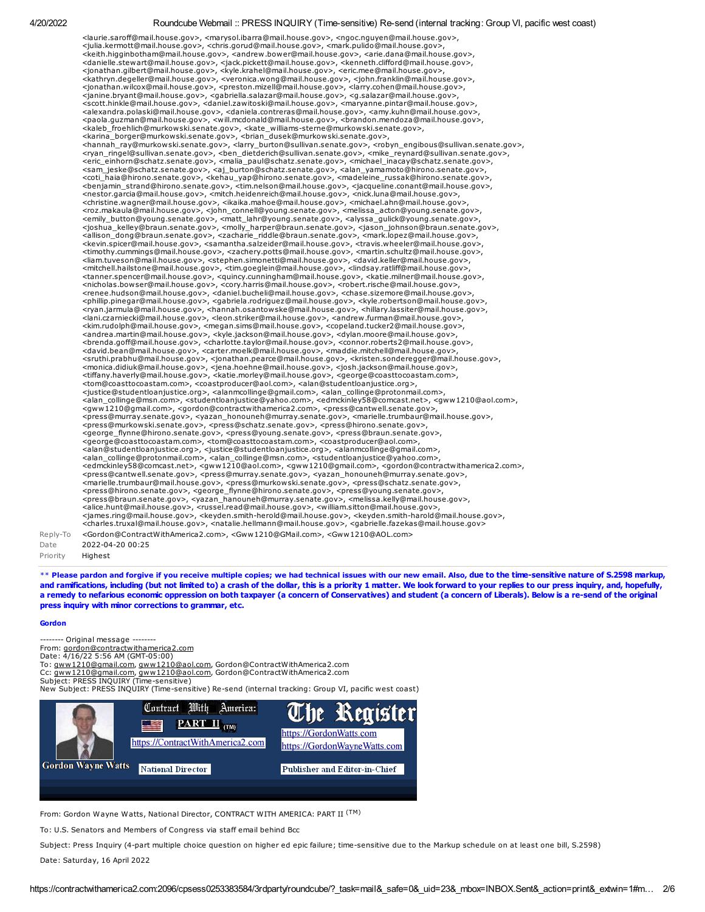<laurie.saroff@mail.house.gov>, <marysol.ibarra@mail.house.gov>, <ngoc.nguyen@mail.house.gov>, <julia.kermott@mail.house.gov>, <chris.gorud@mail.house.gov>, <mark.pulido@mail.house.gov>, <keith.higginbotham@mail.house.gov>, <andrew.bower@mail.house.gov>, <arie.dana@mail.house.gov>, <danielle.stewart@mail.house.gov>, <jack.pickett@mail.house.gov>, <kenneth.clifford@mail.house.gov>,<br><jonathan.gilbert@mail.house.gov>, <kyle.krahel@mail.house.gov>, <eric.mee@mail.house.gov>,<br><kathryn.degeller@mail.house. <jonathan.wilcox@mail.house.gov>, <preston.mizell@mail.house.gov>, <larry.cohen@mail.house.gov>, <janine.bryant@mail.house.gov>, <gabriella.salazar@mail.house.gov>, <g.salazar@mail.house.gov>,<br><scott.hinkle@mail.house.gov>, <daniel.zawitoski@mail.house.gov>, <maryanne.pintar@mail.house.gov>, <alexandra.polaski@mail.house.gov>, <daniela.contreras@mail.house.gov>, <amy.kuhn@mail.house.gov>,<br><paola.guzman@mail.house.gov>, <will.mcdonald@mail.house.gov>, <brandon.mendoza@mail.house.gov>,<br><kaleb\_froehlich@murkowski <hannah\_ray@murkowski.senate.gov>, <larry\_burton@sullivan.senate.gov>, <robyn\_engibous@sullivan.senate.gov>, <rors,arn\_ringel@sullivan.senate.gov>, <enixate.gov>, <enixate.gov>, <enixate.gov>, <enixate.gov>, <enixate.gov>, <nestor.garcia@mail.house.gov>, <mitch.heidenreich@mail.house.gov>, <nick.luna@mail.house.gov>, <rnstitute.wagner@mail.house.gov>, <sinka.mahoe@mail.house.gov>, <michael.ahn@mail.house.gov>, <mix/><br><rnstitute.wagner@mail.h <nicholas.bowser@mail.house.gov>, <cory.harris@mail.house.gov>, <robert.rische@mail.house.gov>,<br><renee.hudson@mail.house.gov>, <daniel.bucheli@mail.house.gov>, <chase.sizemore@mail.house.gov>,<br><phillip.pinegar@mail.house.g <ryan.jarmula@mail.house.gov>, <hannah.osantowske@mail.house.gov>, <hillary.lassiter@mail.house.gov>, <kin.rudolph@mail.house.gov>, <megan.sims@mail.house.gov>, <copeland.tucker2@mail.house.gov>, <alin.zramine=mail.house.g <press@murray.senate.gov>, <yazan\_honouneh@murray.senate.gov>, <marielle.trumbaur@mail.house.gov>, <press@murkowski.senate.gov>, <press@schatz.senate.gov>, <press@hirono.senate.gov>, <george\_flynne@hirono.senate.gov>, <press@young.senate.gov>, <press@braun.senate.gov>, <george@coasttocoastam.com>, <tom@coasttocoastam.com>, <coastproducer@aol.com>, <alan@studentloanjustice.org>, <justice@studentloanjustice.org>, <alanmcollinge@gmail.com>,<br>
<alan\_collinge@protonmail.com>, <alan\_collinge@msn.com>, <studentloanjustice@yahoo.com>,<br>
<admckinley58@comcast.net>, <gww1210@ao Reply-To <Gordon@ContractWithAmerica2.com>, <Gww1210@GMail.com>, <Gww1210@AOL.com> Date 2022-04-20 00:25 Priority Highest

\*\* Please pardon and forgive if you receive multiple copies; we had technical issues with our new email. Also, due to the time-sensitive nature of S.2598 markup, and ramifications, including (but not limited to) a crash of the dollar, this is a priority 1 matter. We look forward to your replies to our press inquiry, and, hopefully, a remedy to nefarious economic oppression on both taxpayer (a concern of Conservatives) and student (a concern of Liberals). Below is a re-send of the original press inquiry with minor corrections to grammar, etc.

#### Gordon

- Original message -From: [gordon@contractwithamerica2.com](mailto:gordon@contractwithamerica2.com) Date: 4/16/22 5:56 AM (GMT-05:00)<br>To: <u>[gww1210@gmail.com](mailto:gww1210@gmail.com), [gww1210@aol.com,](mailto:gww1210@aol.com)</u> Gordon@ContractWithAmerica2.com

Cc: [gww1210@gmail.com](mailto:gww1210@gmail.com), [gww1210@aol.com,](mailto:gww1210@aol.com) Gordon@ContractWithAmerica2.com

Subject: PRESS INQUIRY (Time-sensitive)

New Subject: PRESS INQUIRY (Time-sensitive) Re-send (internal tracking: Group VI, pacific west coast)



From: Gordon Wayne Watts, National Director, CONTRACT WITH AMERICA: PART II (TM)

To: U.S. Senators and Members of Congress via staff email behind Bcc

Subject: Press Inquiry (4-part multiple choice question on higher ed epic failure; time-sensitive due to the Markup schedule on at least one bill, S.2598) Date: Saturday, 16 April 2022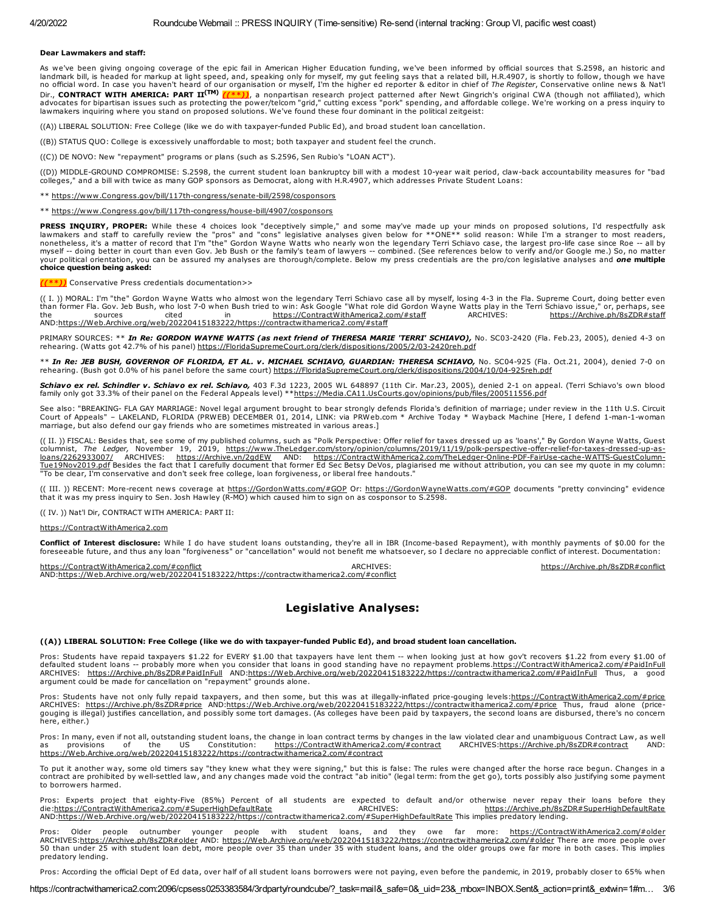#### Dear Lawmakers and staff:

As we've been giving ongoing coverage of the epic fail in American Higher Education funding, we've been informed by official sources that S.2598, an historic and<br>Iandmark bill, is headed for markup at light speed, and, spe no official word. In case you haven't heard of our organisation or myself, I'm the higher ed reporter & editor in chief of The Register, Conservative online news & Nat'l Dir., CONTRACT WITH AMERICA: PART II<sup>(TM)</sup> [(\*\*)), a nonpartisan research project patterned after Newt Gingrich's original CWA (though not affiliated), which<br>advocates for bipartisan issues such as protecting the power/tel lawmakers inquiring where you stand on proposed solutions. We've found these four dominant in the political zeitgeist:

((A)) LIBERAL SOLUTION: Free College (like we do with taxpayer-funded Public Ed), and broad student loan cancellation.

((B)) STATUS QUO: College is excessively unaffordable to most; both taxpayer and student feel the crunch.

((C)) DE NOVO: New "repayment" programs or plans (such as S.2596, Sen Rubio's "LOAN ACT").

((D)) MIDDLE-GROUND COMPROMISE: S.2598, the current student loan bankruptcy bill with a modest 10-year wait period, claw-back accountability measures for "bad colleges," and a bill with twice as many GOP sponsors as Democrat, along with H.R.4907, which addresses Private Student Loans:

\*\* [https://www.Congress.gov/bill/117th-congress/senate-bill/2598/cosponsors](https://www.congress.gov/bill/117th-congress/senate-bill/2598/cosponsors)

\*\* [https://www.Congress.gov/bill/117th-congress/house-bill/4907/cosponsors](https://www.congress.gov/bill/117th-congress/house-bill/4907/cosponsors)

**PRESS INQUIRY, PROPER:** While these 4 choices look "deceptively simple," and some may've made up your minds on proposed solutions, I'd respectfully ask<br>lawmakers and staff to carefully review the "pros" and "cons" legisla myself -- doing better in court than even Gov. Jeb Bush or the family's team of lawyers -- combined. (See references below to verify and/or Google me.) So, no matter your political orientation, you can be assured my analyses are thorough/complete. Below my press credentials are the pro/con legislative analyses and *one* **multiple**<br>**choice question being asked:** 

#### ((\*\*)) Conservative Press credentials documentation>>

(( I. )) MORAL: I'm "the" Gordon Wayne Watts who almost won the legendary Terri Schiavo case all by myself, losing 4-3 in the Fla. Supreme Court, doing better even than former Fla. Gov. Jeb Bush, who lost 7-0 when Bush tried to win: Ask Google "What role did Gordon Wayne Watts play in the Terri Schiavo issue," or, perhaps, see<br>the sources cited in https://ContractWithAmerica2.com/#st the sources cited in [https://ContractWithAmerica2.com/#staff](https://contractwithamerica2.com/#staff) ARCHIVES: [https://Archive.ph/8sZDR#staff](https://archive.ph/8sZDR#staff) AND[:https://Web.Archive.org/web/20220415183222/https://contractwithamerica2.com/#staff](https://web.archive.org/web/20220415183222/https://contractwithamerica2.com/#staff)

PRIMARY SOURCES: \*\* In Re: GORDON WAYNE WATTS (as next friend of THERESA MARIE 'TERRI' SCHIAVO), No. SC03-2420 (Fla. Feb.23, 2005), denied 4-3 on rehearing. (Watts got 42.7% of his panel) [https://FloridaSupremeCourt.org/clerk/dispositions/2005/2/03-2420reh.pdf](https://floridasupremecourt.org/clerk/dispositions/2005/2/03-2420reh.pdf)

\*\* In Re: JEB BUSH, GOVERNOR OF FLORIDA, ET AL. v. MICHAEL SCHIAVO, GUARDIAN: THERESA SCHIAVO, No. SC04-925 (Fla. Oct.21, 2004), denied 7-0 on rehearing. (Bush got 0.0% of his panel before the same court) [https://FloridaSupremeCourt.org/clerk/dispositions/2004/10/04-925reh.pdf](https://floridasupremecourt.org/clerk/dispositions/2004/10/04-925reh.pdf)

Schiavo ex rel. Schindler v. Schiavo ex rel. Schiavo, 403 F.3d 1223, 2005 WL 648897 (11th Cir. Mar.23, 2005), denied 2-1 on appeal. (Terri Schiavo's own blood family only got 33.3% of their panel on the Federal Appeals level) \*[\\*https://Media.CA11.UsCourts.gov/opinions/pub/files/200511556.pdf](https://media.ca11.uscourts.gov/opinions/pub/files/200511556.pdf)

See also: "BREAKING- FLA GAY MARRIAGE: Novel legal argument brought to bear strongly defends Florida's definition of marriage; under review in the 11th U.S. Circuit<br>Court of Appeals" – LAKELAND, FLORIDA (PRWEB) DECEMBER 01 marriage, but also defend our gay friends who are sometimes mistreated in various areas.]

(( II. )) FISCAL: Besides that, see some of my published columns, such as "Polk Perspective: Offer relief for taxes dressed up as 'loans'," By Gordon Wayne Watts, Guest columnist, *The Ledger,* November 19, 2019, <u>https://www.TheLedger.com/story/opinion/columns/2019/11/19/polk-perspective-offer-relief-for-taxes-dressed-up-as-<br><u>Ioans/2262933007/</u> ARCHIVES: <u>https://Archive.vn/2qdEW</u> AND: <u></u></u> "To be clear, I'm conservative and don't seek free college, loan forgiveness, or liberal free handouts."

(( III. )) RECENT: More-recent news coverage at [https://GordonWatts.com/#GOP](https://gordonwatts.com/#GOP) Or: [https://GordonWayneWatts.com/#GOP](https://gordonwaynewatts.com/#GOP) documents "pretty convincing" evidence that it was my press inquiry to Sen. Josh Hawley (R-MO) which caused him to sign on as cosponsor to S.2598.

(( IV. )) Nat'l Dir, CONTRACT WITH AMERICA: PART II:

#### [https://ContractWithAmerica2.com](https://contractwithamerica2.com/)

**Conflict of Interest disclosure:** While I do have student loans outstanding, they're all in IBR (Income-based Repayment), with monthly payments of \$0.00 for the<br>foreseeable future, and thus any loan "forgiveness" or "canc

[https://ContractWithAmerica2.com/#conflict](https://contractwithamerica2.com/#conflict) Archives: ARCHIVES: [https://Archive.ph/8sZDR#conflict](https://archive.ph/8sZDR#conflict) Archive.ph/8sZDR#conflict AND[:https://Web.Archive.org/web/20220415183222/https://contractwithamerica2.com/#conflict](https://web.archive.org/web/20220415183222/https://contractwithamerica2.com/#conflict)

# Legislative Analyses:

#### ((A)) LIBERAL SOLUTION: Free College (like we do with taxpayer-funded Public Ed), and broad student loan cancellation.

Pros: Students have repaid taxpayers \$1.22 for EVERY \$1.00 that taxpayers have lent them -- when looking just at how gov't recovers \$1.22 from every \$1.00 of defaulted student loans -- probably more when you consider that loans in good standing have no repayment problems.<u>https://ContractWithAmerica2.com/#PaidInFull</u><br>ARCHIVES: <u>[https://Archive.ph/8sZDR#PaidInFull](https://archive.ph/8sZDR#PaidInFull)</u> AND:<u>https:</u>

Pros: Students have not only fully repaid taxpayers, and then some, but this was at illegally-inflated price-gouging levels:<u>https://ContractWithAmerica2.com/#price</u><br>ARCHIVES: [https://Archive.ph/8sZDR#price](https://archive.ph/8sZDR#price) AND:https://Web gouging is illegal) justifies cancellation, and possibly some tort damages. (As colleges have been paid by taxpayers, the second loans are disbursed, there's no concern here, either.)

Pros: In many, even if not all, outstanding student loans, the change in loan contract terms by changes in the law violated clear and unambiguous Contract Law, as well<br>as provisions of the US Constitution: https://Contract as provisions of the US Constitution: [https://ContractWithAmerica2.com/#contract](https://contractwithamerica2.com/#contract) ARCHIVES[:https://Archive.ph/8sZDR#contract](https://archive.ph/8sZDR#contract) AND: [https://Web.Archive.org/web/20220415183222/https://contractwithamerica2.com/#contract](https://web.archive.org/web/20220415183222/https://contractwithamerica2.com/#contract)

To put it another way, some old timers say "they knew what they were signing," but this is false: The rules were changed after the horse race begun. Changes in a<br>contract are prohibited by well-settled law, and any changes to borrowers harmed.

Pros: Experts project that eighty-Five (85%) Percent of all students are expected to default and/or otherwise never repay their loans before they<br>die:<u>https://ContractWithAmerica2.com/#SuperHighDefaultRate</u> AND[:https://Web.Archive.org/web/20220415183222/https://contractwithamerica2.com/#SuperHighDefaultRate](https://web.archive.org/web/20220415183222/https://contractwithamerica2.com/#SuperHighDefaultRate) This implies predatory lending.

Pros: Older people outnumber younger people with student loans, and they owe far more: <u>[https://ContractWithAmerica2.com/#older](https://contractwithamerica2.com/#older)</u><br>ARCHIVES:<u>https://Archive.ph/8sZDR#older</u> AND: <u>https://Web.Archive.org/web/20220415183222/ht</u> predatory lending.

Pros: According the official Dept of Ed data, over half of all student loans borrowers were not paying, even before the pandemic, in 2019, probably closer to 65% when

https://contractwithamerica2.com:2096/cpsess0253383584/3rdparty/roundcube/?\_task=mail&\_safe=0&\_uid=23&\_mbox=INBOX.Sent&\_action=print&\_extwin=1#m… 3/6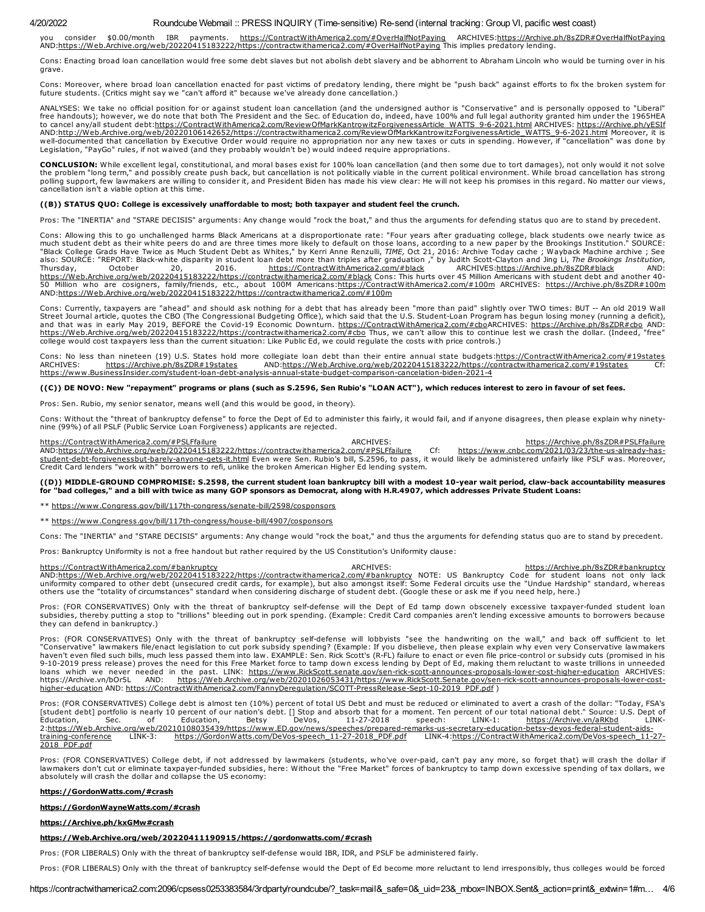you consider \$0.00/month IBR payments. <u>[https://ContractWithAmerica2.com/#OverHalfNotPaying](https://contractwithamerica2.com/#OverHalfNotPaying)</u> ARCHIVES:<u>https://Archive.ph/8sZDR#OverHalfNotPaying</u><br>AND:<u>https://Web.Archive.org/web/20220415183222/https://contractwithamerica</u>

Cons: Enacting broad loan cancellation would free some debt slaves but not abolish debt slavery and be abhorrent to Abraham Lincoln who would be turning over in his grave.

Cons: Moreover, where broad loan cancellation enacted for past victims of predatory lending, there might be "push back" against efforts to fix the broken system for future students. (Critics might say we "can't afford it" because we've already done cancellation.)

ANALYSES: We take no official position for or against student loan cancellation (and the undersigned author is "Conservative" and is personally opposed to "Liberal"<br>free handouts); however, we do note that both The Preside AND:<u>http://Web.Archive.org/web/20220106142652/https://contractwithamerica2.com/ReviewOfMarkKantrowitzForgivenessArticle WATTS 9-6-2021.html</u> Moreover, it is<br>well-documented that cancellation by Executive Order would requi Legislation, "PayGo" rules, if not waived (and they probably wouldn't be) would indeed require appropriations.

CONCLUSION: While excellent legal, constitutional, and moral bases exist for 100% loan cancellation (and then some due to tort damages), not only would it not solve the problem "long term," and possibly create push back, but cancellation is not politically viable in the current political environment. While broad cancellation has strong polling support, few lawmakers are willing to consider it, and President Biden has made his view clear: He will not keep his promises in this regard. No matter our views, cancellation isn't a viable option at this time.

#### ((B)) STATUS QUO: College is excessively unaffordable to most; both taxpayer and student feel the crunch.

Pros: The "INERTIA" and "STARE DECISIS" arguments: Any change would "rock the boat," and thus the arguments for defending status quo are to stand by precedent.

Cons: Allowing this to go unchallenged harms Black Americans at a disproportionate rate: "Four years after graduating college, black students owe nearly twice as much student debt as their white peers do and are three times more likely to default on those loans, according to a new paper by the Brookings Institution." SOURCE: "Black College Grads Have Twice as Much Student Debt as Whites," by Kerri Anne Renzulli, *TIME,* Oct 21, 2016: Archive Today cache ; Wayback Machine archive ; See<br>also: SOURCE: "REPORT: Black-white disparity in student loa [https://Web.Archive.org/web/20220415183222/https://contractwithamerica2.com/#black](https://web.archive.org/web/20220415183222/https://contractwithamerica2.com/#black) Cons: This hurts over 45 Million Americans with student debt and another 4050 Million who are cosigners, family/friends, etc., about 100M Americans:<u>https://ContractWithAmerica2.com/#100m</u> ARCHIVES: <u>[https://Archive.ph/8sZDR#100m](https://archive.ph/8sZDR#100m)</u><br>AND:<u>https://Web.Archive.org/web/20220415183222/https://contractwi</u>

Cons: Currently, taxpayers are "ahead" and should ask nothing for a debt that has already been "more than paid" slightly over TWO times: BUT -- An old 2019 Wall<br>Street Journal article, quotes the CBO (The Congressional Bud and that was in early May 2019, BEFORE the Covid-19 Economic Downturn. [https://ContractWithAmerica2.com/#cboA](https://contractwithamerica2.com/#cbo)RCHIVES: [https://Archive.ph/8sZDR#cbo](https://archive.ph/8sZDR#cbo) AND: <u>[https://Web.Archive.org/web/20220415183222/https://contractwithamerica2.com/#cbo](https://web.archive.org/web/20220415183222/https://contractwithamerica2.com/#cbo)</u> Thus, we can't allow this to continue lest we crash the dollar. (Indeed, "free"<br>college would cost taxpayers less than the current situatio

Cons: No less than nineteen (19) U.S. States hold more collegiate loan debt than their entire annual state budgets[:https://ContractWithAmerica2.com/#19states](https://contractwithamerica2.com/#19states)<br>ARCHIVES: https://Archive.ph/8sZDR#19states AND:https://Web.Arch AND[:https://Web.Archive.org/web/20220415183222/https://contractwithamerica2.com/#19states](https://web.archive.org/web/20220415183222/https://contractwithamerica2.com/#19states) [https://www.BusinessInsider.com/student-loan-debt-analysis-annual-state-budget-comparison-cancelation-biden-2021-4](https://www.businessinsider.com/student-loan-debt-analysis-annual-state-budget-comparison-cancelation-biden-2021-4)

#### ((C)) DE NOVO: New "repayment" programs or plans (such as S.2596, Sen Rubio's "LOAN ACT"), which reduces interest to zero in favour of set fees.

Pros: Sen. Rubio, my senior senator, means well (and this would be good, in theory).

Cons: Without the "threat of bankruptcy defense" to force the Dept of Ed to administer this fairly, it would fail, and if anyone disagrees, then please explain why ninetynine (99%) of all PSLF (Public Service Loan Forgiveness) applicants are rejected.

[https://ContractWithAmerica2.com/#PSLFfailure](https://contractwithamerica2.com/#PSLFfailure)<br>AND:https://web.Archive.org/web/20220415183222/https://contractwithamerica2.com/#PSLFfailure Cf: https://www.cnbc.com/2021/03/23/the-us-already-has-[AND:](https://www.cnbc.com/2021/03/23/the-us-already-has-student-debt-forgivenessbut-barely-anyone-gets-it.html)[https://Web.Archive.org/web/20220415183222/https://contractwithamerica2.com/#PSLFfailure](https://web.archive.org/web/20220415183222/https://contractwithamerica2.com/#PSLFfailure) Cf: https://www.cnbc.com/2021/03/23/the-us-already-hasstudent-debt-forgivenessbut-barely-anyone-gets-it.html Even were Sen. Rubio's bill, S.2596, to pass, it would likely be administered unfairly like PSLF was. Moreover, Credit Card lenders "work with" borrowers to refi, unlike the broken American Higher Ed lending system.

# ((D)) MIDDLE-GROUND COMPROMISE: S.2598, the current student loan bankruptcy bill with a modest 10-year wait period, claw-back accountability measures<br>for "bad colleges," and a bill with twice as many GOP sponsors as Democr

\*\* [https://www.Congress.gov/bill/117th-congress/senate-bill/2598/cosponsors](https://www.congress.gov/bill/117th-congress/senate-bill/2598/cosponsors)

#### \*\* [https://www.Congress.gov/bill/117th-congress/house-bill/4907/cosponsors](https://www.congress.gov/bill/117th-congress/house-bill/4907/cosponsors)

Cons: The "INERTIA" and "STARE DECISIS" arguments: Any change would "rock the boat," and thus the arguments for defending status quo are to stand by precedent.

Pros: Bankruptcy Uniformity is not a free handout but rather required by the US Constitution's Uniformity clause:

[https://ContractWithAmerica2.com/#bankruptcy](https://contractwithamerica2.com/#bankruptcy)<br>AND:<u>https://Web.Archive.org/web/20220415183222/https://contractwithamerica2.com/#bankruptcy NOTE: US Bankruptcy Code for student loans not only lack<br>AND:<u>https://Web.Archive.or</u></u> others use the "totality of circumstances" standard when considering discharge of student debt. (Google these or ask me if you need help, here.)

Pros: (FOR CONSERVATIVES) Only with the threat of bankruptcy self-defense will the Dept of Ed tamp down obscenely excessive taxpayer-funded student loan subsidies, thereby putting a stop to "trillions" bleeding out in pork spending. (Example: Credit Card companies aren't lending excessive amounts to borrowers because they can defend in bankruptcy.)

Pros: (FOR CONSERVATIVES) Only with the threat of bankruptcy self-defense will lobbyists "see the handwriting on the wall," and back off sufficient to let<br>"Conservative" lawmakers file/enact legislation to cut pork subsidy haven't even filed such bills, much less passed them into law. EXAMPLE: Sen. Rick Scott's (R-FL) failure to enact or even file price-control or subsidy cuts (promised in his<br>9-10-2019 press release) proves the need for thi loans which we never needed in the past. LINK: [https://www.RickScott.senate.gov/sen-rick-scott-announces-proposals-lower-cost-higher-education](https://www.rickscott.senate.gov/sen-rick-scott-announces-proposals-lower-cost-higher-education) ARCHIVES: https://Archive.vn/bOr5L AND: [https://Web.Archive.org/web/20201026053431/https://www.RickScott.Senate.gov/sen-rick-scott-announces-proposals-lower-cost](https://web.archive.org/web/20201026053431/https://www.RickScott.Senate.gov/sen-rick-scott-announces-proposals-lower-cost-higher-education)higher-education AND: [https://ContractWithAmerica2.com/FannyDeregulation/SCOTT-PressRelease-Sept-10-2019\\_PDF.pdf](https://contractwithamerica2.com/FannyDeregulation/SCOTT-PressRelease-Sept-10-2019_PDF.pdf) )

Pros: (FOR CONSERVATIVES) College debt is almost ten (10%) percent of total US Debt and must be reduced or eliminated to avert a crash of the dollar: "Today, FSA's<br>[student debt] portfolio is nearly 10 percent of our natio [2:https://Web.Archive.org/web/20210108035439/https://www.ED.gov/news/speeches/prepared-remarks-us-secretary-education-betsy-devos-federal-student-aids](https://web.archive.org/web/20210108035439/https://www.ED.gov/news/speeches/prepared-remarks-us-secretary-education-betsy-devos-federal-student-aids-training-conference)training-conference LINK-3: [https://GordonWatts.com/DeVos-speech\\_11-27-2018\\_PDF.pdf](https://gordonwatts.com/DeVos-speech_11-27-2018_PDF.pdf) [LINK-4:https://ContractWithAmerica2.com/DeVos-speech\\_11-27-](https://contractwithamerica2.com/DeVos-speech_11-27-2018_PDF.pdf) 2018\_PDF.pdf

Pros: (FOR CONSERVATIVES) College debt, if not addressed by lawmakers (students, who've over-paid, can't pay any more, so forget that) will crash the dollar if lawmakers don't cut or eliminate taxpayer-funded subsidies, here: Without the "Free Market" forces of bankruptcy to tamp down excessive spending of tax dollars, we absolutely will crash the dollar and collapse the US economy:

#### [https://GordonWatts.com/#crash](https://gordonwatts.com/#crash)

#### [https://GordonWayneWatts.com/#crash](https://gordonwaynewatts.com/#crash)

#### [https://Archive.ph/kxGMw#crash](https://archive.ph/kxGMw#crash)

#### [https://Web.Archive.org/web/20220411190915/https://gordonwatts.com/#crash](https://web.archive.org/web/20220411190915/https://gordonwatts.com/#crash)

Pros: (FOR LIBERALS) Only with the threat of bankruptcy self-defense would IBR, IDR, and PSLF be administered fairly.

Pros: (FOR LIBERALS) Only with the threat of bankruptcy self-defense would the Dept of Ed become more reluctant to lend irresponsibly, thus colleges would be forced

https://contractwithamerica2.com:2096/cpsess0253383584/3rdparty/roundcube/?\_task=mail&\_safe=0&\_uid=23&\_mbox=INBOX.Sent&\_action=print&\_extwin=1#m... 4/6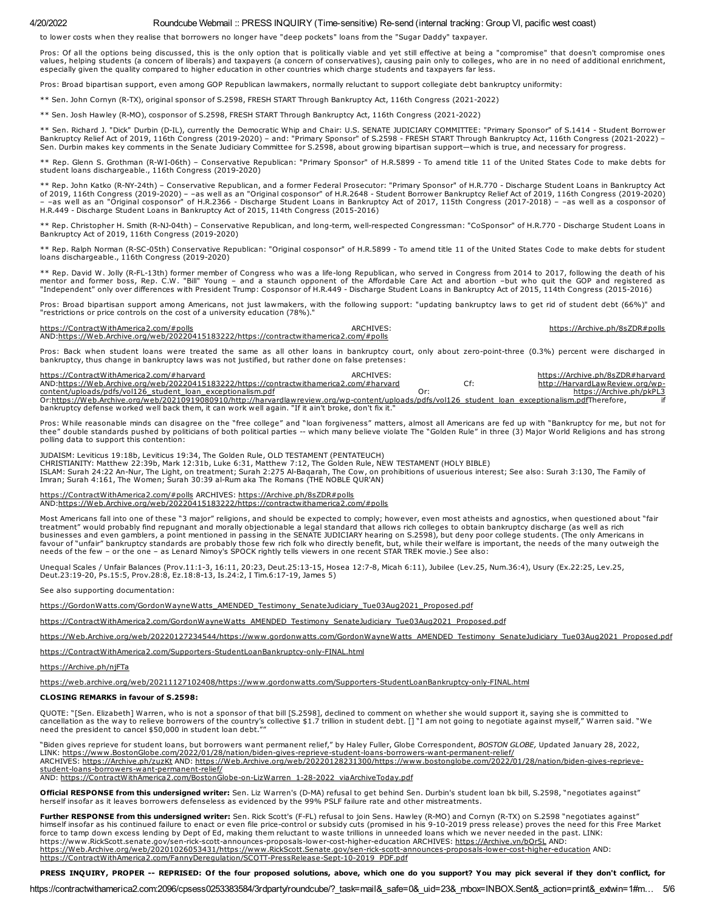to lower costs when they realise that borrowers no longer have "deep pockets" loans from the "Sugar Daddy" taxpayer.

Pros: Of all the options being discussed, this is the only option that is politically viable and yet still effective at being a "compromise" that doesn't compromise ones values, helping students (a concern of liberals) and taxpayers (a concern of conservatives), causing pain only to colleges, who are in no need of additional enrichment, especially given the quality compared to higher education in other countries which charge students and taxpayers far less.

Pros: Broad bipartisan support, even among GOP Republican lawmakers, normally reluctant to support collegiate debt bankruptcy uniformity:

\*\* Sen. John Cornyn (R-TX), original sponsor of S.2598, FRESH START Through Bankruptcy Act, 116th Congress (2021-2022)

\*\* Sen. Josh Hawley (R-MO), cosponsor of S.2598, FRESH START Through Bankruptcy Act, 116th Congress (2021-2022)

\*\* Sen. Richard J. "Dick" Durbin (D-IL), currently the Democratic Whip and Chair: U.S. SENATE JUDICIARY COMMITTEE: "Primary Sponsor" of S.1414 - Student Borrower Bankruptcy Relief Act of 2019, 116th Congress (2019-2020) – and: "Primary Sponsor" of S.2598 - FRESH START Through Bankruptcy Act, 116th Congress (2021-2022) –<br>Sen. Durbin makes key comments in the Senate Judiciary Committ

\*\* Rep. Glenn S. Grothman (R-WI-06th) – Conservative Republican: "Primary Sponsor" of H.R.5899 - To amend title 11 of the United States Code to make debts for student loans dischargeable., 116th Congress (2019-2020)

\*\* Rep. John Katko (R-NY-24th) – Conservative Republican, and a former Federal Prosecutor: "Primary Sponsor" of H.R.770 - Discharge Student Loans in Bankruptcy Act of 2019, 116th Congress (2019-2020) – –as well as an "Original cosponsor" of H.R.2648 - Student Borrower Bankruptcy Relief Act of 2019, 116th Congress (2019-2020)<br>– –as well as an "Original cosponsor" of H.R.2366 - Dischar H.R.449 - Discharge Student Loans in Bankruptcy Act of 2015, 114th Congress (2015-2016)

\*\* Rep. Christopher H. Smith (R-NJ-04th) – Conservative Republican, and long-term, well-respected Congressman: "CoSponsor" of H.R.770 - Discharge Student Loans in Bankruptcy Act of 2019, 116th Congress (2019-2020)

\*\* Rep. Ralph Norman (R-SC-05th) Conservative Republican: "Original cosponsor" of H.R.5899 - To amend title 11 of the United States Code to make debts for student loans dischargeable., 116th Congress (2019-2020)

\*\* Rep. David W. Jolly (R-FL-13th) former member of Congress who was a life-long Republican, who served in Congress from 2014 to 2017, following the death of his mentor and former boss, Rep. C.W. "Bill" Young – and a staunch opponent of the Affordable Care Act and abortion –but who quit the GOP and registered as<br>"Independent" only over differences with President Trump: Cosponsor of

Pros: Broad bipartisan support among Americans, not just lawmakers, with the following support: "updating bankruptcy laws to get rid of student debt (66%)" and<br>"restrictions or price controls on the cost of a university ed

### [https://ContractWithAmerica2.com/#polls](https://contractwithamerica2.com/#polls) [https://Archive.ph/8sZDR#polls](https://archive.ph/8sZDR#polls) ARCHIVES: https://Archive.ph/8sZDR#polls

AND[:https://Web.Archive.org/web/20220415183222/https://contractwithamerica2.com/#polls](https://web.archive.org/web/20220415183222/https://contractwithamerica2.com/#polls)

Pros: Back when student loans were treated the same as all other loans in bankruptcy court, only about zero-point-three (0.3%) percent were discharged in bankruptcy, thus change in bankruptcy laws was not justified, but rather done on false pretenses:

| https://ContractWithAmerica2.com/#harvard                   | ARCHIVES                                                                                                                                           |  | https://Archive.ph/8sZDR#harvard |  |
|-------------------------------------------------------------|----------------------------------------------------------------------------------------------------------------------------------------------------|--|----------------------------------|--|
|                                                             | AND:https://Web.Archive.org/web/20220415183222/https://contractwithamerica2.com/#harvard                                                           |  | http://HarvardLawReview.org/wp-  |  |
| content/uploads/pdfs/vol126 student loan exceptionalism.pdf |                                                                                                                                                    |  | https://Archive.ph/pkPL3         |  |
|                                                             | .Or:https://Web.Archive.org/web/20210919080910/http://harvardlawreview.org/wp-content/uploads/pdfs/vol126 student loan exceptionalism.pdfTherefore |  |                                  |  |
|                                                             | bankruptcy defense worked well back them, it can work well again. "If it ain't broke, don't fix it."                                               |  |                                  |  |

Pros: While reasonable minds can disagree on the "free college" and "loan forgiveness" matters, almost all Americans are fed up with "Bankruptcy for me, but not for thee" double standards pushed by politicians of both political parties -- which many believe violate The "Golden Rule" in three (3) Major World Religions and has strong polling data to support this contention:

JUDAISM: Leviticus 19:18b, Leviticus 19:34, The Golden Rule, OLD TESTAMENT (PENTATEUCH) CHRISTIANITY: Matthew 22:39b, Mark 12:31b, Luke 6:31, Matthew 7:12, The Golden Rule, NEW TESTAMENT (HOLY BIBLE)<br>ISLAM: Surah 24:22 An-Nur, The Light, on treatment; Surah 2:275 Al-Bagarah, The Cow, on prohibitions of usueri Imran; Surah 4:161, The Women; Surah 30:39 al-Rum aka The Romans (THE NOBLE QUR'AN)

#### [https://ContractWithAmerica2.com/#polls](https://contractwithamerica2.com/#polls) ARCHIVES: [https://Archive.ph/8sZDR#polls](https://archive.ph/8sZDR#polls) AND[:https://Web.Archive.org/web/20220415183222/https://contractwithamerica2.com/#polls](https://web.archive.org/web/20220415183222/https://contractwithamerica2.com/#polls)

Most Americans fall into one of these "3 major" religions, and should be expected to comply; however, even most atheists and agnostics, when questioned about "fair treatment" would probably find repugnant and morally objectionable a legal standard that allows rich colleges to obtain bankruptcy discharge (as well as rich<br>businesses and even gamblers, a point mentioned in passing in th needs of the few – or the one – as Lenard Nimoy's SPOCK rightly tells viewers in one recent STAR TREK movie.) See also:

Unequal Scales / Unfair Balances (Prov.11:1-3, 16:11, 20:23, Deut.25:13-15, Hosea 12:7-8, Micah 6:11), Jubilee (Lev.25, Num.36:4), Usury (Ex.22:25, Lev.25,<br>Deut.23:19-20, Ps.15:5, Prov.28:8, Ez.18:8-13, Is.24:2, I Tim.6:17

See also supporting documentation:

[https://GordonWatts.com/GordonWayneWatts\\_AMENDED\\_Testimony\\_SenateJudiciary\\_Tue03Aug2021\\_Proposed.pdf](https://gordonwatts.com/GordonWayneWatts_AMENDED_Testimony_SenateJudiciary_Tue03Aug2021_Proposed.pdf)

[https://ContractWithAmerica2.com/GordonWayneWatts\\_AMENDED\\_Testimony\\_SenateJudiciary\\_Tue03Aug2021\\_Proposed.pdf](https://contractwithamerica2.com/GordonWayneWatts_AMENDED_Testimony_SenateJudiciary_Tue03Aug2021_Proposed.pdf)

[https://Web.Archive.org/web/20220127234544/https://www.gordonwatts.com/GordonWayneWatts\\_AMENDED\\_Testimony\\_SenateJudiciary\\_Tue03Aug2021\\_Proposed.pdf](https://web.archive.org/web/20220127234544/https://www.gordonwatts.com/GordonWayneWatts_AMENDED_Testimony_SenateJudiciary_Tue03Aug2021_Proposed.pdf)

[https://ContractWithAmerica2.com/Supporters-StudentLoanBankruptcy-only-FINAL.html](https://contractwithamerica2.com/Supporters-StudentLoanBankruptcy-only-FINAL.html)

#### [https://Archive.ph/njFTa](https://archive.ph/njFTa)

<https://web.archive.org/web/20211127102408/https://www.gordonwatts.com/Supporters-StudentLoanBankruptcy-only-FINAL.html>

#### CLOSING REMARKS in favour of S.2598:

QUOTE: "[Sen. Elizabeth] Warren, who is not a sponsor of that bill [S.2598], declined to comment on whether she would support it, saying she is committed to<br>cancellation as the way to relieve borrowers of the country's col need the president to cancel \$50,000 in student loan debt.""

"Biden gives reprieve for student loans, but borrowers want permanent relief," by Haley Fuller, Globe Correspondent, BOSTON GLOBE, Updated January 28, 2022, LINK: [https://www.BostonGlobe.com/2022/01/28/nation/biden-gives-reprieve-student-loans-borrowers-want-permanent-relief/](https://www.bostonglobe.com/2022/01/28/nation/biden-gives-reprieve-student-loans-borrowers-want-permanent-relief/) ARCHIVES: [https://Archive.ph/zuzKt](https://archive.ph/zuzKt) AND: [https://Web.Archive.org/web/20220128231300/https://www.bostonglobe.com/2022/01/28/nation/biden-gives-reprieve](https://web.archive.org/web/20220128231300/https://www.bostonglobe.com/2022/01/28/nation/biden-gives-reprieve-student-loans-borrowers-want-permanent-relief/)student-loans-borrowers-want-permanent-relief/

AND: https://ContractWithAmerica2.com/BostonGlobe-on-LizWarren\_1-28-2022

Official RESPONSE from this undersigned writer: Sen. Liz Warren's (D-MA) refusal to get behind Sen. Durbin's student loan bk bill, S.2598, "negotiates against" herself insofar as it leaves borrowers defenseless as evidenced by the 99% PSLF failure rate and other mistreatments.

**Further RESPONSE from this undersigned writer:** Sen. Rick Scott's (F-FL) refusal to join Sens. Hawley (R-MO) and Cornyn (R-TX) on S.2598 "negotiates against"<br>himself insofar as his continued failure to enact or even file force to tamp down excess lending by Dept of Ed, making them reluctant to waste trillions in unneeded loans which we never needed in the past. LINK: https://www.RickScott.senate.gov/sen-rick-scott-announces-proposals-lower-cost-higher-education ARCHIVES: [https://Archive.vn/bOr5L](https://archive.vn/bOr5L) AND: [https://Web.Archive.org/web/20201026053431/https://www.RickScott.Senate.gov/sen-rick-scott-announces-proposals-lower-cost-higher-education](https://web.archive.org/web/20201026053431/https://www.RickScott.Senate.gov/sen-rick-scott-announces-proposals-lower-cost-higher-education) AND: [https://ContractWithAmerica2.com/FannyDeregulation/SCOTT-PressRelease-Sept-10-2019\\_PDF.pdf](https://contractwithamerica2.com/FannyDeregulation/SCOTT-PressRelease-Sept-10-2019_PDF.pdf)

PRESS INQUIRY, PROPER -- REPRISED: Of the four proposed solutions, above, which one do you support? You may pick several if they don't conflict, for

https://contractwithamerica2.com:2096/cpsess0253383584/3rdparty/roundcube/?\_task=mail&\_safe=0&\_uid=23&\_mbox=INBOX.Sent&\_action=print&\_extwin=1#m… 5/6